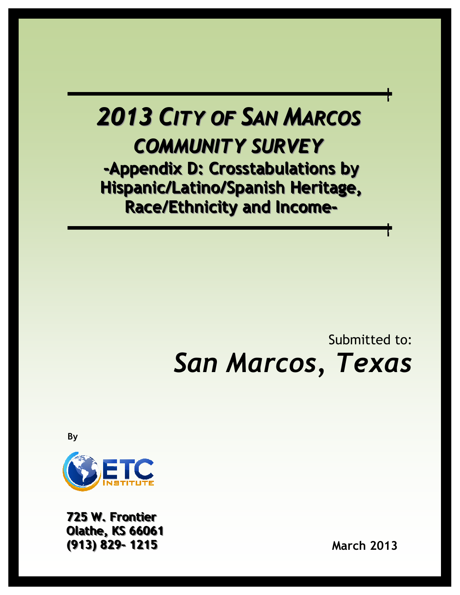# 2013 CITY OF SAN MARCOS COMMUNITY SURVEY -Appendix D: Crosstabulations by

Hispanic/Latino/Spanish Heritage, Race/Ethnicity and Income-

# Submitted to: San Marcos, Texas

By



725 W. Frontier **Olathe, KS 66061** ((913)) 829-- 1215 March 2013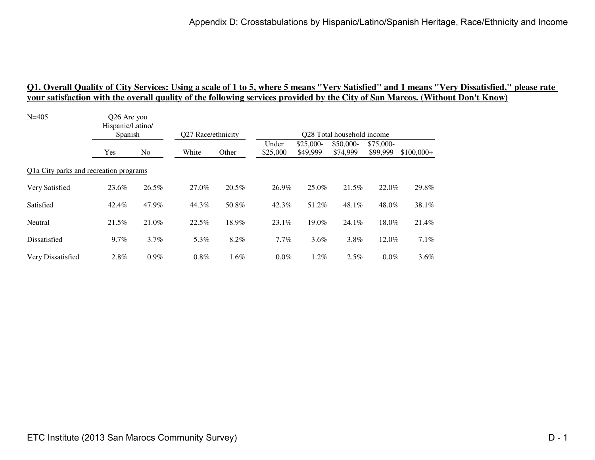| $N = 405$                              | O <sub>26</sub> Are you<br>Hispanic/Latino/<br>Spanish |         |                    |       |                   |                        | Q28 Total household income |                       |             |
|----------------------------------------|--------------------------------------------------------|---------|--------------------|-------|-------------------|------------------------|----------------------------|-----------------------|-------------|
|                                        |                                                        |         | Q27 Race/ethnicity |       |                   |                        |                            |                       |             |
|                                        | Yes                                                    | No.     | White              | Other | Under<br>\$25,000 | $$25,000-$<br>\$49,999 | \$50,000-<br>\$74,999      | \$75,000-<br>\$99,999 | $$100,000+$ |
| Q1a City parks and recreation programs |                                                        |         |                    |       |                   |                        |                            |                       |             |
| Very Satisfied                         | 23.6%                                                  | 26.5%   | 27.0%              | 20.5% | 26.9%             | 25.0%                  | 21.5%                      | 22.0%                 | 29.8%       |
| Satisfied                              | 42.4%                                                  | 47.9%   | 44.3%              | 50.8% | 42.3%             | 51.2%                  | 48.1%                      | 48.0%                 | 38.1%       |
| Neutral                                | 21.5%                                                  | 21.0%   | 22.5%              | 18.9% | $23.1\%$          | 19.0%                  | 24.1%                      | 18.0%                 | 21.4%       |
| Dissatisfied                           | 9.7%                                                   | 3.7%    | 5.3%               | 8.2%  | $7.7\%$           | $3.6\%$                | 3.8%                       | 12.0%                 | 7.1%        |
| Very Dissatisfied                      | $2.8\%$                                                | $0.9\%$ | $0.8\%$            | 1.6%  | $0.0\%$           | $1.2\%$                | 2.5%                       | $0.0\%$               | 3.6%        |
|                                        |                                                        |         |                    |       |                   |                        |                            |                       |             |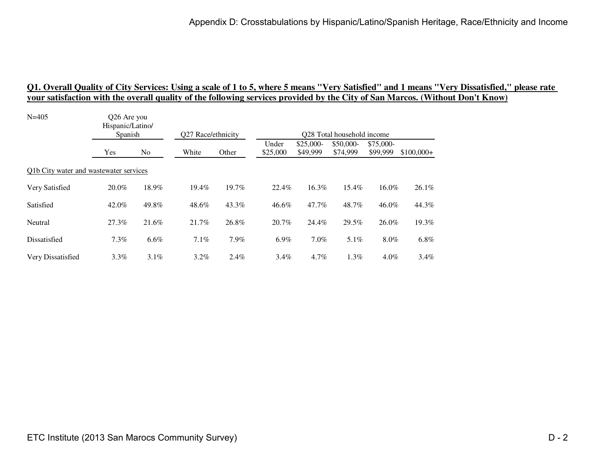| O <sub>26</sub> Are you<br>Hispanic/Latino/<br>Spanish |         |                                        |         |                    |                        |                       |                       |                            |
|--------------------------------------------------------|---------|----------------------------------------|---------|--------------------|------------------------|-----------------------|-----------------------|----------------------------|
| Yes                                                    | No      | White                                  | Other   | Under<br>\$25,000  | $$25,000-$<br>\$49,999 | \$50,000-<br>\$74,999 | \$75,000-<br>\$99,999 | $$100,000+$                |
|                                                        |         |                                        |         |                    |                        |                       |                       |                            |
| 20.0%                                                  | 18.9%   | 19.4%                                  | 19.7%   | 22.4%              | 16.3%                  | 15.4%                 | 16.0%                 | 26.1%                      |
| 42.0%                                                  | 49.8%   | 48.6%                                  | 43.3%   | 46.6%              | 47.7%                  | 48.7%                 | 46.0%                 | 44.3%                      |
| 27.3%                                                  | 21.6%   | 21.7%                                  | 26.8%   | 20.7%              | 24.4%                  | 29.5%                 | 26.0%                 | 19.3%                      |
| 7.3%                                                   | $6.6\%$ | $7.1\%$                                | 7.9%    | $6.9\%$            | $7.0\%$                | 5.1%                  | $8.0\%$               | 6.8%                       |
| $3.3\%$                                                | $3.1\%$ | $3.2\%$                                | $2.4\%$ | $3.4\%$            | $4.7\%$                | $1.3\%$               | $4.0\%$               | 3.4%                       |
|                                                        |         | Q1b City water and wastewater services |         | Q27 Race/ethnicity |                        |                       |                       | Q28 Total household income |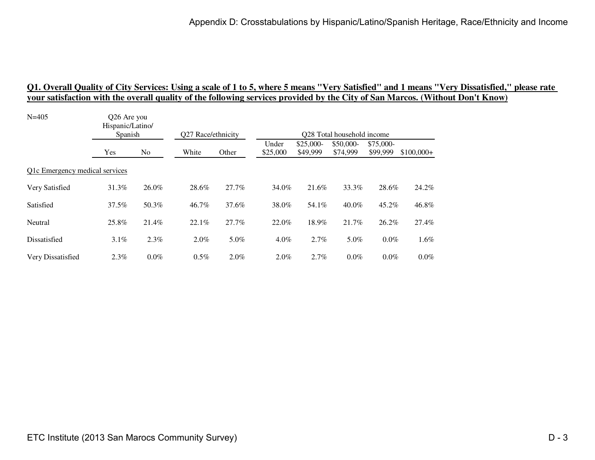# <u>01. Overall Quality of City Services: Using a scale of 1 to 5, where 5 means ''Very Satisfied'' and 1 means ''Very Dissatisfied,'' please rate<br>your satisfaction with the overall quality of the following services provided </u>

| $N = 405$                      | Q26 Are you<br>Hispanic/Latino/<br>Spanish |                |                    |       |                            |                        |                       |                       |             |  |  |
|--------------------------------|--------------------------------------------|----------------|--------------------|-------|----------------------------|------------------------|-----------------------|-----------------------|-------------|--|--|
|                                |                                            |                | Q27 Race/ethnicity |       | Q28 Total household income |                        |                       |                       |             |  |  |
|                                | Yes                                        | N <sub>o</sub> | White              | Other | Under<br>\$25,000          | $$25,000-$<br>\$49,999 | \$50,000-<br>\$74,999 | \$75,000-<br>\$99,999 | $$100,000+$ |  |  |
| Q1c Emergency medical services |                                            |                |                    |       |                            |                        |                       |                       |             |  |  |
| Very Satisfied                 | 31.3%                                      | 26.0%          | 28.6%              | 27.7% | 34.0%                      | 21.6%                  | 33.3%                 | 28.6%                 | 24.2%       |  |  |
| Satisfied                      | 37.5%                                      | 50.3%          | 46.7%              | 37.6% | 38.0%                      | 54.1%                  | $40.0\%$              | 45.2%                 | 46.8%       |  |  |
| Neutral                        | 25.8%                                      | 21.4%          | 22.1%              | 27.7% | 22.0%                      | 18.9%                  | 21.7%                 | 26.2%                 | 27.4%       |  |  |
| Dissatisfied                   | 3.1%                                       | 2.3%           | 2.0%               | 5.0%  | $4.0\%$                    | 2.7%                   | 5.0%                  | $0.0\%$               | $1.6\%$     |  |  |
| Very Dissatisfied              | 2.3%                                       | $0.0\%$        | $0.5\%$            | 2.0%  | $2.0\%$                    | 2.7%                   | 0.0%                  | $0.0\%$               | $0.0\%$     |  |  |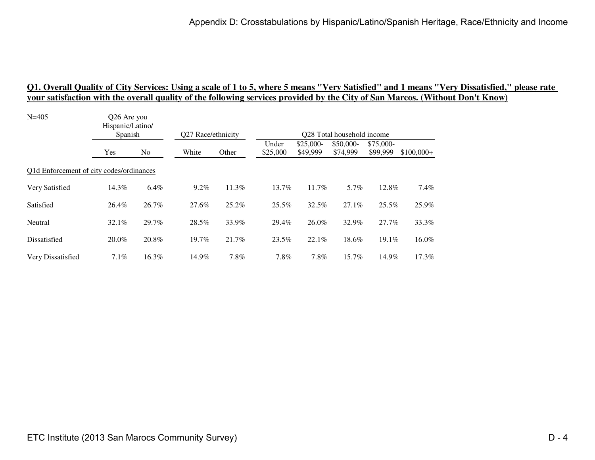| $N = 405$                                | Q26 Are you<br>Hispanic/Latino/<br>Spanish |       | Q27 Race/ethnicity |       | Q28 Total household income |                        |                       |                       |             |
|------------------------------------------|--------------------------------------------|-------|--------------------|-------|----------------------------|------------------------|-----------------------|-----------------------|-------------|
|                                          | Yes                                        | No    | White              | Other | Under<br>\$25,000          | $$25,000-$<br>\$49,999 | \$50,000-<br>\$74,999 | \$75,000-<br>\$99,999 | $$100,000+$ |
| Q1d Enforcement of city codes/ordinances |                                            |       |                    |       |                            |                        |                       |                       |             |
| Very Satisfied                           | 14.3%                                      | 6.4%  | $9.2\%$            | 11.3% | 13.7%                      | 11.7%                  | 5.7%                  | 12.8%                 | 7.4%        |
| Satisfied                                | 26.4%                                      | 26.7% | 27.6%              | 25.2% | $25.5\%$                   | 32.5%                  | 27.1%                 | 25.5%                 | 25.9%       |
| Neutral                                  | $32.1\%$                                   | 29.7% | 28.5%              | 33.9% | 29.4%                      | 26.0%                  | 32.9%                 | 27.7%                 | 33.3%       |
| Dissatisfied                             | $20.0\%$                                   | 20.8% | 19.7%              | 21.7% | 23.5%                      | 22.1%                  | 18.6%                 | 19.1%                 | 16.0%       |
| Very Dissatisfied                        | $7.1\%$                                    | 16.3% | 14.9%              | 7.8%  | $7.8\%$                    | 7.8%                   | 15.7%                 | 14.9%                 | 17.3%       |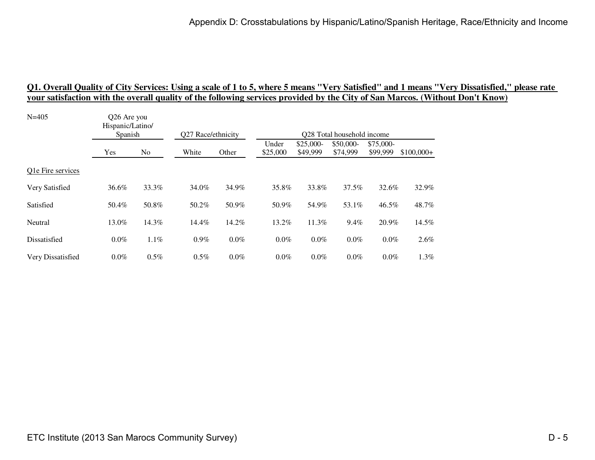# <u>01. Overall Quality of City Services: Using a scale of 1 to 5, where 5 means ''Very Satisfied'' and 1 means ''Very Dissatisfied,'' please rate<br>your satisfaction with the overall quality of the following services provided </u>

| $N = 405$         | Q26 Are you<br>Hispanic/Latino/ |                |                    |       |                            |                       |                       |                       |             |  |  |
|-------------------|---------------------------------|----------------|--------------------|-------|----------------------------|-----------------------|-----------------------|-----------------------|-------------|--|--|
|                   | Spanish                         |                | Q27 Race/ethnicity |       | Q28 Total household income |                       |                       |                       |             |  |  |
|                   | Yes                             | N <sub>o</sub> | White              | Other | Under<br>\$25,000          | \$25,000-<br>\$49,999 | \$50,000-<br>\$74,999 | \$75,000-<br>\$99,999 | $$100,000+$ |  |  |
| Q1e Fire services |                                 |                |                    |       |                            |                       |                       |                       |             |  |  |
| Very Satisfied    | 36.6%                           | 33.3%          | 34.0%              | 34.9% | 35.8%                      | 33.8%                 | 37.5%                 | 32.6%                 | 32.9%       |  |  |
| Satisfied         | 50.4%                           | 50.8%          | 50.2%              | 50.9% | 50.9%                      | 54.9%                 | 53.1%                 | 46.5%                 | 48.7%       |  |  |
| Neutral           | 13.0%                           | 14.3%          | 14.4%              | 14.2% | 13.2%                      | 11.3%                 | 9.4%                  | 20.9%                 | 14.5%       |  |  |
| Dissatisfied      | $0.0\%$                         | 1.1%           | $0.9\%$            | 0.0%  | $0.0\%$                    | $0.0\%$               | 0.0%                  | $0.0\%$               | 2.6%        |  |  |
| Very Dissatisfied | $0.0\%$                         | 0.5%           | 0.5%               | 0.0%  | $0.0\%$                    | $0.0\%$               | 0.0%                  | $0.0\%$               | 1.3%        |  |  |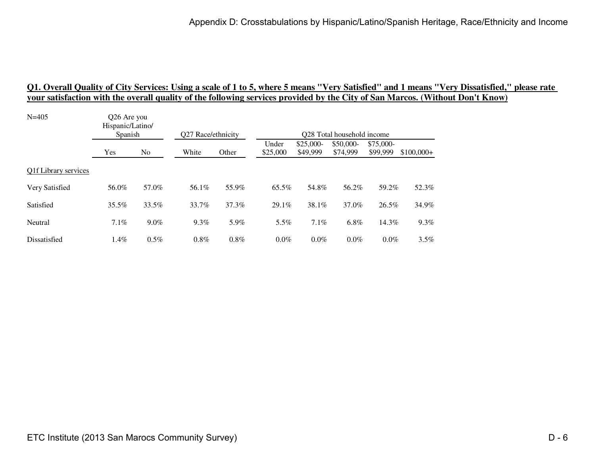| $N = 405$            | Q26 Are you<br>Hispanic/Latino/<br>Spanish |                |                    |         |                   |                        |                                        |                       |             |
|----------------------|--------------------------------------------|----------------|--------------------|---------|-------------------|------------------------|----------------------------------------|-----------------------|-------------|
|                      |                                            |                | O27 Race/ethnicity |         |                   |                        | O <sub>28</sub> Total household income |                       |             |
|                      | Yes                                        | N <sub>o</sub> | White              | Other   | Under<br>\$25,000 | $$25,000-$<br>\$49,999 | \$50,000-<br>\$74,999                  | \$75,000-<br>\$99,999 | $$100,000+$ |
| Q1f Library services |                                            |                |                    |         |                   |                        |                                        |                       |             |
| Very Satisfied       | 56.0%                                      | 57.0%          | 56.1%              | 55.9%   | 65.5%             | 54.8%                  | 56.2%                                  | 59.2%                 | 52.3%       |
| Satisfied            | 35.5%                                      | 33.5%          | 33.7%              | 37.3%   | 29.1%             | 38.1%                  | 37.0%                                  | 26.5%                 | 34.9%       |
| Neutral              | $7.1\%$                                    | $9.0\%$        | $9.3\%$            | 5.9%    | $5.5\%$           | 7.1%                   | 6.8%                                   | 14.3%                 | 9.3%        |
| Dissatisfied         | $1.4\%$                                    | 0.5%           | 0.8%               | $0.8\%$ | $0.0\%$           | $0.0\%$                | $0.0\%$                                | $0.0\%$               | 3.5%        |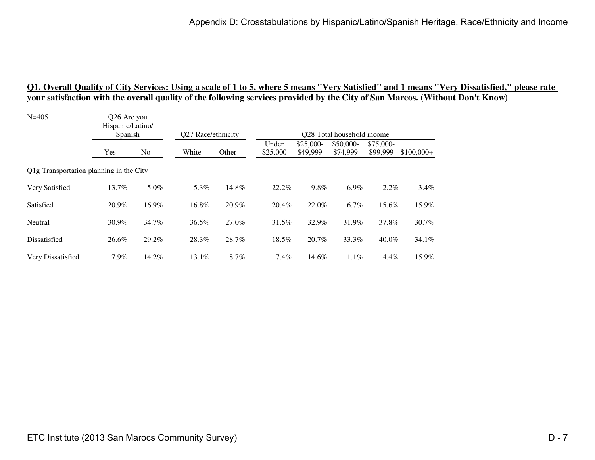| $N = 405$                                            | Q26 Are you<br>Hispanic/Latino/<br>Spanish |       | Q27 Race/ethnicity |       | Q28 Total household income |                        |                       |                       |             |
|------------------------------------------------------|--------------------------------------------|-------|--------------------|-------|----------------------------|------------------------|-----------------------|-----------------------|-------------|
|                                                      | Yes                                        | No    | White              | Other | Under<br>\$25,000          | $$25,000-$<br>\$49,999 | \$50,000-<br>\$74,999 | \$75,000-<br>\$99,999 | $$100,000+$ |
| Q <sub>1</sub> g Transportation planning in the City |                                            |       |                    |       |                            |                        |                       |                       |             |
| Very Satisfied                                       | 13.7%                                      | 5.0%  | 5.3%               | 14.8% | 22.2%                      | 9.8%                   | 6.9%                  | $2.2\%$               | 3.4%        |
| Satisfied                                            | 20.9%                                      | 16.9% | 16.8%              | 20.9% | 20.4%                      | 22.0%                  | 16.7%                 | 15.6%                 | 15.9%       |
| Neutral                                              | 30.9%                                      | 34.7% | 36.5%              | 27.0% | $31.5\%$                   | 32.9%                  | 31.9%                 | 37.8%                 | 30.7%       |
| Dissatisfied                                         | 26.6%                                      | 29.2% | 28.3%              | 28.7% | 18.5%                      | 20.7%                  | 33.3%                 | 40.0%                 | 34.1%       |
| Very Dissatisfied                                    | $7.9\%$                                    | 14.2% | 13.1%              | 8.7%  | $7.4\%$                    | 14.6%                  | 11.1%                 | $4.4\%$               | 15.9%       |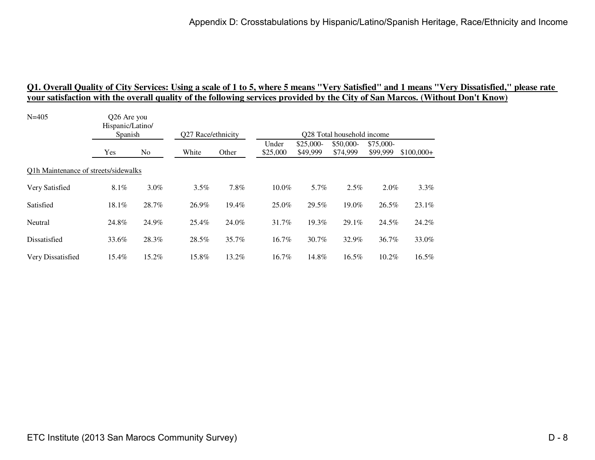| $N = 405$                            | Q26 Are you<br>Hispanic/Latino/<br>Spanish |         | Q27 Race/ethnicity |          | Q28 Total household income |                        |                       |                       |             |  |
|--------------------------------------|--------------------------------------------|---------|--------------------|----------|----------------------------|------------------------|-----------------------|-----------------------|-------------|--|
|                                      | Yes                                        | No      | White              | Other    | Under<br>\$25,000          | $$25,000-$<br>\$49,999 | \$50,000-<br>\$74,999 | \$75,000-<br>\$99,999 | $$100,000+$ |  |
| Q1h Maintenance of streets/sidewalks |                                            |         |                    |          |                            |                        |                       |                       |             |  |
| Very Satisfied                       | 8.1%                                       | $3.0\%$ | 3.5%               | 7.8%     | $10.0\%$                   | 5.7%                   | 2.5%                  | $2.0\%$               | 3.3%        |  |
| Satisfied                            | 18.1%                                      | 28.7%   | 26.9%              | $19.4\%$ | 25.0%                      | 29.5%                  | 19.0%                 | 26.5%                 | 23.1%       |  |
| Neutral                              | 24.8%                                      | 24.9%   | 25.4%              | 24.0%    | 31.7%                      | 19.3%                  | 29.1%                 | 24.5%                 | 24.2%       |  |
| Dissatisfied                         | 33.6%                                      | 28.3%   | 28.5%              | 35.7%    | 16.7%                      | $30.7\%$               | 32.9%                 | 36.7%                 | 33.0%       |  |
| Very Dissatisfied                    | 15.4%                                      | 15.2%   | 15.8%              | 13.2%    | 16.7%                      | 14.8%                  | 16.5%                 | 10.2%                 | 16.5%       |  |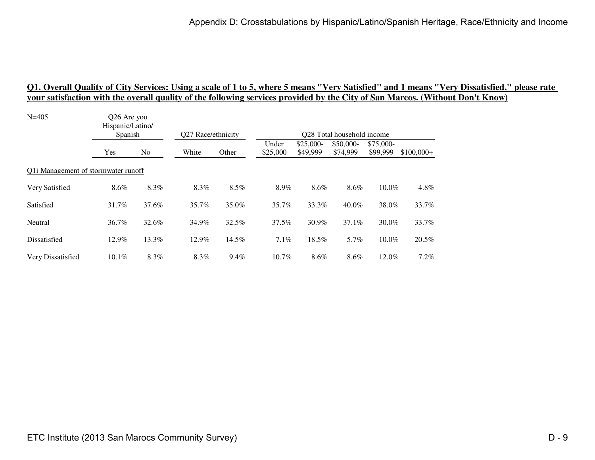| $N = 405$                           | Q26 Are you<br>Hispanic/Latino/<br>Spanish |       |                    |       | Q28 Total household income |                        |                       |                       |             |  |
|-------------------------------------|--------------------------------------------|-------|--------------------|-------|----------------------------|------------------------|-----------------------|-----------------------|-------------|--|
|                                     |                                            |       | Q27 Race/ethnicity |       |                            |                        |                       |                       |             |  |
|                                     | Yes                                        | No    | White              | Other | Under<br>\$25,000          | $$25,000-$<br>\$49,999 | \$50,000-<br>\$74,999 | \$75,000-<br>\$99,999 | $$100,000+$ |  |
| Q1i Management of stormwater runoff |                                            |       |                    |       |                            |                        |                       |                       |             |  |
| Very Satisfied                      | 8.6%                                       | 8.3%  | 8.3%               | 8.5%  | 8.9%                       | 8.6%                   | 8.6%                  | 10.0%                 | 4.8%        |  |
| Satisfied                           | 31.7%                                      | 37.6% | 35.7%              | 35.0% | 35.7%                      | 33.3%                  | $40.0\%$              | 38.0%                 | 33.7%       |  |
| Neutral                             | 36.7%                                      | 32.6% | 34.9%              | 32.5% | 37.5%                      | $30.9\%$               | 37.1%                 | 30.0%                 | 33.7%       |  |
| Dissatisfied                        | 12.9%                                      | 13.3% | 12.9%              | 14.5% | 7.1%                       | 18.5%                  | 5.7%                  | $10.0\%$              | 20.5%       |  |
| Very Dissatisfied                   | $10.1\%$                                   | 8.3%  | 8.3%               | 9.4%  | 10.7%                      | 8.6%                   | 8.6%                  | 12.0%                 | 7.2%        |  |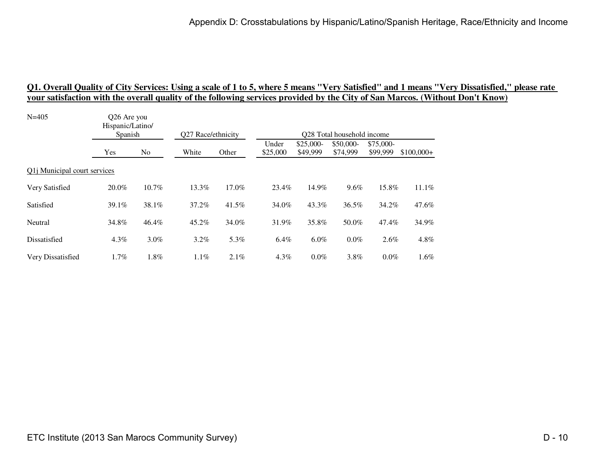| Q26 Are you<br>Hispanic/Latino/ |       |         |          |                    |                        |                       |                       |                                                                             |
|---------------------------------|-------|---------|----------|--------------------|------------------------|-----------------------|-----------------------|-----------------------------------------------------------------------------|
|                                 |       |         |          |                    |                        |                       |                       |                                                                             |
| Yes                             | No    | White   | Other    | Under<br>\$25,000  | $$25,000-$<br>\$49,999 | \$50,000-<br>\$74,999 | \$75,000-<br>\$99,999 | $$100,000+$                                                                 |
| Q1j Municipal court services    |       |         |          |                    |                        |                       |                       |                                                                             |
| 20.0%                           | 10.7% | 13.3%   | 17.0%    | 23.4%              | 14.9%                  | 9.6%                  |                       | 11.1%                                                                       |
| 39.1%                           | 38.1% | 37.2%   | $41.5\%$ | 34.0%              | 43.3%                  | 36.5%                 |                       | 47.6%                                                                       |
| 34.8%                           | 46.4% | 45.2%   | 34.0%    | 31.9%              | 35.8%                  | 50.0%                 |                       | 34.9%                                                                       |
| 4.3%                            | 3.0%  | 3.2%    | 5.3%     | 6.4%               | $6.0\%$                | 0.0%                  |                       | 4.8%                                                                        |
| $1.7\%$                         | 1.8%  | $1.1\%$ | 2.1%     | $4.3\%$            | $0.0\%$                | 3.8%                  |                       | 1.6%                                                                        |
|                                 |       | Spanish |          | Q27 Race/ethnicity |                        |                       |                       | Q28 Total household income<br>15.8%<br>34.2%<br>47.4%<br>$2.6\%$<br>$0.0\%$ |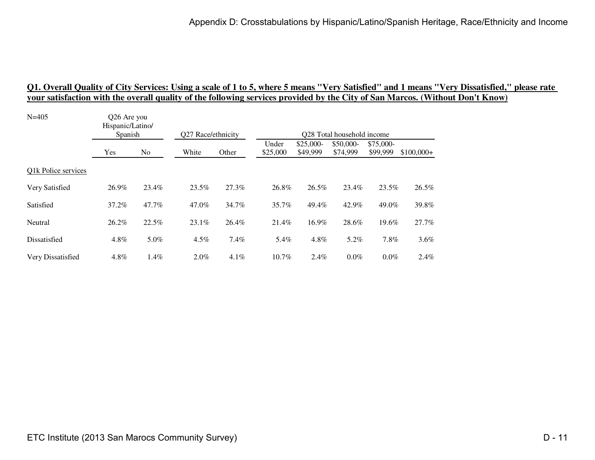# <u>01. Overall Quality of City Services: Using a scale of 1 to 5, where 5 means ''Very Satisfied'' and 1 means ''Very Dissatisfied,'' please rate<br>your satisfaction with the overall quality of the following services provided </u>

| $N = 405$           | Q26 Are you<br>Hispanic/Latino/ |                | Q27 Race/ethnicity |       |                            |                        |                       |                       |             |  |  |  |
|---------------------|---------------------------------|----------------|--------------------|-------|----------------------------|------------------------|-----------------------|-----------------------|-------------|--|--|--|
|                     | Spanish                         |                |                    |       | Q28 Total household income |                        |                       |                       |             |  |  |  |
|                     | Yes                             | N <sub>o</sub> | White              | Other | Under<br>\$25,000          | $$25,000-$<br>\$49,999 | \$50,000-<br>\$74,999 | \$75,000-<br>\$99,999 | $$100,000+$ |  |  |  |
| Q1k Police services |                                 |                |                    |       |                            |                        |                       |                       |             |  |  |  |
| Very Satisfied      | 26.9%                           | 23.4%          | 23.5%              | 27.3% | 26.8%                      | 26.5%                  | 23.4%                 | 23.5%                 | 26.5%       |  |  |  |
| Satisfied           | 37.2%                           | 47.7%          | 47.0%              | 34.7% | 35.7%                      | 49.4%                  | 42.9%                 | 49.0%                 | 39.8%       |  |  |  |
| Neutral             | 26.2%                           | 22.5%          | 23.1%              | 26.4% | 21.4%                      | 16.9%                  | 28.6%                 | 19.6%                 | 27.7%       |  |  |  |
| Dissatisfied        | 4.8%                            | 5.0%           | 4.5%               | 7.4%  | 5.4%                       | 4.8%                   | 5.2%                  | 7.8%                  | $3.6\%$     |  |  |  |
| Very Dissatisfied   | 4.8%                            | 1.4%           | 2.0%               | 4.1%  | 10.7%                      | 2.4%                   | 0.0%                  | $0.0\%$               | 2.4%        |  |  |  |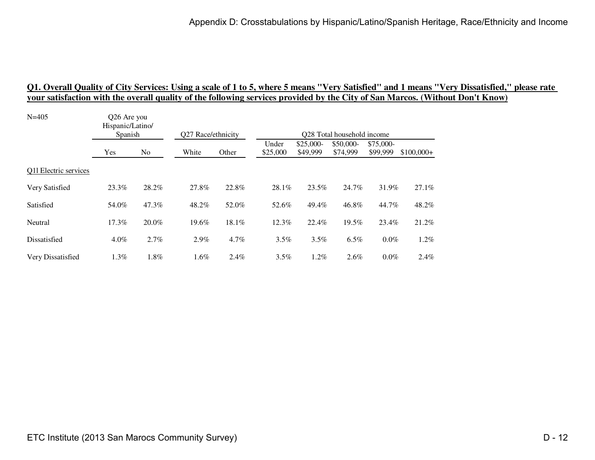| Hispanic/Latino/<br>Spanish |                | Q27 Race/ethnicity |         | Q28 Total household income |                        |                       |                       |                                               |  |
|-----------------------------|----------------|--------------------|---------|----------------------------|------------------------|-----------------------|-----------------------|-----------------------------------------------|--|
| Yes                         | N <sub>o</sub> | White              | Other   | Under<br>\$25,000          | $$25,000-$<br>\$49,999 | \$50,000-<br>\$74,999 | \$75,000-<br>\$99,999 | $$100,000+$                                   |  |
|                             |                |                    |         |                            |                        |                       |                       |                                               |  |
| 23.3%                       | 28.2%          | 27.8%              | 22.8%   | 28.1%                      | 23.5%                  | 24.7%                 |                       | 27.1%                                         |  |
| 54.0%                       | 47.3%          | 48.2%              | 52.0%   | 52.6%                      | 49.4%                  | 46.8%                 |                       | 48.2%                                         |  |
| 17.3%                       | 20.0%          | 19.6%              | 18.1%   | 12.3%                      | 22.4%                  | 19.5%                 |                       | 21.2%                                         |  |
| $4.0\%$                     | 2.7%           | 2.9%               | 4.7%    | $3.5\%$                    | 3.5%                   | 6.5%                  |                       | 1.2%                                          |  |
| 1.3%                        | 1.8%           | 1.6%               | $2.4\%$ | 3.5%                       | 1.2%                   | 2.6%                  |                       | 2.4%                                          |  |
|                             |                | Q26 Are you        |         |                            |                        |                       |                       | 31.9%<br>44.7%<br>23.4%<br>$0.0\%$<br>$0.0\%$ |  |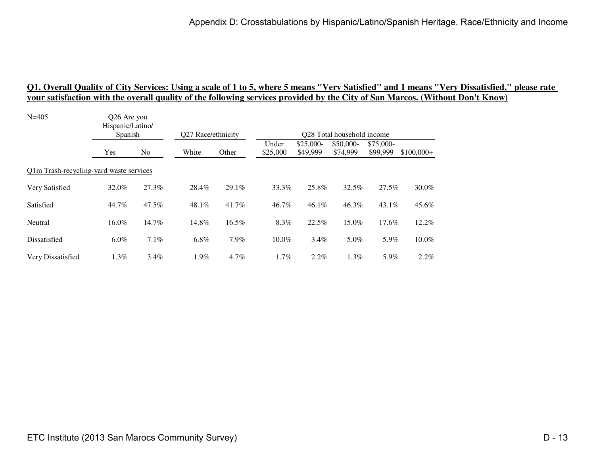| O <sub>26</sub> Are you<br>Hispanic/Latino/ |         |                                                    |         | Q28 Total household income |          |            |           |                                                         |
|---------------------------------------------|---------|----------------------------------------------------|---------|----------------------------|----------|------------|-----------|---------------------------------------------------------|
|                                             |         |                                                    |         |                            |          |            |           |                                                         |
| Yes                                         | No      | White                                              | Other   | \$25,000                   | \$49,999 | \$74,999   | \$99,999  | $$100,000+$                                             |
|                                             |         |                                                    |         |                            |          |            |           |                                                         |
| 32.0%                                       | 27.3%   | 28.4%                                              | 29.1%   | 33.3%                      | 25.8%    | 32.5%      |           | 30.0%                                                   |
| 44.7%                                       | 47.5%   | 48.1%                                              | 41.7%   | 46.7%                      | $46.1\%$ | 46.3%      |           | 45.6%                                                   |
| 16.0%                                       | 14.7%   | 14.8%                                              | 16.5%   | 8.3%                       | 22.5%    | 15.0%      |           | 12.2%                                                   |
| $6.0\%$                                     | 7.1%    | $6.8\%$                                            | 7.9%    | 10.0%                      | $3.4\%$  | 5.0%       |           | 10.0%                                                   |
| $1.3\%$                                     | $3.4\%$ | $1.9\%$                                            | $4.7\%$ | $1.7\%$                    | 2.2%     | $1.3\%$    |           | 2.2%                                                    |
|                                             |         | Spanish<br>Q1m Trash-recycling-yard waste services |         | Q27 Race/ethnicity         | Under    | $$25,000-$ | \$50,000- | \$75,000-<br>27.5%<br>$43.1\%$<br>17.6%<br>5.9%<br>5.9% |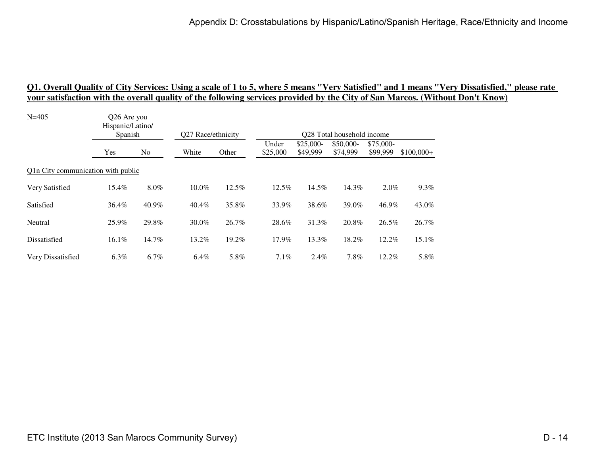| Hispanic/Latino/<br>Spanish |         |                                                   |       | Q28 Total household income |                        |                       |                       |                                                |
|-----------------------------|---------|---------------------------------------------------|-------|----------------------------|------------------------|-----------------------|-----------------------|------------------------------------------------|
| Yes                         | No      | White                                             | Other | Under<br>\$25,000          | $$25,000-$<br>\$49,999 | \$50,000-<br>\$74,999 | \$75,000-<br>\$99,999 | $$100,000+$                                    |
|                             |         |                                                   |       |                            |                        |                       |                       |                                                |
| 15.4%                       | 8.0%    | 10.0%                                             | 12.5% | 12.5%                      | 14.5%                  | 14.3%                 |                       | 9.3%                                           |
| 36.4%                       | 40.9%   | 40.4%                                             | 35.8% | 33.9%                      | 38.6%                  | 39.0%                 |                       | 43.0%                                          |
| 25.9%                       | 29.8%   | 30.0%                                             | 26.7% | 28.6%                      | 31.3%                  | 20.8%                 |                       | 26.7%                                          |
| 16.1%                       | 14.7%   | 13.2%                                             | 19.2% | 17.9%                      | 13.3%                  | 18.2%                 |                       | 15.1%                                          |
| $6.3\%$                     | $6.7\%$ | 6.4%                                              | 5.8%  | $7.1\%$                    | 2.4%                   | 7.8%                  |                       | 5.8%                                           |
|                             |         | Q26 Are you<br>Q1n City communication with public |       | Q27 Race/ethnicity         |                        |                       |                       | $2.0\%$<br>46.9%<br>26.5%<br>12.2%<br>$12.2\%$ |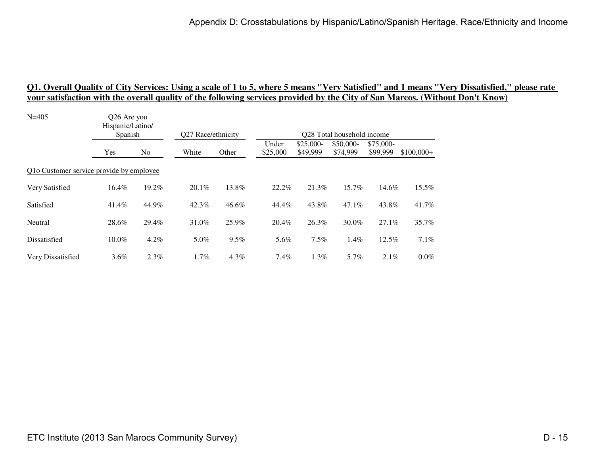| O <sub>26</sub> Are you<br>Hispanic/Latino/ |         |                                                     |         |                    |                        |                       |                       |                                                                              |
|---------------------------------------------|---------|-----------------------------------------------------|---------|--------------------|------------------------|-----------------------|-----------------------|------------------------------------------------------------------------------|
|                                             |         |                                                     |         |                    |                        |                       |                       |                                                                              |
| Yes                                         | No.     | White                                               | Other   | Under<br>\$25,000  | $$25,000-$<br>\$49,999 | \$50,000-<br>\$74,999 | \$75,000-<br>\$99,999 | $$100,000+$                                                                  |
|                                             |         |                                                     |         |                    |                        |                       |                       |                                                                              |
| 16.4%                                       | 19.2%   | $20.1\%$                                            | 13.8%   | 22.2%              | 21.3%                  | 15.7%                 |                       | 15.5%                                                                        |
| 41.4%                                       | 44.9%   | 42.3%                                               | 46.6%   | 44.4%              | 43.8%                  | $47.1\%$              |                       | 41.7%                                                                        |
| 28.6%                                       | 29.4%   | 31.0%                                               | 25.9%   | 20.4%              | 26.3%                  | $30.0\%$              |                       | 35.7%                                                                        |
| 10.0%                                       | $4.2\%$ | 5.0%                                                | 9.5%    | 5.6%               | 7.5%                   | $1.4\%$               |                       | 7.1%                                                                         |
| $3.6\%$                                     | $2.3\%$ | 1.7%                                                | $4.3\%$ | 7.4%               | $1.3\%$                | 5.7%                  |                       | $0.0\%$                                                                      |
|                                             |         | Spanish<br>Q1o Customer service provide by employee |         | Q27 Race/ethnicity |                        |                       |                       | Q28 Total household income<br>14.6%<br>43.8%<br>$27.1\%$<br>12.5%<br>$2.1\%$ |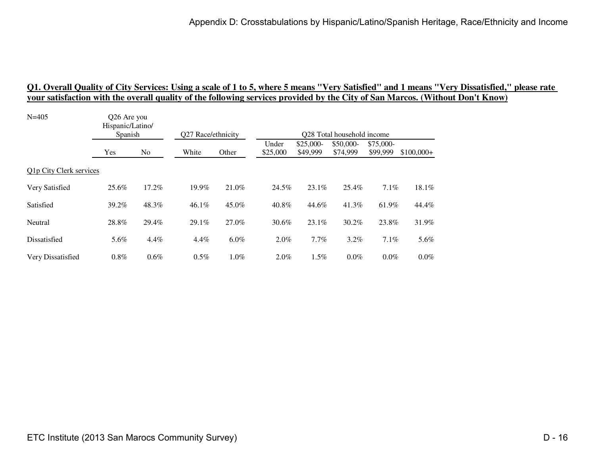| Q26 Are you<br>Hispanic/Latino/ |         |          |         | Q28 Total household income |          |            |           |             |
|---------------------------------|---------|----------|---------|----------------------------|----------|------------|-----------|-------------|
|                                 |         |          |         |                            |          |            |           |             |
| Yes                             | No      | White    | Other   | \$25,000                   | \$49,999 | \$74,999   | \$99,999  | $$100,000+$ |
| Q1p City Clerk services         |         |          |         |                            |          |            |           |             |
| 25.6%                           | 17.2%   | 19.9%    | 21.0%   | 24.5%                      | 23.1%    | 25.4%      | 7.1%      | 18.1%       |
| 39.2%                           | 48.3%   | $46.1\%$ | 45.0%   | 40.8%                      | 44.6%    | 41.3%      | 61.9%     | 44.4%       |
| 28.8%                           | 29.4%   | 29.1%    | 27.0%   | 30.6%                      | 23.1%    | 30.2%      | 23.8%     | 31.9%       |
| 5.6%                            | 4.4%    | 4.4%     | $6.0\%$ | 2.0%                       | 7.7%     | 3.2%       | 7.1%      | 5.6%        |
| $0.8\%$                         | $0.6\%$ | $0.5\%$  | $1.0\%$ | $2.0\%$                    | $1.5\%$  | $0.0\%$    | $0.0\%$   | $0.0\%$     |
|                                 |         | Spanish  |         | Q27 Race/ethnicity         | Under    | $$25,000-$ | \$50,000- | \$75,000-   |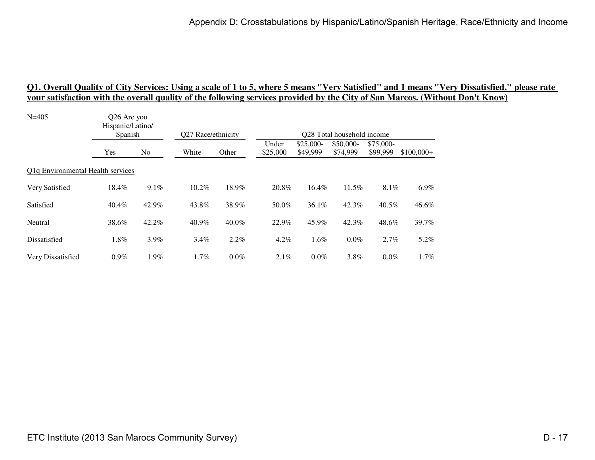| $N = 405$                                      | Q26 Are you<br>Hispanic/Latino/<br>Spanish |       |                    |         | Q28 Total household income |            |           |           |             |
|------------------------------------------------|--------------------------------------------|-------|--------------------|---------|----------------------------|------------|-----------|-----------|-------------|
|                                                |                                            |       | Q27 Race/ethnicity |         | Under                      | $$25,000-$ | \$50,000- | \$75,000- |             |
|                                                | Yes                                        | No    | White              | Other   | \$25,000                   | \$49,999   | \$74,999  | \$99,999  | $$100,000+$ |
| Q <sub>1</sub> q Environmental Health services |                                            |       |                    |         |                            |            |           |           |             |
| Very Satisfied                                 | 18.4%                                      | 9.1%  | 10.2%              | 18.9%   | 20.8%                      | $16.4\%$   | 11.5%     | $8.1\%$   | 6.9%        |
| Satisfied                                      | $40.4\%$                                   | 42.9% | 43.8%              | 38.9%   | 50.0%                      | $36.1\%$   | 42.3%     | $40.5\%$  | 46.6%       |
| Neutral                                        | 38.6%                                      | 42.2% | 40.9%              | 40.0%   | 22.9%                      | 45.9%      | 42.3%     | 48.6%     | 39.7%       |
| Dissatisfied                                   | 1.8%                                       | 3.9%  | $3.4\%$            | 2.2%    | $4.2\%$                    | 1.6%       | $0.0\%$   | 2.7%      | 5.2%        |
| Very Dissatisfied                              | $0.9\%$                                    | 1.9%  | 1.7%               | $0.0\%$ | $2.1\%$                    | $0.0\%$    | 3.8%      | $0.0\%$   | 1.7%        |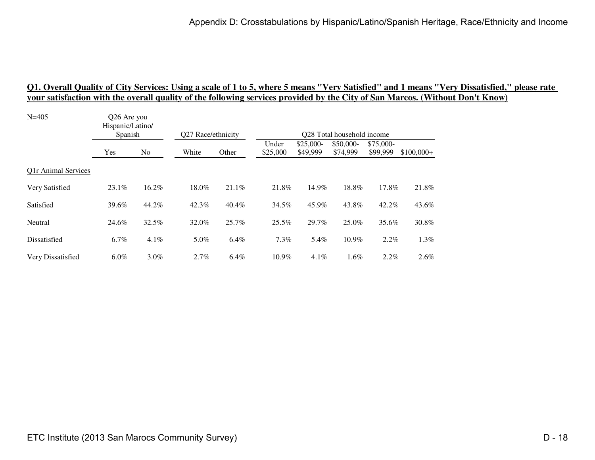| $N = 405$           | Q26 Are you<br>Hispanic/Latino/<br>Spanish |                | Q27 Race/ethnicity |          | Q28 Total household income |                        |                       |                       |             |  |
|---------------------|--------------------------------------------|----------------|--------------------|----------|----------------------------|------------------------|-----------------------|-----------------------|-------------|--|
|                     | Yes                                        | N <sub>o</sub> | White              | Other    | Under<br>\$25,000          | $$25,000-$<br>\$49,999 | \$50,000-<br>\$74,999 | \$75,000-<br>\$99,999 | $$100,000+$ |  |
| Q1r Animal Services |                                            |                |                    |          |                            |                        |                       |                       |             |  |
| Very Satisfied      | 23.1%                                      | 16.2%          | 18.0%              | 21.1%    | 21.8%                      | 14.9%                  | 18.8%                 | 17.8%                 | 21.8%       |  |
| Satisfied           | 39.6%                                      | 44.2%          | 42.3%              | $40.4\%$ | 34.5%                      | 45.9%                  | 43.8%                 | 42.2%                 | 43.6%       |  |
| Neutral             | 24.6%                                      | 32.5%          | 32.0%              | 25.7%    | 25.5%                      | 29.7%                  | 25.0%                 | 35.6%                 | 30.8%       |  |
| Dissatisfied        | $6.7\%$                                    | 4.1%           | 5.0%               | 6.4%     | 7.3%                       | 5.4%                   | 10.9%                 | $2.2\%$               | 1.3%        |  |
| Very Dissatisfied   | $6.0\%$                                    | $3.0\%$        | 2.7%               | 6.4%     | 10.9%                      | 4.1%                   | 1.6%                  | $2.2\%$               | 2.6%        |  |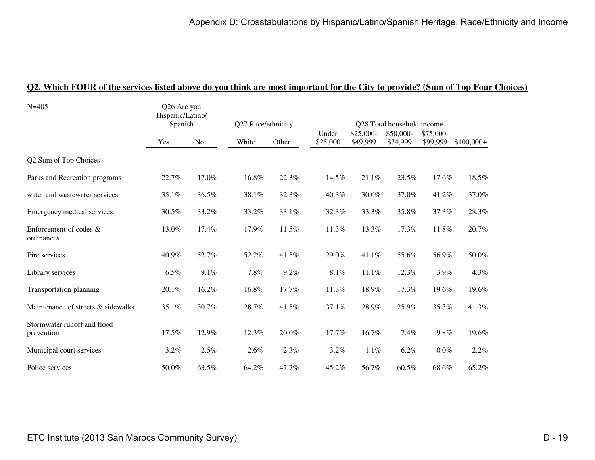| $N = 405$                                 | Q26 Are you<br>Hispanic/Latino/<br>Spanish |                | Q27 Race/ethnicity |       | Q28 Total household income |                       |                       |                       |             |  |
|-------------------------------------------|--------------------------------------------|----------------|--------------------|-------|----------------------------|-----------------------|-----------------------|-----------------------|-------------|--|
|                                           |                                            |                |                    |       |                            |                       |                       |                       |             |  |
|                                           | Yes                                        | N <sub>o</sub> | White              | Other | Under<br>\$25,000          | \$25,000-<br>\$49,999 | \$50,000-<br>\$74,999 | \$75,000-<br>\$99,999 | $$100,000+$ |  |
| Q2 Sum of Top Choices                     |                                            |                |                    |       |                            |                       |                       |                       |             |  |
| Parks and Recreation programs             | 22.7%                                      | 17.0%          | 16.8%              | 22.3% | 14.5%                      | 21.1%                 | 23.5%                 | 17.6%                 | 18.5%       |  |
| water and wastewater services             | 35.1%                                      | 36.5%          | 38.1%              | 32.3% | 40.3%                      | 30.0%                 | 37.0%                 | 41.2%                 | 37.0%       |  |
| Emergency medical services                | 30.5%                                      | 33.2%          | 33.2%              | 33.1% | 32.3%                      | 33.3%                 | 35.8%                 | 37.3%                 | 28.3%       |  |
| Enforcement of codes &<br>ordinances      | 13.0%                                      | 17.4%          | 17.9%              | 11.5% | 11.3%                      | 13.3%                 | 17.3%                 | 11.8%                 | 20.7%       |  |
| Fire services                             | 40.9%                                      | 52.7%          | 52.2%              | 41.5% | 29.0%                      | 41.1%                 | 55.6%                 | 56.9%                 | 50.0%       |  |
| Library services                          | 6.5%                                       | 9.1%           | 7.8%               | 9.2%  | $8.1\%$                    | 11.1%                 | 12.3%                 | 3.9%                  | 4.3%        |  |
| Transportation planning                   | 20.1%                                      | 16.2%          | 16.8%              | 17.7% | 11.3%                      | 18.9%                 | 17.3%                 | 19.6%                 | 19.6%       |  |
| Maintenance of streets & sidewalks        | 35.1%                                      | 30.7%          | 28.7%              | 41.5% | 37.1%                      | 28.9%                 | 25.9%                 | 35.3%                 | 41.3%       |  |
| Stormwater runoff and flood<br>prevention | 17.5%                                      | 12.9%          | 12.3%              | 20.0% | 17.7%                      | 16.7%                 | 7.4%                  | 9.8%                  | 19.6%       |  |
| Municipal court services                  | 3.2%                                       | 2.5%           | 2.6%               | 2.3%  | 3.2%                       | 1.1%                  | 6.2%                  | $0.0\%$               | 2.2%        |  |
| Police services                           | 50.0%                                      | 63.5%          | 64.2%              | 47.7% | 45.2%                      | 56.7%                 | 60.5%                 | 68.6%                 | 65.2%       |  |

#### **Q2. Which FOUR of the services listed above do you think are most important for the City to provide? (Sum of Top Four Choices)**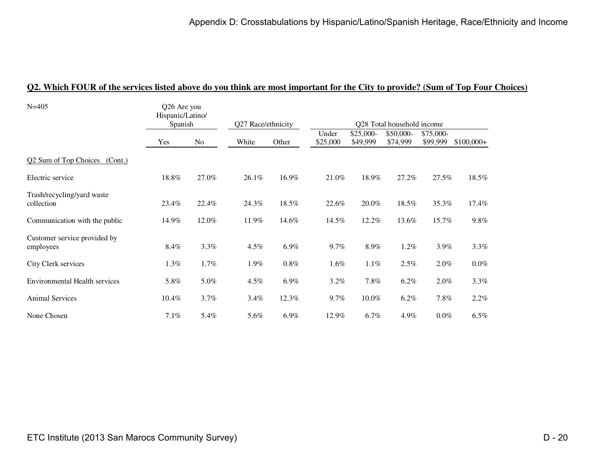| $N = 405$                            | Q26 Are you<br>Hispanic/Latino/<br>Spanish |       |                    |         |          |            |                            |           |             |
|--------------------------------------|--------------------------------------------|-------|--------------------|---------|----------|------------|----------------------------|-----------|-------------|
|                                      |                                            |       | Q27 Race/ethnicity |         |          |            | Q28 Total household income |           |             |
|                                      |                                            |       |                    |         | Under    | $$25,000-$ | \$50,000-                  | \$75,000- |             |
|                                      | Yes                                        | No    | White              | Other   | \$25,000 | \$49,999   | \$74,999                   | \$99,999  | $$100,000+$ |
| Q2 Sum of Top Choices<br>(Cont.)     |                                            |       |                    |         |          |            |                            |           |             |
| Electric service                     | 18.8%                                      | 27.0% | $26.1\%$           | 16.9%   | 21.0%    | 18.9%      | 27.2%                      | 27.5%     | $18.5\%$    |
| Trash/recycling/yard waste           |                                            |       |                    |         |          |            |                            |           |             |
| collection                           | 23.4%                                      | 22.4% | 24.3%              | 18.5%   | 22.6%    | 20.0%      | 18.5%                      | 35.3%     | 17.4%       |
| Communication with the public        | 14.9%                                      | 12.0% | 11.9%              | 14.6%   | 14.5%    | 12.2%      | 13.6%                      | 15.7%     | 9.8%        |
| Customer service provided by         |                                            |       |                    |         |          |            |                            |           |             |
| employees                            | 8.4%                                       | 3.3%  | 4.5%               | 6.9%    | 9.7%     | 8.9%       | 1.2%                       | 3.9%      | 3.3%        |
| City Clerk services                  | 1.3%                                       | 1.7%  | 1.9%               | $0.8\%$ | 1.6%     | 1.1%       | 2.5%                       | 2.0%      | $0.0\%$     |
| <b>Environmental Health services</b> | 5.8%                                       | 5.0%  | 4.5%               | 6.9%    | 3.2%     | 7.8%       | 6.2%                       | 2.0%      | 3.3%        |
| <b>Animal Services</b>               | 10.4%                                      | 3.7%  | 3.4%               | 12.3%   | 9.7%     | 10.0%      | 6.2%                       | 7.8%      | 2.2%        |
| None Chosen                          | 7.1%                                       | 5.4%  | 5.6%               | 6.9%    | 12.9%    | $6.7\%$    | $4.9\%$                    | $0.0\%$   | $6.5\%$     |

#### **Q2. Which FOUR of the services listed above do you think are most important for the City to provide? (Sum of Top Four Choices)**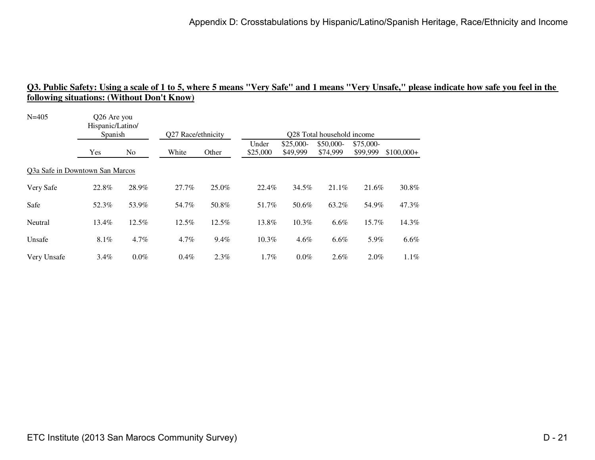| $N = 405$                       | Q26 Are you<br>Hispanic/Latino/<br>Spanish |                | Q27 Race/ethnicity |       | Q28 Total household income |                        |                        |                       |             |  |  |
|---------------------------------|--------------------------------------------|----------------|--------------------|-------|----------------------------|------------------------|------------------------|-----------------------|-------------|--|--|
|                                 | Yes                                        | N <sub>o</sub> | White              | Other | Under<br>\$25,000          | $$25,000-$<br>\$49,999 | $$50,000-$<br>\$74,999 | \$75,000-<br>\$99,999 | $$100,000+$ |  |  |
| Q3a Safe in Downtown San Marcos |                                            |                |                    |       |                            |                        |                        |                       |             |  |  |
| Very Safe                       | 22.8%                                      | 28.9%          | 27.7%              | 25.0% | 22.4%                      | 34.5%                  | 21.1%                  | 21.6%                 | 30.8%       |  |  |
| Safe                            | 52.3%                                      | 53.9%          | 54.7%              | 50.8% | 51.7%                      | 50.6%                  | 63.2%                  | 54.9%                 | 47.3%       |  |  |
| Neutral                         | 13.4%                                      | 12.5%          | 12.5%              | 12.5% | 13.8%                      | 10.3%                  | 6.6%                   | 15.7%                 | 14.3%       |  |  |
| Unsafe                          | 8.1%                                       | 4.7%           | $4.7\%$            | 9.4%  | 10.3%                      | $4.6\%$                | 6.6%                   | 5.9%                  | 6.6%        |  |  |
| Very Unsafe                     | 3.4%                                       | $0.0\%$        | 0.4%               | 2.3%  | 1.7%                       | $0.0\%$                | $2.6\%$                | 2.0%                  | 1.1%        |  |  |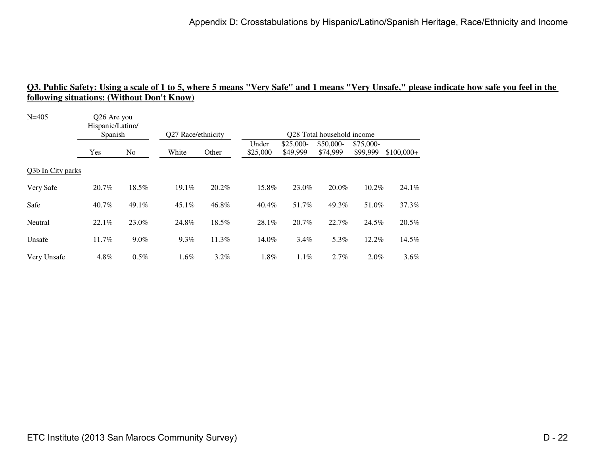| $N = 405$         | Q26 Are you<br>Hispanic/Latino/<br>Spanish |                | Q27 Race/ethnicity |       | Q28 Total household income |                        |                       |                       |             |  |
|-------------------|--------------------------------------------|----------------|--------------------|-------|----------------------------|------------------------|-----------------------|-----------------------|-------------|--|
|                   | Yes                                        | N <sub>o</sub> | White              | Other | Under<br>\$25,000          | $$25,000-$<br>\$49,999 | \$50,000-<br>\$74,999 | \$75,000-<br>\$99,999 | $$100,000+$ |  |
| Q3b In City parks |                                            |                |                    |       |                            |                        |                       |                       |             |  |
| Very Safe         | 20.7%                                      | 18.5%          | 19.1%              | 20.2% | 15.8%                      | 23.0%                  | 20.0%                 | 10.2%                 | 24.1%       |  |
| Safe              | 40.7%                                      | 49.1%          | 45.1%              | 46.8% | $40.4\%$                   | 51.7%                  | 49.3%                 | 51.0%                 | 37.3%       |  |
| Neutral           | 22.1%                                      | 23.0%          | 24.8%              | 18.5% | 28.1%                      | 20.7%                  | 22.7%                 | 24.5%                 | 20.5%       |  |
| Unsafe            | 11.7%                                      | 9.0%           | $9.3\%$            | 11.3% | 14.0%                      | 3.4%                   | 5.3%                  | 12.2%                 | 14.5%       |  |
| Very Unsafe       | 4.8%                                       | 0.5%           | 1.6%               | 3.2%  | 1.8%                       | $1.1\%$                | 2.7%                  | 2.0%                  | 3.6%        |  |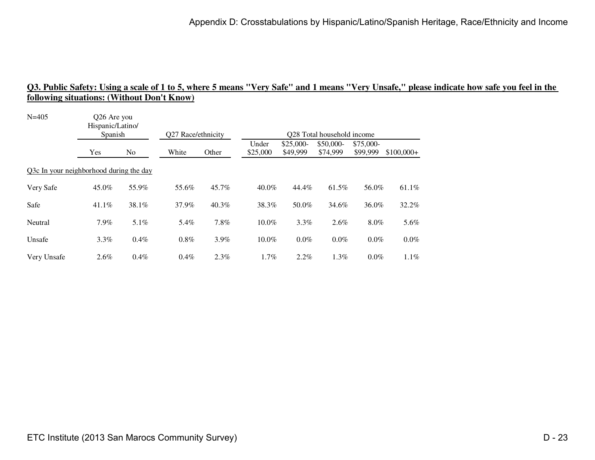| $N = 405$                               | Q26 Are you<br>Hispanic/Latino/<br>Spanish |                | Q27 Race/ethnicity |       |                   |                        | Q28 Total household income |                       |             |
|-----------------------------------------|--------------------------------------------|----------------|--------------------|-------|-------------------|------------------------|----------------------------|-----------------------|-------------|
|                                         | Yes                                        | N <sub>o</sub> | White              | Other | Under<br>\$25,000 | $$25,000-$<br>\$49,999 | $$50,000-$<br>\$74,999     | \$75,000-<br>\$99,999 | $$100,000+$ |
| Q3c In your neighborhood during the day |                                            |                |                    |       |                   |                        |                            |                       |             |
| Very Safe                               | 45.0%                                      | 55.9%          | 55.6%              | 45.7% | 40.0%             | 44.4%                  | 61.5%                      | 56.0%                 | 61.1%       |
| Safe                                    | $41.1\%$                                   | 38.1%          | 37.9%              | 40.3% | 38.3%             | 50.0%                  | 34.6%                      | 36.0%                 | 32.2%       |
| Neutral                                 | 7.9%                                       | 5.1%           | 5.4%               | 7.8%  | 10.0%             | 3.3%                   | 2.6%                       | 8.0%                  | 5.6%        |
| Unsafe                                  | 3.3%                                       | $0.4\%$        | 0.8%               | 3.9%  | 10.0%             | $0.0\%$                | 0.0%                       | 0.0%                  | 0.0%        |
| Very Unsafe                             | 2.6%                                       | $0.4\%$        | 0.4%               | 2.3%  | 1.7%              | $2.2\%$                | 1.3%                       | $0.0\%$               | 1.1%        |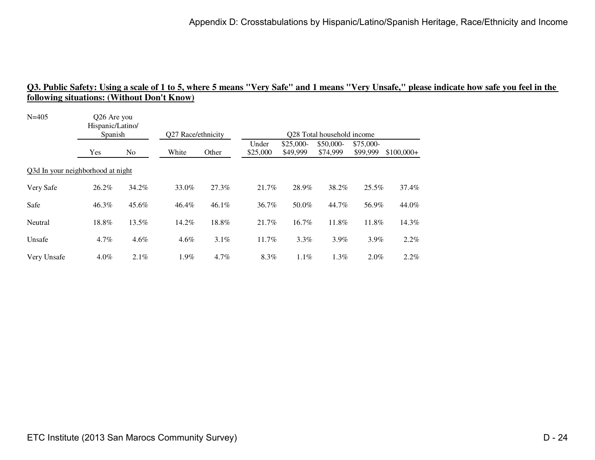| $N = 405$                         | Q26 Are you<br>Hispanic/Latino/<br>Spanish |                | Q27 Race/ethnicity |       | Q28 Total household income |                        |                        |                        |             |  |  |
|-----------------------------------|--------------------------------------------|----------------|--------------------|-------|----------------------------|------------------------|------------------------|------------------------|-------------|--|--|
|                                   | Yes                                        | N <sub>o</sub> | White              | Other | Under<br>\$25,000          | $$25,000-$<br>\$49,999 | $$50,000-$<br>\$74,999 | $$75,000-$<br>\$99,999 | $$100,000+$ |  |  |
| Q3d In your neighborhood at night |                                            |                |                    |       |                            |                        |                        |                        |             |  |  |
| Very Safe                         | 26.2%                                      | 34.2%          | 33.0%              | 27.3% | 21.7%                      | 28.9%                  | 38.2%                  | 25.5%                  | 37.4%       |  |  |
| Safe                              | 46.3%                                      | 45.6%          | 46.4%              | 46.1% | 36.7%                      | 50.0%                  | 44.7%                  | 56.9%                  | 44.0%       |  |  |
| Neutral                           | 18.8%                                      | 13.5%          | 14.2%              | 18.8% | 21.7%                      | 16.7%                  | 11.8%                  | 11.8%                  | 14.3%       |  |  |
| Unsafe                            | 4.7%                                       | 4.6%           | 4.6%               | 3.1%  | 11.7%                      | 3.3%                   | 3.9%                   | 3.9%                   | 2.2%        |  |  |
| Very Unsafe                       | 4.0%                                       | 2.1%           | 1.9%               | 4.7%  | 8.3%                       | 1.1%                   | 1.3%                   | $2.0\%$                | 2.2%        |  |  |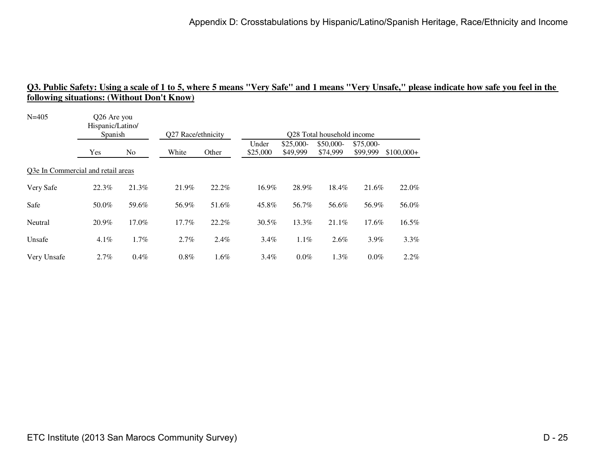| $N = 405$                          |         | Q26 Are you<br>Hispanic/Latino/<br>Spanish |       | Q27 Race/ethnicity |                   | Q28 Total household income |                        |                       |             |  |  |  |
|------------------------------------|---------|--------------------------------------------|-------|--------------------|-------------------|----------------------------|------------------------|-----------------------|-------------|--|--|--|
|                                    | Yes     | N <sub>o</sub>                             | White | Other              | Under<br>\$25,000 | $$25,000-$<br>\$49,999     | $$50,000-$<br>\$74,999 | \$75,000-<br>\$99,999 | $$100,000+$ |  |  |  |
| Q3e In Commercial and retail areas |         |                                            |       |                    |                   |                            |                        |                       |             |  |  |  |
| Very Safe                          | 22.3%   | 21.3%                                      | 21.9% | 22.2%              | 16.9%             | 28.9%                      | 18.4%                  | 21.6%                 | 22.0%       |  |  |  |
| Safe                               | 50.0%   | 59.6%                                      | 56.9% | 51.6%              | 45.8%             | 56.7%                      | 56.6%                  | 56.9%                 | 56.0%       |  |  |  |
| Neutral                            | 20.9%   | 17.0%                                      | 17.7% | 22.2%              | 30.5%             | 13.3%                      | 21.1%                  | 17.6%                 | 16.5%       |  |  |  |
| Unsafe                             | $4.1\%$ | $1.7\%$                                    | 2.7%  | 2.4%               | $3.4\%$           | $1.1\%$                    | 2.6%                   | 3.9%                  | 3.3%        |  |  |  |
| Very Unsafe                        | 2.7%    | $0.4\%$                                    | 0.8%  | 1.6%               | $3.4\%$           | $0.0\%$                    | 1.3%                   | $0.0\%$               | 2.2%        |  |  |  |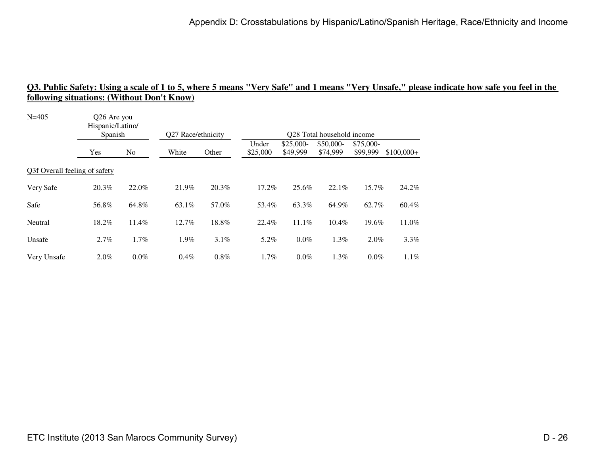| $N = 405$<br>Q26 Are you<br>Hispanic/Latino/<br>Spanish |         |                | Q27 Race/ethnicity |         |                   |                        | Q28 Total household income |                       |             |
|---------------------------------------------------------|---------|----------------|--------------------|---------|-------------------|------------------------|----------------------------|-----------------------|-------------|
|                                                         | Yes     | N <sub>o</sub> | White              | Other   | Under<br>\$25,000 | $$25,000-$<br>\$49,999 | $$50,000-$<br>\$74,999     | \$75,000-<br>\$99,999 | $$100,000+$ |
| Q3f Overall feeling of safety                           |         |                |                    |         |                   |                        |                            |                       |             |
| Very Safe                                               | 20.3%   | 22.0%          | 21.9%              | 20.3%   | 17.2%             | 25.6%                  | 22.1%                      | 15.7%                 | 24.2%       |
| Safe                                                    | 56.8%   | 64.8%          | 63.1%              | 57.0%   | 53.4%             | 63.3%                  | 64.9%                      | 62.7%                 | 60.4%       |
| Neutral                                                 | 18.2%   | 11.4%          | 12.7%              | 18.8%   | 22.4%             | 11.1%                  | $10.4\%$                   | 19.6%                 | 11.0%       |
| Unsafe                                                  | 2.7%    | 1.7%           | 1.9%               | 3.1%    | 5.2%              | $0.0\%$                | 1.3%                       | 2.0%                  | 3.3%        |
| Very Unsafe                                             | $2.0\%$ | $0.0\%$        | 0.4%               | $0.8\%$ | 1.7%              | 0.0%                   | 1.3%                       | $0.0\%$               | 1.1%        |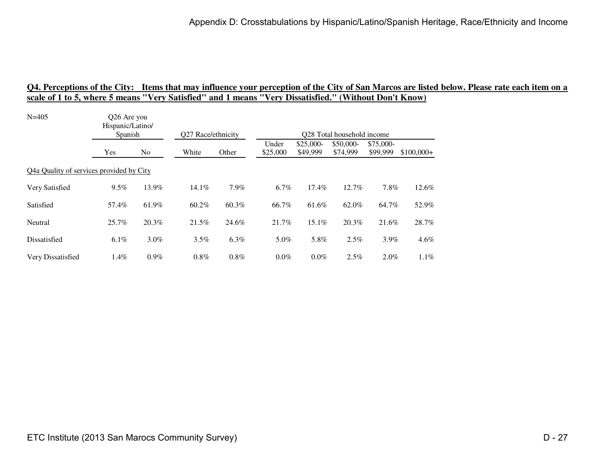| Hispanic/Latino/ |         |                                                                    | Q27 Race/ethnicity |                   |                        |                       |                       |                            |  |  |  |
|------------------|---------|--------------------------------------------------------------------|--------------------|-------------------|------------------------|-----------------------|-----------------------|----------------------------|--|--|--|
| Yes              | No      | White                                                              | Other              | Under<br>\$25,000 | $$25,000-$<br>\$49,999 | \$50,000-<br>\$74,999 | \$75,000-<br>\$99,999 | $$100,000+$                |  |  |  |
|                  |         |                                                                    |                    |                   |                        |                       |                       |                            |  |  |  |
| 9.5%             | 13.9%   | 14.1%                                                              | 7.9%               | 6.7%              | $17.4\%$               | 12.7%                 | 7.8%                  | 12.6%                      |  |  |  |
| 57.4%            | 61.9%   | 60.2%                                                              | 60.3%              | 66.7%             | 61.6%                  | 62.0%                 | 64.7%                 | 52.9%                      |  |  |  |
| 25.7%            | 20.3%   | 21.5%                                                              | 24.6%              | 21.7%             | 15.1%                  | 20.3%                 | 21.6%                 | 28.7%                      |  |  |  |
| $6.1\%$          | $3.0\%$ | 3.5%                                                               | 6.3%               | $5.0\%$           | 5.8%                   | 2.5%                  | $3.9\%$               | 4.6%                       |  |  |  |
| $1.4\%$          | $0.9\%$ | 0.8%                                                               | 0.8%               | $0.0\%$           | $0.0\%$                | 2.5%                  | 2.0%                  | 1.1%                       |  |  |  |
|                  |         | Q26 Are you<br>Spanish<br>Q4a Quality of services provided by City |                    |                   |                        |                       |                       | Q28 Total household income |  |  |  |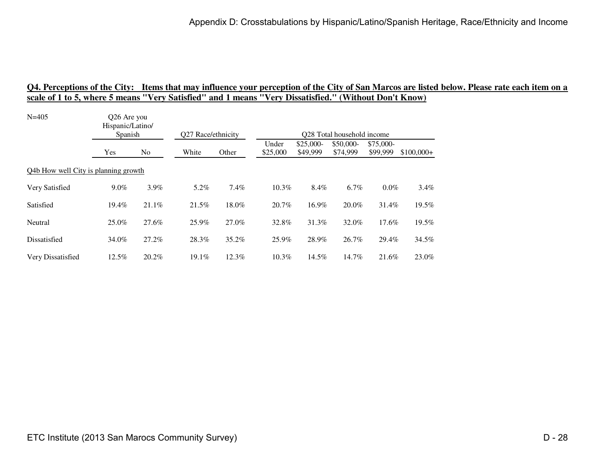| Hispanic/Latino/ |       |                                                                            |       |                    |                        |                       |                       |                                                                                       |  |  |  |
|------------------|-------|----------------------------------------------------------------------------|-------|--------------------|------------------------|-----------------------|-----------------------|---------------------------------------------------------------------------------------|--|--|--|
| Yes              | No    | White                                                                      | Other | Under<br>\$25,000  | $$25,000-$<br>\$49,999 | \$50,000-<br>\$74,999 | \$75,000-<br>\$99,999 | $$100,000+$                                                                           |  |  |  |
|                  |       |                                                                            |       |                    |                        |                       |                       |                                                                                       |  |  |  |
| 9.0%             | 3.9%  | 5.2%                                                                       | 7.4%  | 10.3%              | 8.4%                   | 6.7%                  |                       | 3.4%                                                                                  |  |  |  |
| 19.4%            | 21.1% | 21.5%                                                                      | 18.0% | 20.7%              | 16.9%                  | 20.0%                 |                       | 19.5%                                                                                 |  |  |  |
| 25.0%            | 27.6% | 25.9%                                                                      | 27.0% | 32.8%              | 31.3%                  | 32.0%                 |                       | 19.5%                                                                                 |  |  |  |
| 34.0%            | 27.2% | 28.3%                                                                      | 35.2% | 25.9%              | 28.9%                  | 26.7%                 |                       | 34.5%                                                                                 |  |  |  |
| $12.5\%$         | 20.2% | 19.1%                                                                      | 12.3% | $10.3\%$           | 14.5%                  | 14.7%                 |                       | 23.0%                                                                                 |  |  |  |
|                  |       | O <sub>26</sub> Are you<br>Spanish<br>Q4b How well City is planning growth |       | Q27 Race/ethnicity |                        |                       |                       | O <sub>28</sub> Total household income<br>$0.0\%$<br>31.4%<br>17.6%<br>29.4%<br>21.6% |  |  |  |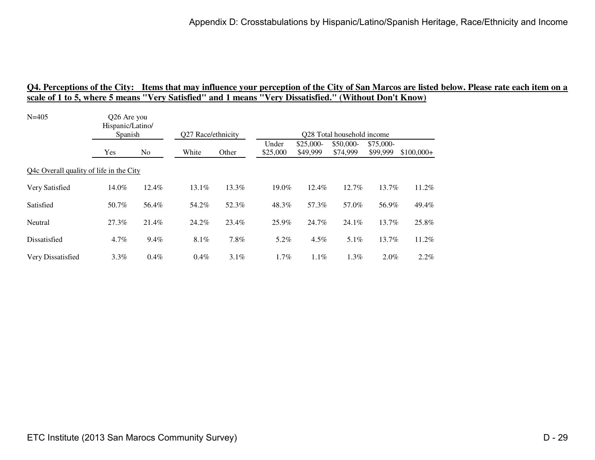| Hispanic/Latino/ |         |                                                                   | Q27 Race/ethnicity |                   | Q28 Total household income |                       |                       |             |  |  |  |
|------------------|---------|-------------------------------------------------------------------|--------------------|-------------------|----------------------------|-----------------------|-----------------------|-------------|--|--|--|
| Yes              | No      | White                                                             | Other              | Under<br>\$25,000 | $$25,000-$<br>\$49,999     | \$50,000-<br>\$74,999 | \$75,000-<br>\$99,999 | $$100,000+$ |  |  |  |
|                  |         |                                                                   |                    |                   |                            |                       |                       |             |  |  |  |
| 14.0%            | 12.4%   | 13.1%                                                             | 13.3%              | 19.0%             | 12.4%                      | 12.7%                 | 13.7%                 | 11.2%       |  |  |  |
| 50.7%            | 56.4%   | 54.2%                                                             | 52.3%              | 48.3%             | 57.3%                      | 57.0%                 | 56.9%                 | 49.4%       |  |  |  |
| 27.3%            | 21.4%   | 24.2%                                                             | 23.4%              | 25.9%             | 24.7%                      | 24.1%                 | 13.7%                 | 25.8%       |  |  |  |
| $4.7\%$          | 9.4%    | $8.1\%$                                                           | 7.8%               | 5.2%              | $4.5\%$                    | $5.1\%$               | 13.7%                 | 11.2%       |  |  |  |
| $3.3\%$          | $0.4\%$ | $0.4\%$                                                           | $3.1\%$            | $1.7\%$           | 1.1%                       | 1.3%                  | $2.0\%$               | 2.2%        |  |  |  |
|                  |         | Q26 Are you<br>Spanish<br>Q4c Overall quality of life in the City |                    |                   |                            |                       |                       |             |  |  |  |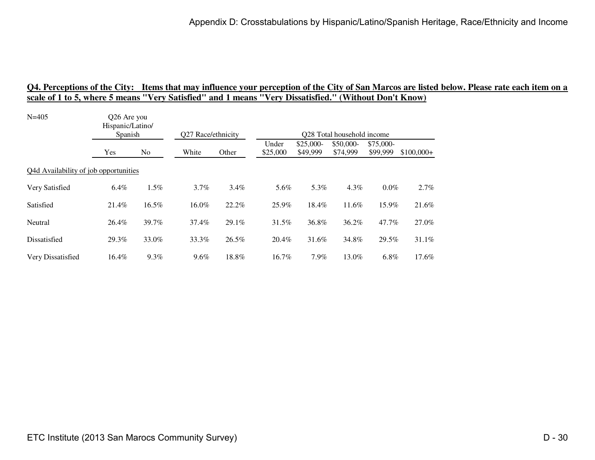| $N = 405$                             | Q26 Are you<br>Hispanic/Latino/<br>Spanish |         | Q27 Race/ethnicity |       | Q28 Total household income |            |           |           |             |  |  |
|---------------------------------------|--------------------------------------------|---------|--------------------|-------|----------------------------|------------|-----------|-----------|-------------|--|--|
|                                       |                                            |         |                    |       | Under                      | $$25,000-$ | \$50,000- | \$75,000- |             |  |  |
|                                       | Yes                                        | No.     | White              | Other | \$25,000                   | \$49,999   | \$74,999  | \$99,999  | $$100,000+$ |  |  |
| Q4d Availability of job opportunities |                                            |         |                    |       |                            |            |           |           |             |  |  |
| Very Satisfied                        | 6.4%                                       | 1.5%    | 3.7%               | 3.4%  | 5.6%                       | 5.3%       | 4.3%      | $0.0\%$   | 2.7%        |  |  |
| Satisfied                             | 21.4%                                      | 16.5%   | 16.0%              | 22.2% | 25.9%                      | 18.4%      | 11.6%     | 15.9%     | 21.6%       |  |  |
| Neutral                               | 26.4%                                      | 39.7%   | 37.4%              | 29.1% | 31.5%                      | 36.8%      | 36.2%     | 47.7%     | 27.0%       |  |  |
| Dissatisfied                          | 29.3%                                      | 33.0%   | 33.3%              | 26.5% | 20.4%                      | 31.6%      | 34.8%     | 29.5%     | 31.1%       |  |  |
| Very Dissatisfied                     | 16.4%                                      | $9.3\%$ | $9.6\%$            | 18.8% | 16.7%                      | 7.9%       | 13.0%     | $6.8\%$   | 17.6%       |  |  |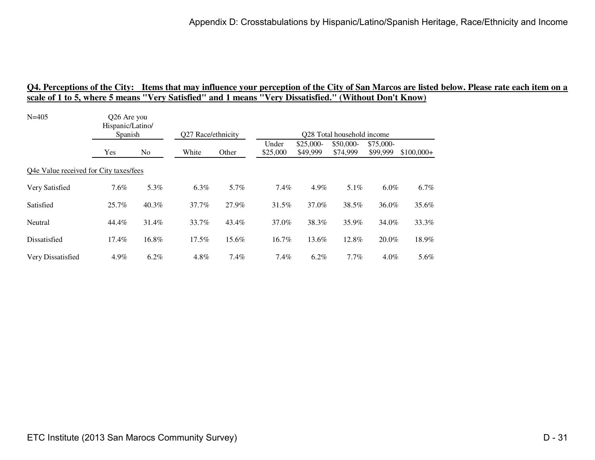| $N = 405$                              | Q26 Are you<br>Hispanic/Latino/<br>Spanish |         |                    |       | Q28 Total household income |            |           |           |             |  |  |
|----------------------------------------|--------------------------------------------|---------|--------------------|-------|----------------------------|------------|-----------|-----------|-------------|--|--|
|                                        |                                            |         | Q27 Race/ethnicity |       | Under                      | $$25,000-$ | \$50,000- | \$75,000- |             |  |  |
|                                        | Yes                                        | No.     | White              | Other | \$25,000                   | \$49,999   | \$74,999  | \$99,999  | $$100,000+$ |  |  |
| Q4e Value received for City taxes/fees |                                            |         |                    |       |                            |            |           |           |             |  |  |
| Very Satisfied                         | 7.6%                                       | 5.3%    | 6.3%               | 5.7%  | $7.4\%$                    | 4.9%       | 5.1%      | $6.0\%$   | 6.7%        |  |  |
| Satisfied                              | 25.7%                                      | 40.3%   | 37.7%              | 27.9% | 31.5%                      | 37.0%      | 38.5%     | 36.0%     | 35.6%       |  |  |
| Neutral                                | 44.4%                                      | 31.4%   | 33.7%              | 43.4% | 37.0%                      | 38.3%      | 35.9%     | 34.0%     | 33.3%       |  |  |
| Dissatisfied                           | 17.4%                                      | 16.8%   | $17.5\%$           | 15.6% | 16.7%                      | 13.6%      | 12.8%     | 20.0%     | 18.9%       |  |  |
| Very Dissatisfied                      | 4.9%                                       | $6.2\%$ | 4.8%               | 7.4%  | $7.4\%$                    | $6.2\%$    | 7.7%      | $4.0\%$   | 5.6%        |  |  |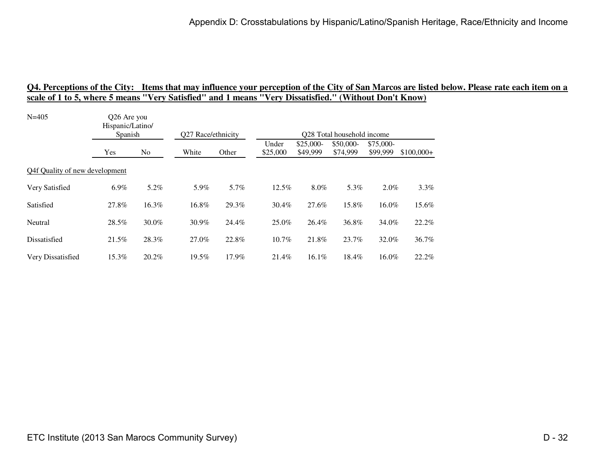| $N = 405$                      | Q26 Are you<br>Hispanic/Latino/ |       | Q27 Race/ethnicity<br>Q28 Total household income |       |                   |                        |                       |                       |             |
|--------------------------------|---------------------------------|-------|--------------------------------------------------|-------|-------------------|------------------------|-----------------------|-----------------------|-------------|
|                                | Spanish                         |       |                                                  |       |                   |                        |                       |                       |             |
|                                | Yes                             | No.   | White                                            | Other | Under<br>\$25,000 | $$25,000-$<br>\$49,999 | \$50,000-<br>\$74,999 | \$75,000-<br>\$99,999 | $$100,000+$ |
| Q4f Quality of new development |                                 |       |                                                  |       |                   |                        |                       |                       |             |
| Very Satisfied                 | 6.9%                            | 5.2%  | 5.9%                                             | 5.7%  | 12.5%             | 8.0%                   | 5.3%                  | $2.0\%$               | 3.3%        |
| Satisfied                      | 27.8%                           | 16.3% | 16.8%                                            | 29.3% | 30.4%             | 27.6%                  | 15.8%                 | 16.0%                 | 15.6%       |
| Neutral                        | 28.5%                           | 30.0% | 30.9%                                            | 24.4% | 25.0%             | 26.4%                  | 36.8%                 | 34.0%                 | 22.2%       |
| Dissatisfied                   | 21.5%                           | 28.3% | 27.0%                                            | 22.8% | $10.7\%$          | 21.8%                  | 23.7%                 | 32.0%                 | 36.7%       |
| Very Dissatisfied              | 15.3%                           | 20.2% | 19.5%                                            | 17.9% | 21.4%             | $16.1\%$               | $18.4\%$              | $16.0\%$              | 22.2%       |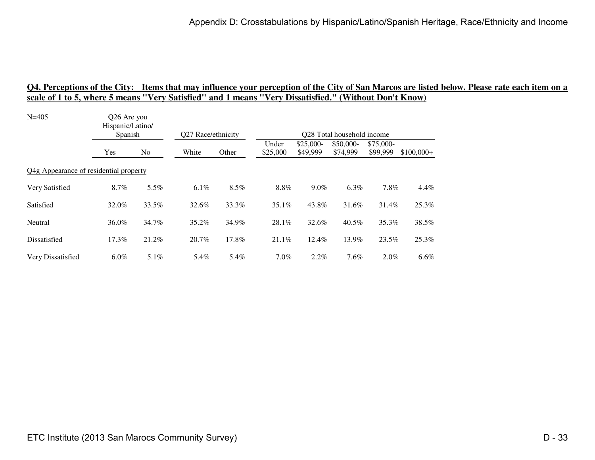| Hispanic/Latino/ |         |                                                                  |       |                    |          |            |           |                                                                                       |
|------------------|---------|------------------------------------------------------------------|-------|--------------------|----------|------------|-----------|---------------------------------------------------------------------------------------|
|                  |         |                                                                  |       |                    |          |            |           |                                                                                       |
| Yes              | No.     | White                                                            | Other | \$25,000           | \$49,999 | \$74,999   | \$99,999  | $$100,000+$                                                                           |
|                  |         |                                                                  |       |                    |          |            |           |                                                                                       |
| 8.7%             | 5.5%    | 6.1%                                                             | 8.5%  | 8.8%               | 9.0%     | 6.3%       |           | 4.4%                                                                                  |
| 32.0%            | 33.5%   | 32.6%                                                            | 33.3% | 35.1%              | 43.8%    | 31.6%      |           | 25.3%                                                                                 |
| 36.0%            | 34.7%   | 35.2%                                                            | 34.9% | 28.1%              | 32.6%    | 40.5%      |           | 38.5%                                                                                 |
| 17.3%            | 21.2%   | 20.7%                                                            | 17.8% | 21.1%              | 12.4%    | 13.9%      |           | 25.3%                                                                                 |
| $6.0\%$          | $5.1\%$ | 5.4%                                                             | 5.4%  | $7.0\%$            | 2.2%     | 7.6%       |           | 6.6%                                                                                  |
|                  |         | Q26 Are you<br>Spanish<br>Q4g Appearance of residential property |       | Q27 Race/ethnicity | Under    | $$25,000-$ | \$50,000- | Q28 Total household income<br>\$75,000-<br>7.8%<br>31.4%<br>35.3%<br>23.5%<br>$2.0\%$ |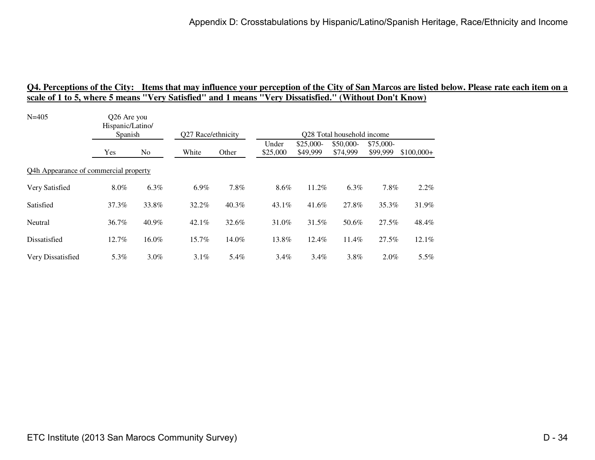| Hispanic/Latino/ |         |                                                                 |       |                            |                        |                       |                       |             |  |  |  |
|------------------|---------|-----------------------------------------------------------------|-------|----------------------------|------------------------|-----------------------|-----------------------|-------------|--|--|--|
|                  |         |                                                                 |       | Q28 Total household income |                        |                       |                       |             |  |  |  |
| Yes              | No.     | White                                                           | Other | Under<br>\$25,000          | $$25,000-$<br>\$49,999 | \$50,000-<br>\$74,999 | \$75,000-<br>\$99,999 | $$100,000+$ |  |  |  |
|                  |         |                                                                 |       |                            |                        |                       |                       |             |  |  |  |
| $8.0\%$          | 6.3%    | 6.9%                                                            | 7.8%  | 8.6%                       | 11.2%                  | 6.3%                  | 7.8%                  | 2.2%        |  |  |  |
| 37.3%            | 33.8%   | 32.2%                                                           | 40.3% | $43.1\%$                   | 41.6%                  | 27.8%                 | 35.3%                 | 31.9%       |  |  |  |
| 36.7%            | 40.9%   | $42.1\%$                                                        | 32.6% | 31.0%                      | 31.5%                  | 50.6%                 | 27.5%                 | 48.4%       |  |  |  |
| 12.7%            | 16.0%   | 15.7%                                                           | 14.0% | 13.8%                      | 12.4%                  | 11.4%                 | 27.5%                 | 12.1%       |  |  |  |
| 5.3%             | $3.0\%$ | $3.1\%$                                                         | 5.4%  | $3.4\%$                    | $3.4\%$                | 3.8%                  | $2.0\%$               | 5.5%        |  |  |  |
|                  |         | Q26 Are you<br>Spanish<br>Q4h Appearance of commercial property |       | Q27 Race/ethnicity         |                        |                       |                       |             |  |  |  |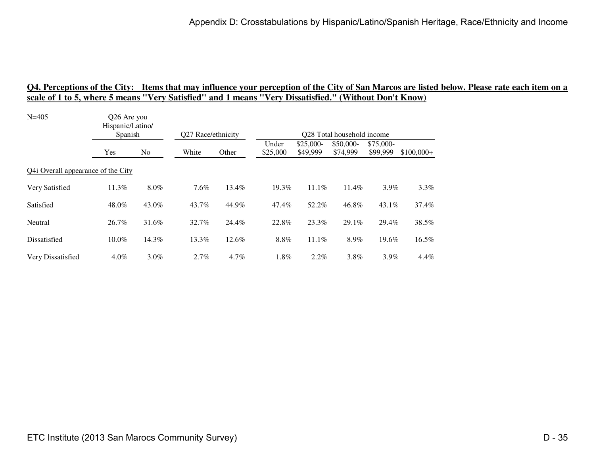| Hispanic/Latino/                   |         |                        |         |                    |                        |                       |                       |                            |  |  |  |
|------------------------------------|---------|------------------------|---------|--------------------|------------------------|-----------------------|-----------------------|----------------------------|--|--|--|
| Yes                                | No      | White                  | Other   | Under<br>\$25,000  | $$25,000-$<br>\$49,999 | \$50,000-<br>\$74,999 | \$75,000-<br>\$99,999 | $$100,000+$                |  |  |  |
| Q4i Overall appearance of the City |         |                        |         |                    |                        |                       |                       |                            |  |  |  |
| 11.3%                              | 8.0%    | 7.6%                   | 13.4%   | 19.3%              | 11.1%                  | 11.4%                 | 3.9%                  | 3.3%                       |  |  |  |
| 48.0%                              | 43.0%   | 43.7%                  | 44.9%   | 47.4%              | 52.2%                  | 46.8%                 | 43.1%                 | 37.4%                      |  |  |  |
| 26.7%                              | 31.6%   | 32.7%                  | 24.4%   | 22.8%              | 23.3%                  | 29.1%                 | 29.4%                 | 38.5%                      |  |  |  |
| $10.0\%$                           | 14.3%   | 13.3%                  | 12.6%   | 8.8%               | 11.1%                  | 8.9%                  | 19.6%                 | 16.5%                      |  |  |  |
| $4.0\%$                            | $3.0\%$ | 2.7%                   | $4.7\%$ | $1.8\%$            | 2.2%                   | 3.8%                  | 3.9%                  | 4.4%                       |  |  |  |
|                                    |         | Q26 Are you<br>Spanish |         | Q27 Race/ethnicity |                        |                       |                       | Q28 Total household income |  |  |  |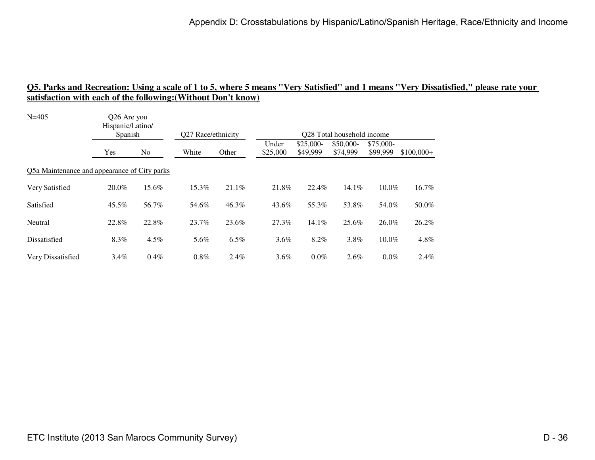| $N = 405$                                    | Q26 Are you<br>Hispanic/Latino/ |         |                    |         |                   |                        |                            |                       |             |
|----------------------------------------------|---------------------------------|---------|--------------------|---------|-------------------|------------------------|----------------------------|-----------------------|-------------|
|                                              | Spanish                         |         | Q27 Race/ethnicity |         |                   |                        | Q28 Total household income |                       |             |
|                                              | Yes                             | No.     | White              | Other   | Under<br>\$25,000 | $$25,000-$<br>\$49,999 | \$50,000-<br>\$74,999      | \$75,000-<br>\$99,999 | $$100,000+$ |
| Q5a Maintenance and appearance of City parks |                                 |         |                    |         |                   |                        |                            |                       |             |
| Very Satisfied                               | 20.0%                           | 15.6%   | 15.3%              | 21.1%   | 21.8%             | 22.4%                  | 14.1%                      | 10.0%                 | 16.7%       |
| Satisfied                                    | 45.5%                           | 56.7%   | 54.6%              | 46.3%   | 43.6%             | 55.3%                  | 53.8%                      | 54.0%                 | 50.0%       |
| Neutral                                      | 22.8%                           | 22.8%   | 23.7%              | 23.6%   | 27.3%             | 14.1%                  | 25.6%                      | 26.0%                 | 26.2%       |
| Dissatisfied                                 | 8.3%                            | 4.5%    | 5.6%               | 6.5%    | $3.6\%$           | 8.2%                   | 3.8%                       | 10.0%                 | $4.8\%$     |
| Very Dissatisfied                            | $3.4\%$                         | $0.4\%$ | 0.8%               | $2.4\%$ | $3.6\%$           | $0.0\%$                | 2.6%                       | $0.0\%$               | 2.4%        |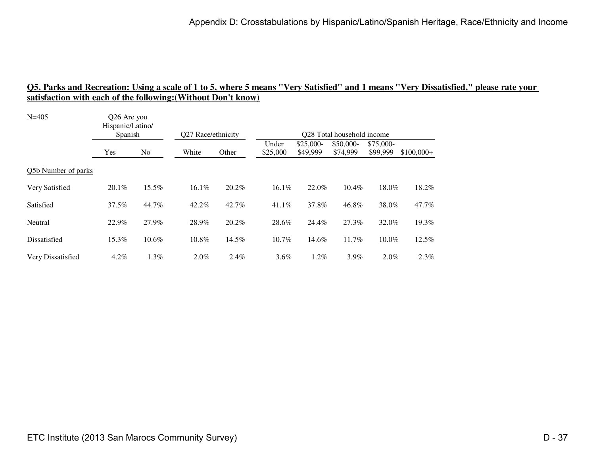| $N = 405$           | Q26 Are you<br>Hispanic/Latino/<br>Spanish |                | Q27 Race/ethnicity |         | Q28 Total household income |                        |                       |                       |             |  |
|---------------------|--------------------------------------------|----------------|--------------------|---------|----------------------------|------------------------|-----------------------|-----------------------|-------------|--|
|                     | Yes                                        | N <sub>o</sub> | White              | Other   | Under<br>\$25,000          | $$25,000-$<br>\$49,999 | \$50,000-<br>\$74,999 | \$75,000-<br>\$99,999 | $$100,000+$ |  |
| Q5b Number of parks |                                            |                |                    |         |                            |                        |                       |                       |             |  |
| Very Satisfied      | $20.1\%$                                   | 15.5%          | 16.1%              | 20.2%   | $16.1\%$                   | 22.0%                  | $10.4\%$              | 18.0%                 | 18.2%       |  |
| Satisfied           | 37.5%                                      | 44.7%          | 42.2%              | 42.7%   | $41.1\%$                   | 37.8%                  | 46.8%                 | 38.0%                 | 47.7%       |  |
| Neutral             | 22.9%                                      | 27.9%          | 28.9%              | 20.2%   | 28.6%                      | 24.4%                  | 27.3%                 | 32.0%                 | 19.3%       |  |
| Dissatisfied        | 15.3%                                      | 10.6%          | 10.8%              | 14.5%   | 10.7%                      | 14.6%                  | 11.7%                 | 10.0%                 | 12.5%       |  |
| Very Dissatisfied   | $4.2\%$                                    | $1.3\%$        | $2.0\%$            | $2.4\%$ | $3.6\%$                    | $1.2\%$                | 3.9%                  | $2.0\%$               | 2.3%        |  |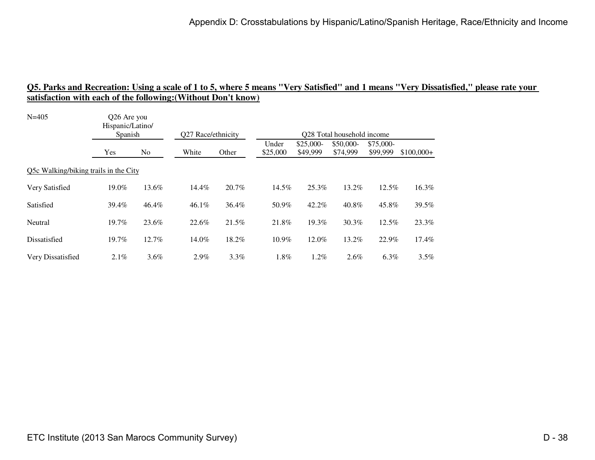| $N = 405$                             | Q26 Are you<br>Hispanic/Latino/ |         |                    |         |                   |                        |                            |                       |             |
|---------------------------------------|---------------------------------|---------|--------------------|---------|-------------------|------------------------|----------------------------|-----------------------|-------------|
|                                       | Spanish                         |         | Q27 Race/ethnicity |         |                   |                        | Q28 Total household income |                       |             |
|                                       | Yes                             | No      | White              | Other   | Under<br>\$25,000 | $$25,000-$<br>\$49,999 | \$50,000-<br>\$74,999      | \$75,000-<br>\$99,999 | $$100,000+$ |
| Q5c Walking/biking trails in the City |                                 |         |                    |         |                   |                        |                            |                       |             |
| Very Satisfied                        | 19.0%                           | 13.6%   | 14.4%              | 20.7%   | 14.5%             | 25.3%                  | 13.2%                      | 12.5%                 | 16.3%       |
| Satisfied                             | 39.4%                           | 46.4%   | $46.1\%$           | 36.4%   | 50.9%             | 42.2%                  | 40.8%                      | 45.8%                 | 39.5%       |
| Neutral                               | 19.7%                           | 23.6%   | 22.6%              | 21.5%   | 21.8%             | 19.3%                  | 30.3%                      | 12.5%                 | 23.3%       |
| Dissatisfied                          | 19.7%                           | 12.7%   | 14.0%              | 18.2%   | 10.9%             | 12.0%                  | 13.2%                      | 22.9%                 | 17.4%       |
| Very Dissatisfied                     | 2.1%                            | $3.6\%$ | $2.9\%$            | $3.3\%$ | $1.8\%$           | $1.2\%$                | 2.6%                       | $6.3\%$               | $3.5\%$     |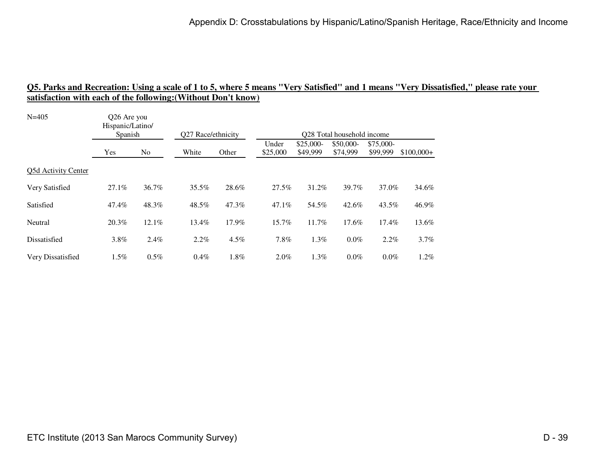| $N = 405$           | Q26 Are you<br>Hispanic/Latino/<br>Spanish |                | Q27 Race/ethnicity |       | Q28 Total household income |                        |                       |                       |             |  |
|---------------------|--------------------------------------------|----------------|--------------------|-------|----------------------------|------------------------|-----------------------|-----------------------|-------------|--|
|                     | Yes                                        | N <sub>o</sub> | White              | Other | Under<br>\$25,000          | $$25,000-$<br>\$49,999 | \$50,000-<br>\$74,999 | \$75,000-<br>\$99,999 | $$100,000+$ |  |
| Q5d Activity Center |                                            |                |                    |       |                            |                        |                       |                       |             |  |
| Very Satisfied      | $27.1\%$                                   | 36.7%          | 35.5%              | 28.6% | 27.5%                      | 31.2%                  | 39.7%                 | 37.0%                 | 34.6%       |  |
| Satisfied           | 47.4%                                      | 48.3%          | 48.5%              | 47.3% | $47.1\%$                   | 54.5%                  | 42.6%                 | 43.5%                 | 46.9%       |  |
| Neutral             | 20.3%                                      | 12.1%          | 13.4%              | 17.9% | 15.7%                      | 11.7%                  | 17.6%                 | 17.4%                 | 13.6%       |  |
| Dissatisfied        | 3.8%                                       | 2.4%           | 2.2%               | 4.5%  | 7.8%                       | 1.3%                   | 0.0%                  | 2.2%                  | 3.7%        |  |
| Very Dissatisfied   | $1.5\%$                                    | $0.5\%$        | $0.4\%$            | 1.8%  | $2.0\%$                    | $1.3\%$                | $0.0\%$               | $0.0\%$               | $1.2\%$     |  |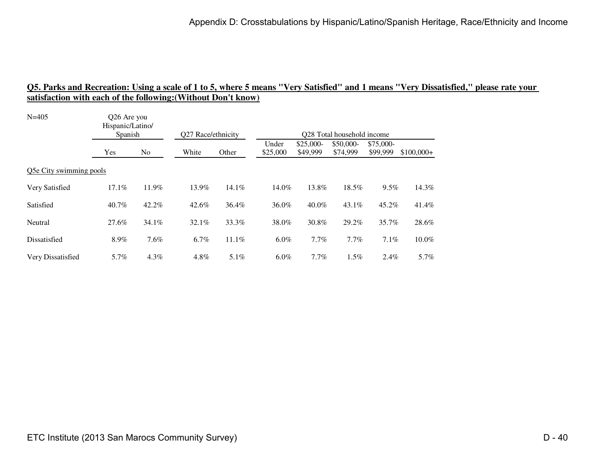| $N = 405$               | Q26 Are you<br>Hispanic/Latino/<br>Spanish |                | Q27 Race/ethnicity |         | Q28 Total household income |                        |                       |                       |             |  |
|-------------------------|--------------------------------------------|----------------|--------------------|---------|----------------------------|------------------------|-----------------------|-----------------------|-------------|--|
|                         | Yes                                        | N <sub>o</sub> | White              | Other   | Under<br>\$25,000          | $$25,000-$<br>\$49,999 | \$50,000-<br>\$74,999 | \$75,000-<br>\$99,999 | $$100,000+$ |  |
| Q5e City swimming pools |                                            |                |                    |         |                            |                        |                       |                       |             |  |
| Very Satisfied          | 17.1%                                      | 11.9%          | 13.9%              | 14.1%   | 14.0%                      | 13.8%                  | 18.5%                 | 9.5%                  | 14.3%       |  |
| Satisfied               | $40.7\%$                                   | $42.2\%$       | 42.6%              | 36.4%   | 36.0%                      | $40.0\%$               | $43.1\%$              | 45.2%                 | 41.4%       |  |
| Neutral                 | 27.6%                                      | $34.1\%$       | 32.1%              | 33.3%   | 38.0%                      | 30.8%                  | 29.2%                 | 35.7%                 | 28.6%       |  |
| Dissatisfied            | 8.9%                                       | 7.6%           | 6.7%               | 11.1%   | $6.0\%$                    | 7.7%                   | 7.7%                  | 7.1%                  | 10.0%       |  |
| Very Dissatisfied       | 5.7%                                       | $4.3\%$        | 4.8%               | $5.1\%$ | $6.0\%$                    | $7.7\%$                | 1.5%                  | $2.4\%$               | 5.7%        |  |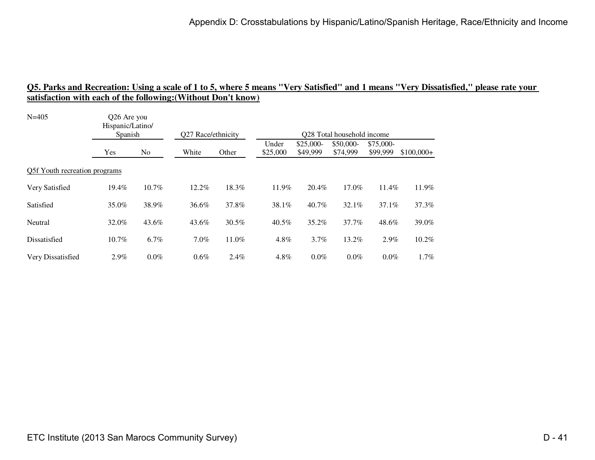| $N = 405$                     | Q26 Are you<br>Hispanic/Latino/ |                |                    |         |                   |                        |                            |                       |             |  |
|-------------------------------|---------------------------------|----------------|--------------------|---------|-------------------|------------------------|----------------------------|-----------------------|-------------|--|
|                               | Spanish                         |                | Q27 Race/ethnicity |         |                   |                        | Q28 Total household income |                       |             |  |
|                               | Yes                             | N <sub>o</sub> | White              | Other   | Under<br>\$25,000 | $$25,000-$<br>\$49,999 | \$50,000-<br>\$74,999      | \$75,000-<br>\$99,999 | $$100,000+$ |  |
| Q5f Youth recreation programs |                                 |                |                    |         |                   |                        |                            |                       |             |  |
| Very Satisfied                | 19.4%                           | 10.7%          | 12.2%              | 18.3%   | 11.9%             | 20.4%                  | 17.0%                      | 11.4%                 | 11.9%       |  |
| Satisfied                     | 35.0%                           | 38.9%          | 36.6%              | 37.8%   | 38.1%             | 40.7%                  | $32.1\%$                   | 37.1%                 | 37.3%       |  |
| Neutral                       | 32.0%                           | 43.6%          | 43.6%              | 30.5%   | $40.5\%$          | 35.2%                  | 37.7%                      | 48.6%                 | 39.0%       |  |
| Dissatisfied                  | $10.7\%$                        | 6.7%           | $7.0\%$            | 11.0%   | 4.8%              | $3.7\%$                | 13.2%                      | 2.9%                  | 10.2%       |  |
| Very Dissatisfied             | 2.9%                            | $0.0\%$        | $0.6\%$            | $2.4\%$ | 4.8%              | $0.0\%$                | $0.0\%$                    | $0.0\%$               | $1.7\%$     |  |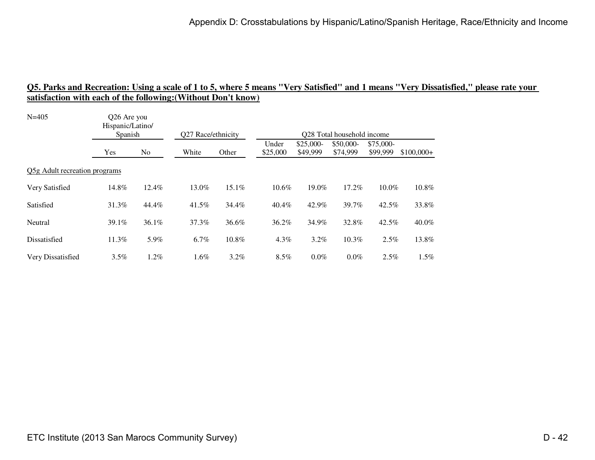| $N = 405$                     | Q26 Are you<br>Hispanic/Latino/<br>Spanish |                | Q27 Race/ethnicity |         | Q28 Total household income |                        |                       |                       |             |  |
|-------------------------------|--------------------------------------------|----------------|--------------------|---------|----------------------------|------------------------|-----------------------|-----------------------|-------------|--|
|                               | Yes                                        | N <sub>o</sub> | White              | Other   | Under<br>\$25,000          | $$25,000-$<br>\$49,999 | \$50,000-<br>\$74,999 | \$75,000-<br>\$99,999 | $$100,000+$ |  |
| Q5g Adult recreation programs |                                            |                |                    |         |                            |                        |                       |                       |             |  |
| Very Satisfied                | 14.8%                                      | 12.4%          | 13.0%              | 15.1%   | 10.6%                      | 19.0%                  | 17.2%                 | 10.0%                 | 10.8%       |  |
| Satisfied                     | 31.3%                                      | 44.4%          | 41.5%              | 34.4%   | $40.4\%$                   | 42.9%                  | 39.7%                 | 42.5%                 | 33.8%       |  |
| Neutral                       | 39.1%                                      | 36.1%          | 37.3%              | 36.6%   | 36.2%                      | 34.9%                  | 32.8%                 | 42.5%                 | 40.0%       |  |
| Dissatisfied                  | 11.3%                                      | 5.9%           | 6.7%               | 10.8%   | $4.3\%$                    | $3.2\%$                | 10.3%                 | 2.5%                  | 13.8%       |  |
| Very Dissatisfied             | 3.5%                                       | $1.2\%$        | $1.6\%$            | $3.2\%$ | $8.5\%$                    | $0.0\%$                | $0.0\%$               | 2.5%                  | $1.5\%$     |  |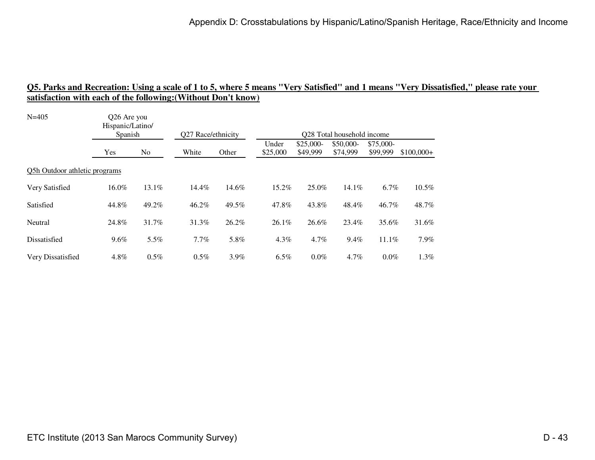| $N = 405$                     | Q26 Are you<br>Hispanic/Latino/<br>Spanish |                | Q27 Race/ethnicity |         | Q28 Total household income |                        |                       |                       |             |  |
|-------------------------------|--------------------------------------------|----------------|--------------------|---------|----------------------------|------------------------|-----------------------|-----------------------|-------------|--|
|                               | Yes                                        | N <sub>o</sub> | White              | Other   | Under<br>\$25,000          | $$25,000-$<br>\$49,999 | \$50,000-<br>\$74,999 | \$75,000-<br>\$99,999 | $$100,000+$ |  |
| Q5h Outdoor athletic programs |                                            |                |                    |         |                            |                        |                       |                       |             |  |
| Very Satisfied                | 16.0%                                      | 13.1%          | 14.4%              | 14.6%   | 15.2%                      | 25.0%                  | $14.1\%$              | 6.7%                  | 10.5%       |  |
| Satisfied                     | 44.8%                                      | 49.2%          | 46.2%              | 49.5%   | 47.8%                      | 43.8%                  | 48.4%                 | 46.7%                 | 48.7%       |  |
| Neutral                       | 24.8%                                      | 31.7%          | 31.3%              | 26.2%   | $26.1\%$                   | 26.6%                  | 23.4%                 | 35.6%                 | 31.6%       |  |
| Dissatisfied                  | 9.6%                                       | 5.5%           | $7.7\%$            | 5.8%    | $4.3\%$                    | 4.7%                   | 9.4%                  | 11.1%                 | 7.9%        |  |
| Very Dissatisfied             | 4.8%                                       | $0.5\%$        | $0.5\%$            | $3.9\%$ | $6.5\%$                    | $0.0\%$                | $4.7\%$               | $0.0\%$               | 1.3%        |  |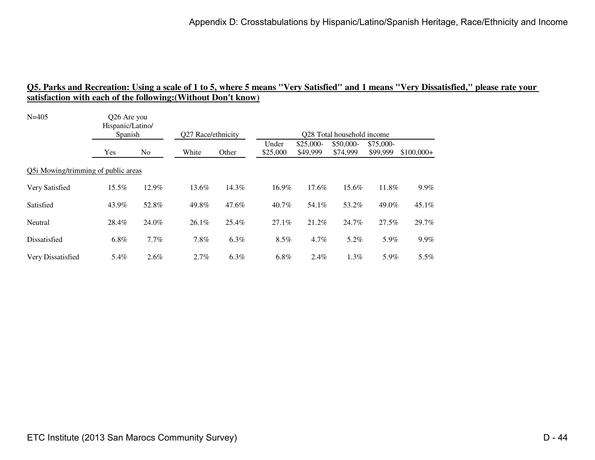| $N = 405$                           | O <sub>26</sub> Are you<br>Hispanic/Latino/ |         |                    |         |                   |                        |                            |                       |             |
|-------------------------------------|---------------------------------------------|---------|--------------------|---------|-------------------|------------------------|----------------------------|-----------------------|-------------|
|                                     | Spanish                                     |         | Q27 Race/ethnicity |         |                   |                        | Q28 Total household income |                       |             |
|                                     | Yes                                         | No.     | White              | Other   | Under<br>\$25,000 | $$25,000-$<br>\$49,999 | \$50,000-<br>\$74,999      | \$75,000-<br>\$99,999 | $$100,000+$ |
| Q5i Mowing/trimming of public areas |                                             |         |                    |         |                   |                        |                            |                       |             |
| Very Satisfied                      | 15.5%                                       | 12.9%   | 13.6%              | 14.3%   | 16.9%             | 17.6%                  | 15.6%                      | 11.8%                 | $9.9\%$     |
| Satisfied                           | 43.9%                                       | 52.8%   | 49.8%              | 47.6%   | 40.7%             | 54.1%                  | 53.2%                      | 49.0%                 | 45.1%       |
| Neutral                             | 28.4%                                       | 24.0%   | $26.1\%$           | 25.4%   | 27.1%             | 21.2%                  | 24.7%                      | 27.5%                 | 29.7%       |
| Dissatisfied                        | 6.8%                                        | 7.7%    | $7.8\%$            | 6.3%    | $8.5\%$           | $4.7\%$                | 5.2%                       | 5.9%                  | $9.9\%$     |
| Very Dissatisfied                   | 5.4%                                        | $2.6\%$ | $2.7\%$            | $6.3\%$ | $6.8\%$           | 2.4%                   | 1.3%                       | 5.9%                  | $5.5\%$     |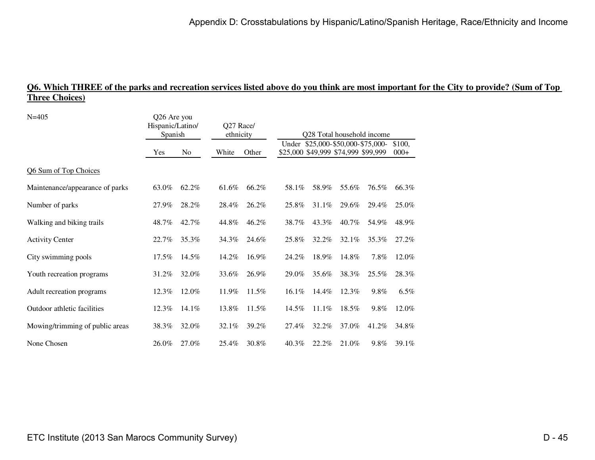### **Q6. Which THREE of the parks and recreation services listed above do you think are most important for the City to provide? (Sum of Top Three Choices)**

| $N = 405$                       | Q26 Are you<br>Hispanic/Latino/<br>Spanish |                |       | Q27 Race/<br>ethnicity |          | Q28 Total household income |                                                                          |       |                  |  |
|---------------------------------|--------------------------------------------|----------------|-------|------------------------|----------|----------------------------|--------------------------------------------------------------------------|-------|------------------|--|
|                                 | Yes                                        | N <sub>o</sub> | White | Other                  |          |                            | Under \$25,000-\$50,000-\$75,000-<br>\$25,000 \$49,999 \$74,999 \$99,999 |       | \$100,<br>$000+$ |  |
| Q6 Sum of Top Choices           |                                            |                |       |                        |          |                            |                                                                          |       |                  |  |
| Maintenance/appearance of parks | 63.0%                                      | 62.2%          | 61.6% | 66.2%                  | 58.1%    | 58.9%                      | 55.6%                                                                    | 76.5% | 66.3%            |  |
| Number of parks                 | 27.9%                                      | 28.2%          | 28.4% | 26.2%                  | 25.8%    | 31.1%                      | 29.6%                                                                    | 29.4% | 25.0%            |  |
| Walking and biking trails       | 48.7%                                      | 42.7%          | 44.8% | 46.2%                  | 38.7%    | 43.3%                      | 40.7%                                                                    | 54.9% | 48.9%            |  |
| <b>Activity Center</b>          | 22.7%                                      | 35.3%          | 34.3% | 24.6%                  | 25.8%    | 32.2%                      | $32.1\%$                                                                 | 35.3% | 27.2%            |  |
| City swimming pools             | $17.5\%$                                   | 14.5%          | 14.2% | 16.9%                  | 24.2%    | 18.9%                      | 14.8%                                                                    | 7.8%  | 12.0%            |  |
| Youth recreation programs       | 31.2%                                      | 32.0%          | 33.6% | 26.9%                  | 29.0%    | 35.6%                      | 38.3%                                                                    | 25.5% | 28.3%            |  |
| Adult recreation programs       | 12.3%                                      | 12.0%          | 11.9% | 11.5%                  | $16.1\%$ | 14.4%                      | $12.3\%$                                                                 | 9.8%  | $6.5\%$          |  |
| Outdoor athletic facilities     | 12.3%                                      | 14.1%          | 13.8% | 11.5%                  | 14.5%    | $11.1\%$                   | 18.5%                                                                    | 9.8%  | 12.0%            |  |
| Mowing/trimming of public areas | 38.3%                                      | 32.0%          | 32.1% | 39.2%                  | 27.4%    | 32.2%                      | 37.0%                                                                    | 41.2% | 34.8%            |  |
| None Chosen                     | 26.0%                                      | 27.0%          | 25.4% | 30.8%                  | $40.3\%$ | 22.2%                      | 21.0%                                                                    | 9.8%  | 39.1%            |  |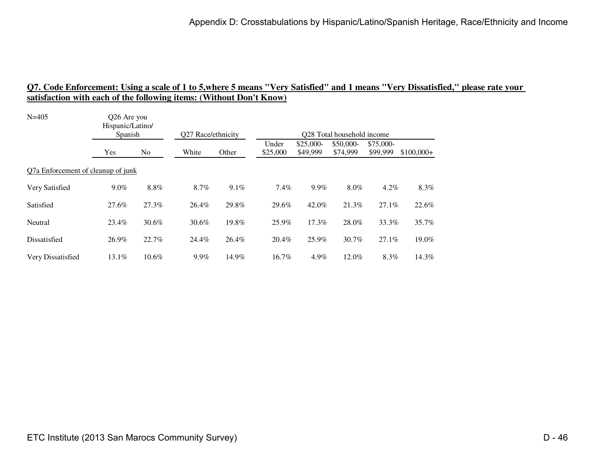| $N = 405$                          | Q26 Are you<br>Hispanic/Latino/ |       |                    |       |                   |                        |                            |                       |             |  |
|------------------------------------|---------------------------------|-------|--------------------|-------|-------------------|------------------------|----------------------------|-----------------------|-------------|--|
|                                    | Spanish                         |       | Q27 Race/ethnicity |       |                   |                        | Q28 Total household income |                       |             |  |
|                                    | Yes                             | No.   | White              | Other | Under<br>\$25,000 | $$25,000-$<br>\$49,999 | \$50,000-<br>\$74,999      | \$75,000-<br>\$99,999 | $$100,000+$ |  |
| Q7a Enforcement of cleanup of junk |                                 |       |                    |       |                   |                        |                            |                       |             |  |
| Very Satisfied                     | 9.0%                            | 8.8%  | 8.7%               | 9.1%  | $7.4\%$           | 9.9%                   | 8.0%                       | $4.2\%$               | 8.3%        |  |
| Satisfied                          | 27.6%                           | 27.3% | 26.4%              | 29.8% | 29.6%             | 42.0%                  | 21.3%                      | 27.1%                 | 22.6%       |  |
| Neutral                            | 23.4%                           | 30.6% | 30.6%              | 19.8% | 25.9%             | 17.3%                  | 28.0%                      | 33.3%                 | 35.7%       |  |
| Dissatisfied                       | 26.9%                           | 22.7% | 24.4%              | 26.4% | 20.4%             | 25.9%                  | 30.7%                      | 27.1%                 | 19.0%       |  |
| Very Dissatisfied                  | $13.1\%$                        | 10.6% | 9.9%               | 14.9% | 16.7%             | 4.9%                   | 12.0%                      | 8.3%                  | 14.3%       |  |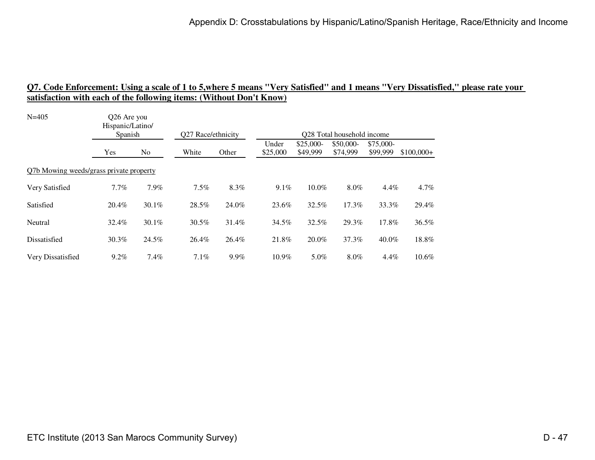| $N = 405$                               | Q26 Are you<br>Hispanic/Latino/<br>Spanish |          |                    |         | Q28 Total household income |                        |                       |                       |             |
|-----------------------------------------|--------------------------------------------|----------|--------------------|---------|----------------------------|------------------------|-----------------------|-----------------------|-------------|
|                                         |                                            |          | Q27 Race/ethnicity |         | Under                      |                        |                       |                       |             |
|                                         | Yes                                        | No       | White              | Other   | \$25,000                   | $$25,000-$<br>\$49,999 | \$50,000-<br>\$74,999 | \$75,000-<br>\$99,999 | $$100,000+$ |
| Q7b Mowing weeds/grass private property |                                            |          |                    |         |                            |                        |                       |                       |             |
| Very Satisfied                          | 7.7%                                       | 7.9%     | 7.5%               | 8.3%    | $9.1\%$                    | 10.0%                  | 8.0%                  | 4.4%                  | $4.7\%$     |
| Satisfied                               | 20.4%                                      | $30.1\%$ | 28.5%              | 24.0%   | 23.6%                      | 32.5%                  | 17.3%                 | 33.3%                 | 29.4%       |
| Neutral                                 | 32.4%                                      | 30.1%    | 30.5%              | 31.4%   | 34.5%                      | 32.5%                  | 29.3%                 | 17.8%                 | 36.5%       |
| Dissatisfied                            | 30.3%                                      | 24.5%    | 26.4%              | 26.4%   | 21.8%                      | 20.0%                  | 37.3%                 | 40.0%                 | 18.8%       |
| Very Dissatisfied                       | $9.2\%$                                    | 7.4%     | $7.1\%$            | $9.9\%$ | 10.9%                      | 5.0%                   | 8.0%                  | $4.4\%$               | $10.6\%$    |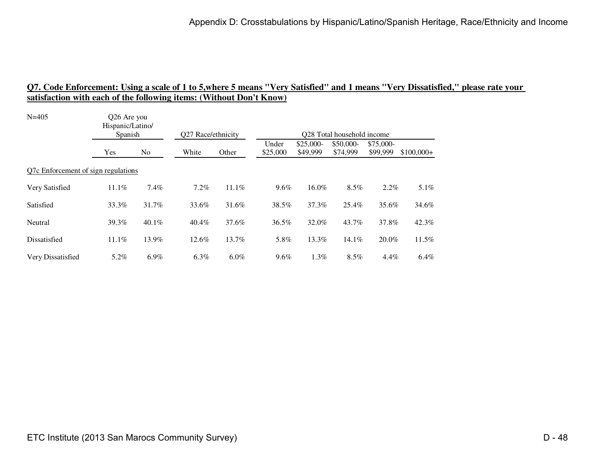| $N = 405$                           | O <sub>26</sub> Are you<br>Hispanic/Latino/ |         |                    |         |                            |                        |                       |                       |             |  |
|-------------------------------------|---------------------------------------------|---------|--------------------|---------|----------------------------|------------------------|-----------------------|-----------------------|-------------|--|
|                                     | Spanish                                     |         | Q27 Race/ethnicity |         | Q28 Total household income |                        |                       |                       |             |  |
|                                     | Yes                                         | No.     | White              | Other   | Under<br>\$25,000          | $$25,000-$<br>\$49,999 | \$50,000-<br>\$74,999 | \$75,000-<br>\$99,999 | $$100,000+$ |  |
| Q7c Enforcement of sign regulations |                                             |         |                    |         |                            |                        |                       |                       |             |  |
| Very Satisfied                      | 11.1%                                       | 7.4%    | 7.2%               | 11.1%   | $9.6\%$                    | 16.0%                  | 8.5%                  | 2.2%                  | $5.1\%$     |  |
| Satisfied                           | 33.3%                                       | 31.7%   | 33.6%              | 31.6%   | 38.5%                      | 37.3%                  | 25.4%                 | 35.6%                 | 34.6%       |  |
| Neutral                             | 39.3%                                       | 40.1%   | 40.4%              | 37.6%   | 36.5%                      | 32.0%                  | 43.7%                 | 37.8%                 | 42.3%       |  |
| Dissatisfied                        | $11.1\%$                                    | 13.9%   | 12.6%              | 13.7%   | 5.8%                       | 13.3%                  | $14.1\%$              | 20.0%                 | 11.5%       |  |
| Very Dissatisfied                   | 5.2%                                        | $6.9\%$ | $6.3\%$            | $6.0\%$ | $9.6\%$                    | $1.3\%$                | 8.5%                  | $4.4\%$               | 6.4%        |  |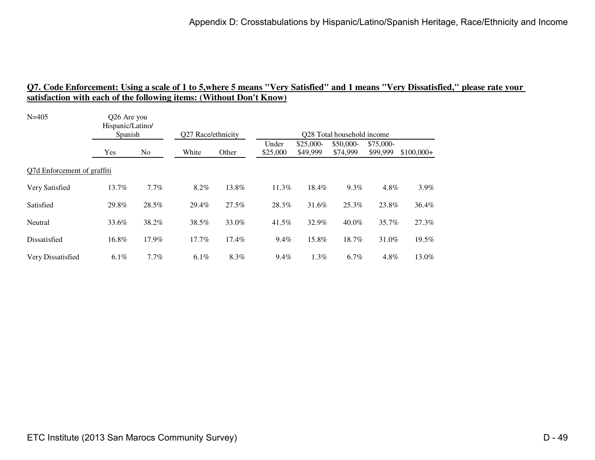| $N = 405$                   | Q26 Are you<br>Hispanic/Latino/<br>Spanish |                | Q27 Race/ethnicity |       | Q28 Total household income |                        |                       |                       |             |  |
|-----------------------------|--------------------------------------------|----------------|--------------------|-------|----------------------------|------------------------|-----------------------|-----------------------|-------------|--|
|                             | Yes                                        | N <sub>o</sub> | White              | Other | Under<br>\$25,000          | $$25,000-$<br>\$49,999 | \$50,000-<br>\$74,999 | \$75,000-<br>\$99,999 | $$100,000+$ |  |
| Q7d Enforcement of graffiti |                                            |                |                    |       |                            |                        |                       |                       |             |  |
| Very Satisfied              | 13.7%                                      | $7.7\%$        | 8.2%               | 13.8% | 11.3%                      | 18.4%                  | 9.3%                  | 4.8%                  | $3.9\%$     |  |
| Satisfied                   | 29.8%                                      | 28.5%          | 29.4%              | 27.5% | 28.3%                      | 31.6%                  | 25.3%                 | 23.8%                 | 36.4%       |  |
| Neutral                     | 33.6%                                      | 38.2%          | 38.5%              | 33.0% | 41.5%                      | 32.9%                  | $40.0\%$              | 35.7%                 | 27.3%       |  |
| Dissatisfied                | 16.8%                                      | 17.9%          | 17.7%              | 17.4% | $9.4\%$                    | 15.8%                  | 18.7%                 | 31.0%                 | 19.5%       |  |
| Very Dissatisfied           | $6.1\%$                                    | $7.7\%$        | $6.1\%$            | 8.3%  | $9.4\%$                    | $1.3\%$                | $6.7\%$               | 4.8%                  | 13.0%       |  |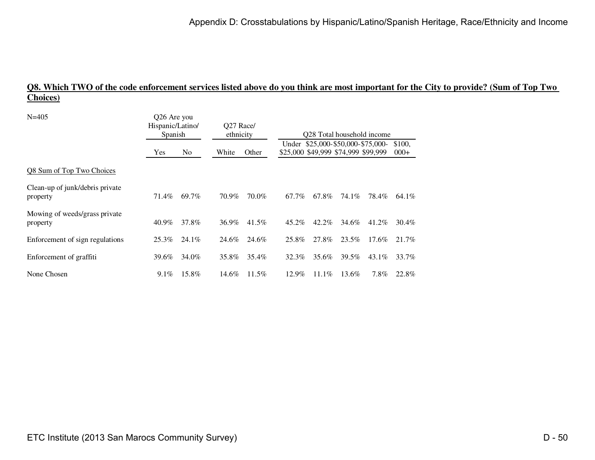### **Q8. Which TWO of the code enforcement services listed above do you think are most important for the City to provide? (Sum of Top Two Choices)**

| $N = 405$                                   | Q26 Are you<br>Hispanic/Latino/<br>Spanish |                | O <sub>27</sub> Race/<br>ethnicity |          | Q28 Total household income |                                                                          |       |          |                  |  |
|---------------------------------------------|--------------------------------------------|----------------|------------------------------------|----------|----------------------------|--------------------------------------------------------------------------|-------|----------|------------------|--|
|                                             | Yes                                        | N <sub>o</sub> | White                              | Other    |                            | Under \$25,000-\$50,000-\$75,000-<br>\$25,000 \$49,999 \$74,999 \$99,999 |       |          | \$100.<br>$000+$ |  |
| Q8 Sum of Top Two Choices                   |                                            |                |                                    |          |                            |                                                                          |       |          |                  |  |
| Clean-up of junk/debris private<br>property | 71.4%                                      | 69.7%          | 70.9%                              | 70.0%    | 67.7%                      | 67.8%                                                                    | 74.1% | 78.4%    | 64.1%            |  |
| Mowing of weeds/grass private<br>property   | 40.9%                                      | 37.8%          | 36.9%                              | 41.5%    | 45.2%                      | 42.2%                                                                    | 34.6% | 41.2%    | 30.4%            |  |
| Enforcement of sign regulations             | 25.3%                                      | 24.1%          | 24.6%                              | 24.6%    | 25.8%                      | 27.8%                                                                    | 23.5% | $17.6\%$ | 21.7%            |  |
| Enforcement of graffiti                     | 39.6%                                      | 34.0%          | 35.8%                              | 35.4%    | 32.3%                      | 35.6%                                                                    | 39.5% | $43.1\%$ | 33.7%            |  |
| None Chosen                                 | $9.1\%$                                    | 15.8%          | 14.6%                              | $11.5\%$ | $12.9\%$                   | $11.1\%$                                                                 | 13.6% | 7.8%     | 22.8%            |  |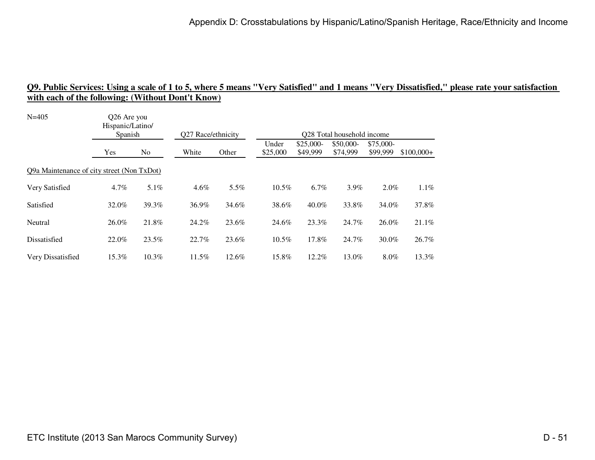| Hispanic/Latino/<br>Spanish |                | Q27 Race/ethnicity                                        |       | Q28 Total household income |                        |                       |                       |                                               |  |  |
|-----------------------------|----------------|-----------------------------------------------------------|-------|----------------------------|------------------------|-----------------------|-----------------------|-----------------------------------------------|--|--|
| <b>Yes</b>                  | N <sub>0</sub> | White                                                     | Other | Under<br>\$25,000          | $$25,000-$<br>\$49,999 | \$50,000-<br>\$74,999 | \$75,000-<br>\$99,999 | $$100,000+$                                   |  |  |
|                             |                |                                                           |       |                            |                        |                       |                       |                                               |  |  |
| $4.7\%$                     | 5.1%           | $4.6\%$                                                   | 5.5%  | $10.5\%$                   | $6.7\%$                | 3.9%                  |                       | $1.1\%$                                       |  |  |
| 32.0%                       | 39.3%          | 36.9%                                                     | 34.6% | 38.6%                      | $40.0\%$               | 33.8%                 |                       | 37.8%                                         |  |  |
| 26.0%                       | 21.8%          | 24.2%                                                     | 23.6% | 24.6%                      | 23.3%                  | 24.7%                 |                       | $21.1\%$                                      |  |  |
| 22.0%                       | 23.5%          | 22.7%                                                     | 23.6% | 10.5%                      | 17.8%                  | 24.7%                 |                       | 26.7%                                         |  |  |
| 15.3%                       | $10.3\%$       | 11.5%                                                     | 12.6% | 15.8%                      | 12.2%                  | 13.0%                 |                       | 13.3%                                         |  |  |
|                             |                | Q26 Are you<br>Q9a Maintenance of city street (Non TxDot) |       |                            |                        |                       |                       | $2.0\%$<br>34.0%<br>26.0%<br>30.0%<br>$8.0\%$ |  |  |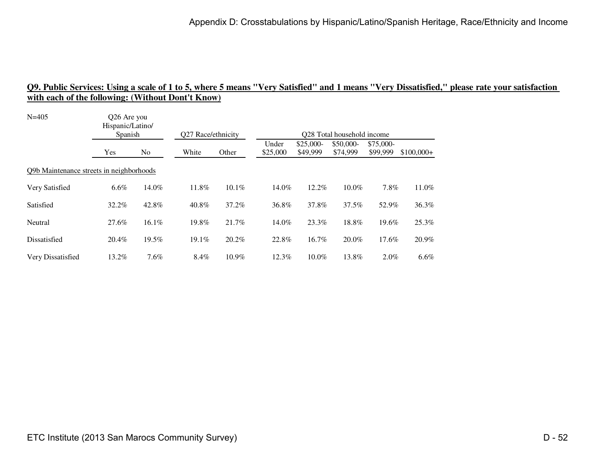| Hispanic/Latino/ |       |                                                                    |          |                    |                        |                       |                       |                                                                       |  |  |
|------------------|-------|--------------------------------------------------------------------|----------|--------------------|------------------------|-----------------------|-----------------------|-----------------------------------------------------------------------|--|--|
| Yes              | No.   | White                                                              | Other    | Under<br>\$25,000  | $$25,000-$<br>\$49,999 | \$50,000-<br>\$74,999 | \$75,000-<br>\$99,999 | $$100,000+$                                                           |  |  |
|                  |       |                                                                    |          |                    |                        |                       |                       |                                                                       |  |  |
| $6.6\%$          | 14.0% | 11.8%                                                              | $10.1\%$ | 14.0%              | 12.2%                  | $10.0\%$              |                       | 11.0%                                                                 |  |  |
| 32.2%            | 42.8% | 40.8%                                                              | 37.2%    | 36.8%              | 37.8%                  | 37.5%                 |                       | 36.3%                                                                 |  |  |
| 27.6%            | 16.1% | 19.8%                                                              | 21.7%    | 14.0%              | 23.3%                  | 18.8%                 |                       | 25.3%                                                                 |  |  |
| 20.4%            | 19.5% | 19.1%                                                              | 20.2%    | 22.8%              | 16.7%                  | 20.0%                 |                       | 20.9%                                                                 |  |  |
| 13.2%            | 7.6%  | 8.4%                                                               | 10.9%    | 12.3%              | $10.0\%$               | 13.8%                 |                       | $6.6\%$                                                               |  |  |
|                  |       | Q26 Are you<br>Spanish<br>Q9b Maintenance streets in neighborhoods |          | Q27 Race/ethnicity |                        |                       |                       | Q28 Total household income<br>7.8%<br>52.9%<br>19.6%<br>17.6%<br>2.0% |  |  |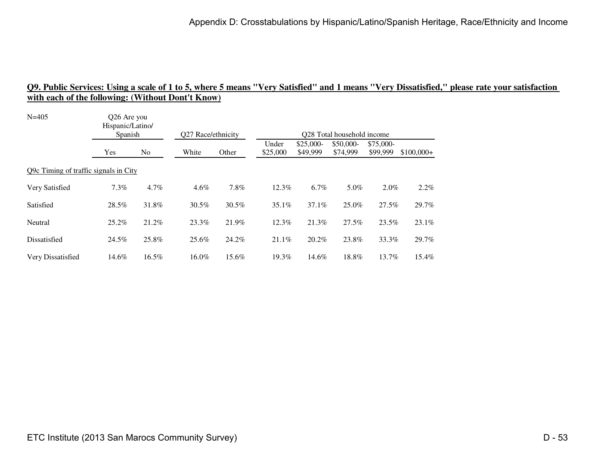| $N = 405$                             | O <sub>26</sub> Are you<br>Hispanic/Latino/<br>Spanish |       | Q27 Race/ethnicity |       | Q28 Total household income |                        |                       |                       |             |  |  |
|---------------------------------------|--------------------------------------------------------|-------|--------------------|-------|----------------------------|------------------------|-----------------------|-----------------------|-------------|--|--|
|                                       | Yes                                                    | No    | White              | Other | Under<br>\$25,000          | $$25,000-$<br>\$49,999 | \$50,000-<br>\$74,999 | \$75,000-<br>\$99,999 | $$100,000+$ |  |  |
| Q9c Timing of traffic signals in City |                                                        |       |                    |       |                            |                        |                       |                       |             |  |  |
| Very Satisfied                        | 7.3%                                                   | 4.7%  | $4.6\%$            | 7.8%  | 12.3%                      | 6.7%                   | 5.0%                  | 2.0%                  | 2.2%        |  |  |
| Satisfied                             | 28.5%                                                  | 31.8% | 30.5%              | 30.5% | 35.1%                      | 37.1%                  | 25.0%                 | 27.5%                 | 29.7%       |  |  |
| Neutral                               | 25.2%                                                  | 21.2% | 23.3%              | 21.9% | $12.3\%$                   | 21.3%                  | 27.5%                 | 23.5%                 | 23.1%       |  |  |
| Dissatisfied                          | 24.5%                                                  | 25.8% | 25.6%              | 24.2% | 21.1%                      | 20.2%                  | 23.8%                 | 33.3%                 | 29.7%       |  |  |
| Very Dissatisfied                     | 14.6%                                                  | 16.5% | 16.0%              | 15.6% | 19.3%                      | 14.6%                  | 18.8%                 | 13.7%                 | 15.4%       |  |  |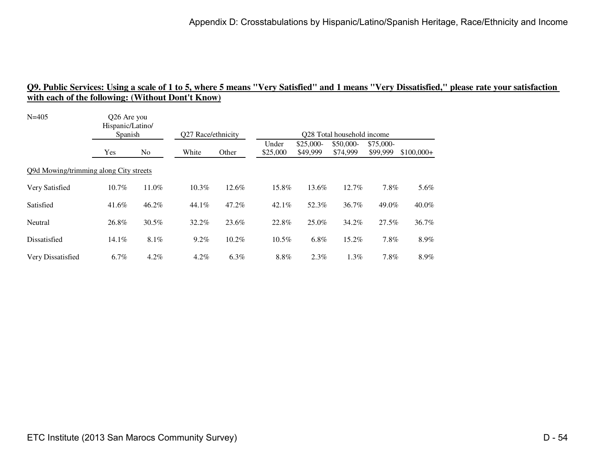| Hispanic/Latino/ |         | Q27 Race/ethnicity                                               |       | Q28 Total household income |                        |                       |                       |             |  |
|------------------|---------|------------------------------------------------------------------|-------|----------------------------|------------------------|-----------------------|-----------------------|-------------|--|
| Yes              | No      | White                                                            | Other | Under<br>\$25,000          | $$25,000-$<br>\$49,999 | \$50,000-<br>\$74,999 | \$75,000-<br>\$99,999 | $$100,000+$ |  |
|                  |         |                                                                  |       |                            |                        |                       |                       |             |  |
| 10.7%            | 11.0%   | 10.3%                                                            | 12.6% | 15.8%                      | 13.6%                  | 12.7%                 | 7.8%                  | 5.6%        |  |
| 41.6%            | 46.2%   | 44.1%                                                            | 47.2% | $42.1\%$                   | 52.3%                  | 36.7%                 | 49.0%                 | 40.0%       |  |
| 26.8%            | 30.5%   | 32.2%                                                            | 23.6% | 22.8%                      | 25.0%                  | 34.2%                 | 27.5%                 | 36.7%       |  |
| $14.1\%$         | 8.1%    | $9.2\%$                                                          | 10.2% | 10.5%                      | 6.8%                   | 15.2%                 | 7.8%                  | 8.9%        |  |
| 6.7%             | $4.2\%$ | 4.2%                                                             | 6.3%  | 8.8%                       | 2.3%                   | 1.3%                  | 7.8%                  | 8.9%        |  |
|                  |         | Q26 Are you<br>Spanish<br>Q9d Mowing/trimming along City streets |       |                            |                        |                       |                       |             |  |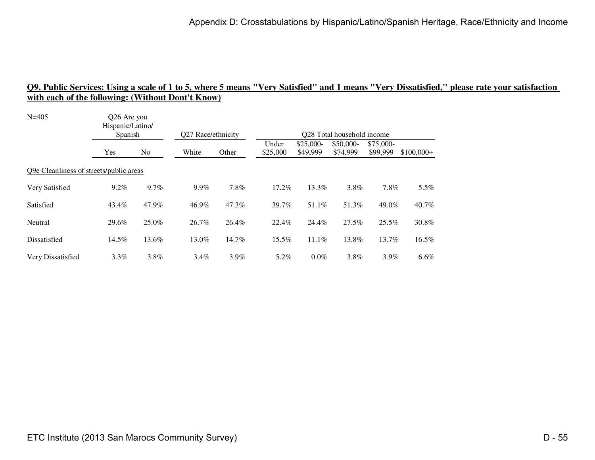| $N = 405$                               | Q26 Are you<br>Hispanic/Latino/<br>Spanish |                | Q27 Race/ethnicity |         | Q28 Total household income |                        |                       |                       |             |  |  |
|-----------------------------------------|--------------------------------------------|----------------|--------------------|---------|----------------------------|------------------------|-----------------------|-----------------------|-------------|--|--|
|                                         | <b>Yes</b>                                 | N <sub>o</sub> | White              | Other   | Under<br>\$25,000          | $$25,000-$<br>\$49,999 | \$50,000-<br>\$74,999 | \$75,000-<br>\$99,999 | $$100,000+$ |  |  |
| Q9e Cleanliness of streets/public areas |                                            |                |                    |         |                            |                        |                       |                       |             |  |  |
| Very Satisfied                          | $9.2\%$                                    | $9.7\%$        | $9.9\%$            | 7.8%    | 17.2%                      | 13.3%                  | 3.8%                  | 7.8%                  | $5.5\%$     |  |  |
| Satisfied                               | 43.4%                                      | 47.9%          | 46.9%              | 47.3%   | 39.7%                      | 51.1%                  | 51.3%                 | 49.0%                 | 40.7%       |  |  |
| Neutral                                 | 29.6%                                      | 25.0%          | 26.7%              | 26.4%   | 22.4%                      | 24.4%                  | 27.5%                 | 25.5%                 | 30.8%       |  |  |
| Dissatisfied                            | 14.5%                                      | 13.6%          | 13.0%              | 14.7%   | 15.5%                      | 11.1%                  | 13.8%                 | 13.7%                 | 16.5%       |  |  |
| Very Dissatisfied                       | $3.3\%$                                    | 3.8%           | $3.4\%$            | $3.9\%$ | 5.2%                       | $0.0\%$                | 3.8%                  | 3.9%                  | $6.6\%$     |  |  |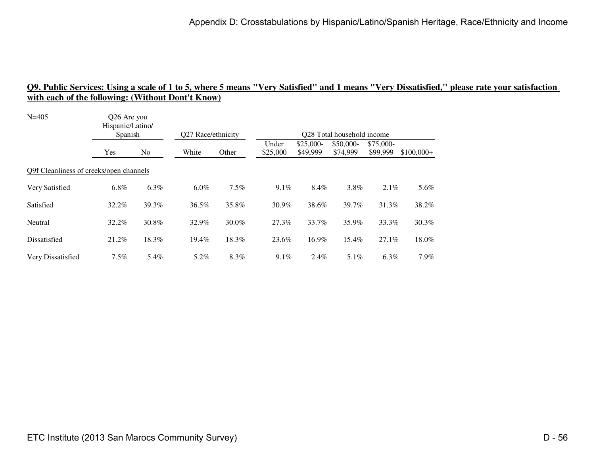| Hispanic/Latino/ |       |                                                                   |         |                    |                        |                       |                       |                            |  |  |
|------------------|-------|-------------------------------------------------------------------|---------|--------------------|------------------------|-----------------------|-----------------------|----------------------------|--|--|
| Yes              | No.   | White                                                             | Other   | Under<br>\$25,000  | $$25,000-$<br>\$49,999 | \$50,000-<br>\$74,999 | \$75,000-<br>\$99,999 | $$100,000+$                |  |  |
|                  |       |                                                                   |         |                    |                        |                       |                       |                            |  |  |
| $6.8\%$          | 6.3%  | $6.0\%$                                                           | $7.5\%$ | $9.1\%$            | 8.4%                   | 3.8%                  | $2.1\%$               | 5.6%                       |  |  |
| 32.2%            | 39.3% | 36.5%                                                             | 35.8%   | 30.9%              | 38.6%                  | 39.7%                 | 31.3%                 | 38.2%                      |  |  |
| 32.2%            | 30.8% | 32.9%                                                             | 30.0%   | 27.3%              | 33.7%                  | 35.9%                 | 33.3%                 | 30.3%                      |  |  |
| 21.2%            | 18.3% | 19.4%                                                             | 18.3%   | 23.6%              | 16.9%                  | 15.4%                 | 27.1%                 | 18.0%                      |  |  |
| $7.5\%$          | 5.4%  | 5.2%                                                              | 8.3%    | $9.1\%$            | $2.4\%$                | $5.1\%$               | $6.3\%$               | $7.9\%$                    |  |  |
|                  |       | Q26 Are you<br>Spanish<br>Q9f Cleanliness of creeks/open channels |         | Q27 Race/ethnicity |                        |                       |                       | Q28 Total household income |  |  |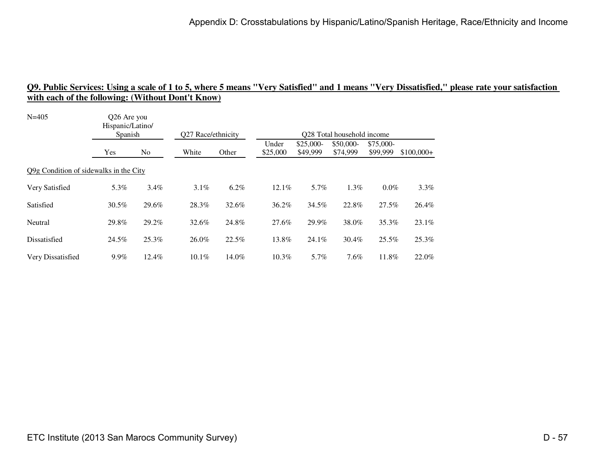| Hispanic/Latino/ |         | Q27 Race/ethnicity                                               |         | Q28 Total household income |                        |                       |                       |             |  |
|------------------|---------|------------------------------------------------------------------|---------|----------------------------|------------------------|-----------------------|-----------------------|-------------|--|
| Yes              | No      | White                                                            | Other   | Under<br>\$25,000          | $$25,000-$<br>\$49,999 | \$50,000-<br>\$74,999 | \$75,000-<br>\$99,999 | $$100,000+$ |  |
|                  |         |                                                                  |         |                            |                        |                       |                       |             |  |
| 5.3%             | $3.4\%$ | $3.1\%$                                                          | $6.2\%$ | 12.1%                      | 5.7%                   | 1.3%                  | $0.0\%$               | $3.3\%$     |  |
| 30.5%            | 29.6%   | 28.3%                                                            | 32.6%   | 36.2%                      | 34.5%                  | 22.8%                 | 27.5%                 | 26.4%       |  |
| 29.8%            | 29.2%   | 32.6%                                                            | 24.8%   | 27.6%                      | 29.9%                  | 38.0%                 | 35.3%                 | 23.1%       |  |
| 24.5%            | 25.3%   | 26.0%                                                            | 22.5%   | 13.8%                      | 24.1%                  | 30.4%                 | 25.5%                 | 25.3%       |  |
| 9.9%             | 12.4%   | 10.1%                                                            | 14.0%   | $10.3\%$                   | 5.7%                   | 7.6%                  | 11.8%                 | 22.0%       |  |
|                  |         | Q26 Are you<br>Spanish<br>Q9g Condition of sidewalks in the City |         |                            |                        |                       |                       |             |  |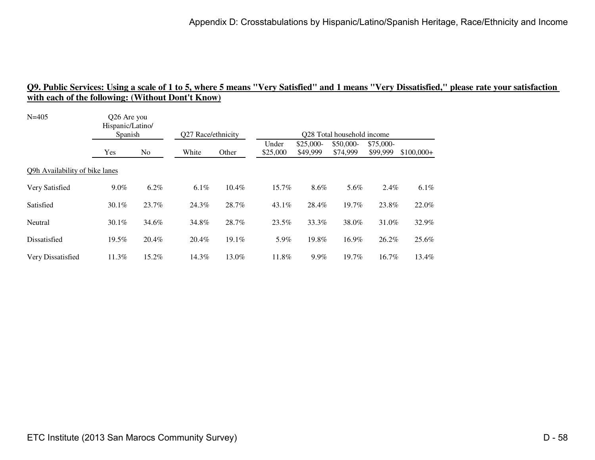| Hispanic/Latino/               |       |                                    |       |                    |                        |                       |                       |                                                                        |  |  |
|--------------------------------|-------|------------------------------------|-------|--------------------|------------------------|-----------------------|-----------------------|------------------------------------------------------------------------|--|--|
| Yes                            | No    | White                              | Other | Under<br>\$25,000  | $$25,000-$<br>\$49,999 | \$50,000-<br>\$74,999 | \$75,000-<br>\$99,999 | $$100,000+$                                                            |  |  |
| Q9h Availability of bike lanes |       |                                    |       |                    |                        |                       |                       |                                                                        |  |  |
| $9.0\%$                        | 6.2%  | $6.1\%$                            | 10.4% | 15.7%              | 8.6%                   | 5.6%                  |                       | $6.1\%$                                                                |  |  |
| $30.1\%$                       | 23.7% | 24.3%                              | 28.7% | $43.1\%$           | 28.4%                  | 19.7%                 |                       | 22.0%                                                                  |  |  |
| $30.1\%$                       | 34.6% | 34.8%                              | 28.7% | 23.5%              | 33.3%                  | 38.0%                 |                       | 32.9%                                                                  |  |  |
| 19.5%                          | 20.4% | 20.4%                              | 19.1% | 5.9%               | 19.8%                  | 16.9%                 |                       | 25.6%                                                                  |  |  |
| 11.3%                          | 15.2% | 14.3%                              | 13.0% | 11.8%              | 9.9%                   | 19.7%                 |                       | 13.4%                                                                  |  |  |
|                                |       | O <sub>26</sub> Are you<br>Spanish |       | Q27 Race/ethnicity |                        |                       |                       | Q28 Total household income<br>2.4%<br>23.8%<br>31.0%<br>26.2%<br>16.7% |  |  |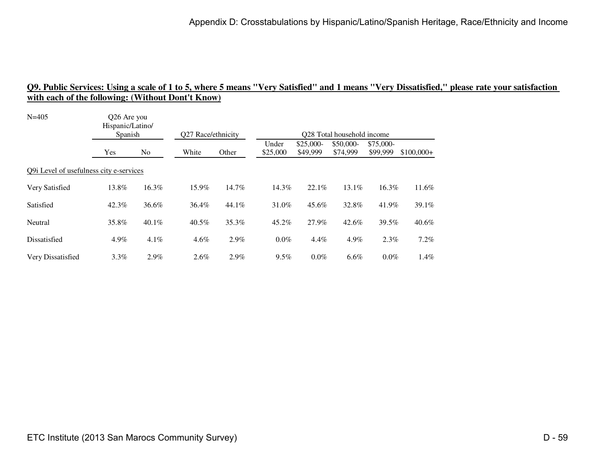| Hispanic/Latino/<br>Spanish |          | Q27 Race/ethnicity                                     |       | Q28 Total household income |                        |                       |                       |             |  |
|-----------------------------|----------|--------------------------------------------------------|-------|----------------------------|------------------------|-----------------------|-----------------------|-------------|--|
| Yes                         | No       | White                                                  | Other | Under<br>\$25,000          | $$25,000-$<br>\$49,999 | \$50,000-<br>\$74,999 | \$75,000-<br>\$99,999 | $$100,000+$ |  |
|                             |          |                                                        |       |                            |                        |                       |                       |             |  |
| 13.8%                       | 16.3%    | 15.9%                                                  | 14.7% | 14.3%                      | 22.1%                  | $13.1\%$              | 16.3%                 | 11.6%       |  |
| 42.3%                       | 36.6%    | 36.4%                                                  | 44.1% | 31.0%                      | 45.6%                  | 32.8%                 | 41.9%                 | 39.1%       |  |
| 35.8%                       | $40.1\%$ | $40.5\%$                                               | 35.3% | 45.2%                      | 27.9%                  | 42.6%                 | 39.5%                 | $40.6\%$    |  |
| 4.9%                        | 4.1%     | $4.6\%$                                                | 2.9%  | $0.0\%$                    | 4.4%                   | 4.9%                  | 2.3%                  | 7.2%        |  |
| $3.3\%$                     | 2.9%     | $2.6\%$                                                | 2.9%  | $9.5\%$                    | $0.0\%$                | 6.6%                  | $0.0\%$               | 1.4%        |  |
|                             |          | Q26 Are you<br>Q9i Level of usefulness city e-services |       |                            |                        |                       |                       |             |  |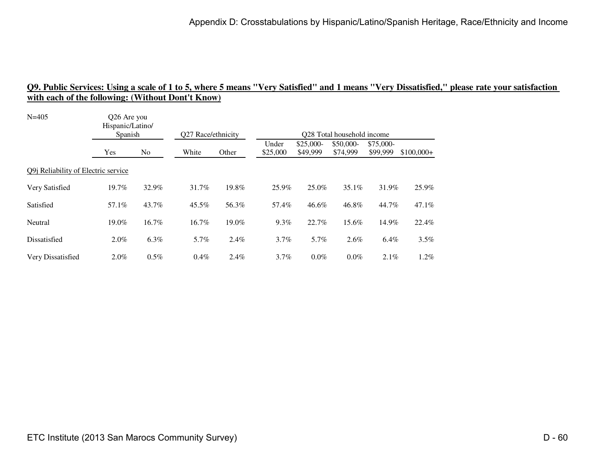| Hispanic/Latino/<br>Spanish                 |         | Q27 Race/ethnicity |       | Q28 Total household income |                        |                       |                       |                                         |  |
|---------------------------------------------|---------|--------------------|-------|----------------------------|------------------------|-----------------------|-----------------------|-----------------------------------------|--|
| Yes                                         | No      | White              | Other | Under<br>\$25,000          | $$25,000-$<br>\$49,999 | \$50,000-<br>\$74,999 | \$75,000-<br>\$99,999 | $$100,000+$                             |  |
| Q9 <i>i</i> Reliability of Electric service |         |                    |       |                            |                        |                       |                       |                                         |  |
| 19.7%                                       | 32.9%   | 31.7%              | 19.8% | 25.9%                      | 25.0%                  | $35.1\%$              |                       | 25.9%                                   |  |
| 57.1%                                       | 43.7%   | 45.5%              | 56.3% | 57.4%                      | 46.6%                  | 46.8%                 |                       | 47.1%                                   |  |
| 19.0%                                       | 16.7%   | 16.7%              | 19.0% | $9.3\%$                    | 22.7%                  | 15.6%                 |                       | 22.4%                                   |  |
| 2.0%                                        | 6.3%    | 5.7%               | 2.4%  | 3.7%                       | 5.7%                   | 2.6%                  |                       | 3.5%                                    |  |
| $2.0\%$                                     | $0.5\%$ | 0.4%               | 2.4%  | 3.7%                       | $0.0\%$                | 0.0%                  |                       | $1.2\%$                                 |  |
|                                             |         | Q26 Are you        |       |                            |                        |                       |                       | 31.9%<br>44.7%<br>14.9%<br>6.4%<br>2.1% |  |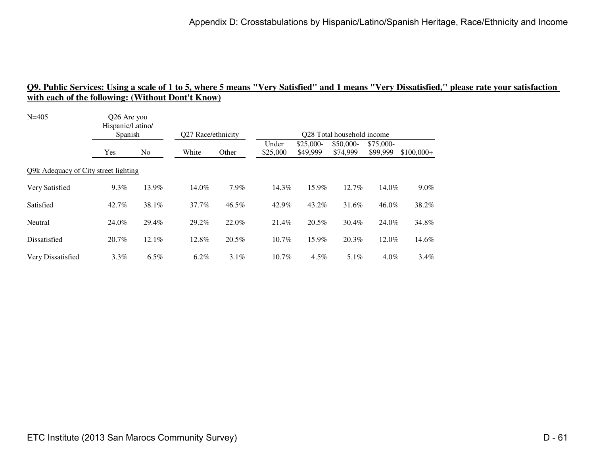| Hispanic/Latino/<br>Spanish |       |                                                     |         | Q28 Total household income |                        |                       |                       |             |  |  |
|-----------------------------|-------|-----------------------------------------------------|---------|----------------------------|------------------------|-----------------------|-----------------------|-------------|--|--|
| Yes                         | No    | White                                               | Other   | Under<br>\$25,000          | $$25,000-$<br>\$49,999 | \$50,000-<br>\$74,999 | \$75,000-<br>\$99,999 | $$100,000+$ |  |  |
|                             |       |                                                     |         |                            |                        |                       |                       |             |  |  |
| $9.3\%$                     | 13.9% | 14.0%                                               | 7.9%    | 14.3%                      | 15.9%                  | 12.7%                 | 14.0%                 | $9.0\%$     |  |  |
| 42.7%                       | 38.1% | 37.7%                                               | 46.5%   | 42.9%                      | 43.2%                  | 31.6%                 | 46.0%                 | 38.2%       |  |  |
| 24.0%                       | 29.4% | 29.2%                                               | 22.0%   | 21.4%                      | 20.5%                  | 30.4%                 | 24.0%                 | 34.8%       |  |  |
| 20.7%                       | 12.1% | 12.8%                                               | 20.5%   | 10.7%                      | 15.9%                  | 20.3%                 | 12.0%                 | 14.6%       |  |  |
| 3.3%                        | 6.5%  | 6.2%                                                | $3.1\%$ | 10.7%                      | $4.5\%$                | $5.1\%$               | $4.0\%$               | $3.4\%$     |  |  |
|                             |       | Q26 Are you<br>Q9k Adequacy of City street lighting |         | Q27 Race/ethnicity         |                        |                       |                       |             |  |  |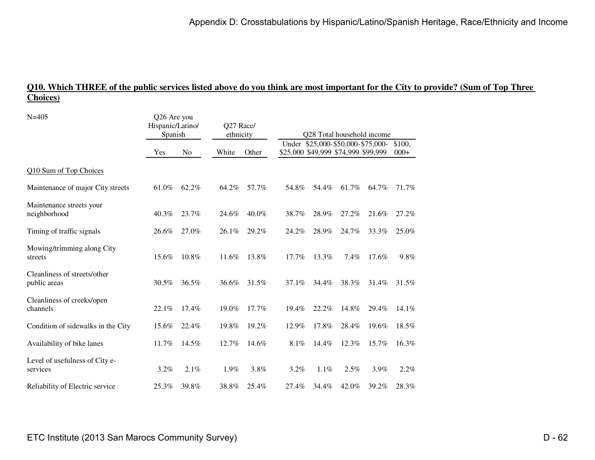### **Q10. Which THREE of the public services listed above do you think are most important for the City to provide? (Sum of Top Three Choices)**

| $N = 405$                                    | Q26 Are you<br>Hispanic/Latino/<br>Spanish |       | Q27 Race/<br>ethnicity |       | Q28 Total household income<br>Under \$25,000-\$50,000-\$75,000- |                                     |       |       |                  |
|----------------------------------------------|--------------------------------------------|-------|------------------------|-------|-----------------------------------------------------------------|-------------------------------------|-------|-------|------------------|
|                                              | Yes                                        | No    | White                  | Other |                                                                 | \$25,000 \$49,999 \$74,999 \$99,999 |       |       | \$100,<br>$000+$ |
| Q10 Sum of Top Choices                       |                                            |       |                        |       |                                                                 |                                     |       |       |                  |
| Maintenance of major City streets            | 61.0%                                      | 62.2% | 64.2%                  | 57.7% | 54.8%                                                           | 54.4%                               | 61.7% | 64.7% | 71.7%            |
| Maintenance streets your<br>neighborhood     | 40.3%                                      | 23.7% | 24.6%                  | 40.0% | 38.7%                                                           | 28.9%                               | 27.2% | 21.6% | 27.2%            |
| Timing of traffic signals                    | 26.6%                                      | 27.0% | 26.1%                  | 29.2% | 24.2%                                                           | 28.9%                               | 24.7% | 33.3% | 25.0%            |
| Mowing/trimming along City<br>streets        | 15.6%                                      | 10.8% | 11.6%                  | 13.8% | 17.7%                                                           | 13.3%                               | 7.4%  | 17.6% | 9.8%             |
| Cleanliness of streets/other<br>public areas | 30.5%                                      | 36.5% | 36.6%                  | 31.5% | 37.1%                                                           | 34.4%                               | 38.3% | 31.4% | 31.5%            |
| Cleanliness of creeks/open<br>channels       | 22.1%                                      | 17.4% | 19.0%                  | 17.7% | 19.4%                                                           | 22.2%                               | 14.8% | 29.4% | $14.1\%$         |
| Condition of sidewalks in the City           | 15.6%                                      | 22.4% | 19.8%                  | 19.2% | 12.9%                                                           | 17.8%                               | 28.4% | 19.6% | 18.5%            |
| Availability of bike lanes                   | 11.7%                                      | 14.5% | 12.7%                  | 14.6% | 8.1%                                                            | 14.4%                               | 12.3% | 15.7% | 16.3%            |
| Level of usefulness of City e-<br>services   | 3.2%                                       | 2.1%  | 1.9%                   | 3.8%  | 3.2%                                                            | 1.1%                                | 2.5%  | 3.9%  | 2.2%             |
| Reliability of Electric service              | 25.3%                                      | 39.8% | 38.8%                  | 25.4% | 27.4%                                                           | 34.4%                               | 42.0% | 39.2% | 28.3%            |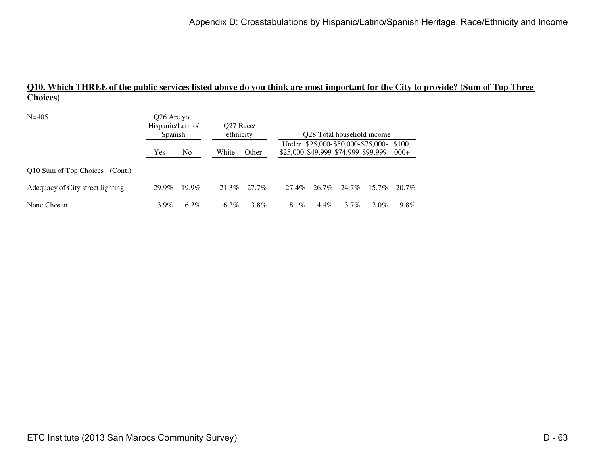### **Q10. Which THREE of the public services listed above do you think are most important for the City to provide? (Sum of Top Three Choices)**

| $N = 405$                        | Q26 Are you<br>Hispanic/Latino/<br>Spanish |                |         | O <sub>27</sub> Race/<br>ethnicity |       | O <sub>28</sub> Total household income |                                     |                                   |                  |  |
|----------------------------------|--------------------------------------------|----------------|---------|------------------------------------|-------|----------------------------------------|-------------------------------------|-----------------------------------|------------------|--|
|                                  | Yes                                        | N <sub>0</sub> | White   | Other                              |       |                                        | \$25,000 \$49,999 \$74,999 \$99,999 | Under \$25,000-\$50,000-\$75,000- | \$100.<br>$000+$ |  |
| Q10 Sum of Top Choices (Cont.)   |                                            |                |         |                                    |       |                                        |                                     |                                   |                  |  |
| Adequacy of City street lighting | 29.9%                                      | $19.9\%$       | 21.3%   | 27.7%                              | 27.4% | 26.7%                                  | 24.7%                               | $15.7\%$                          | 20.7%            |  |
| None Chosen                      | $3.9\%$                                    | $6.2\%$        | $6.3\%$ | 3.8%                               | 8.1%  | $4.4\%$                                | $3.7\%$                             | $2.0\%$                           | 9.8%             |  |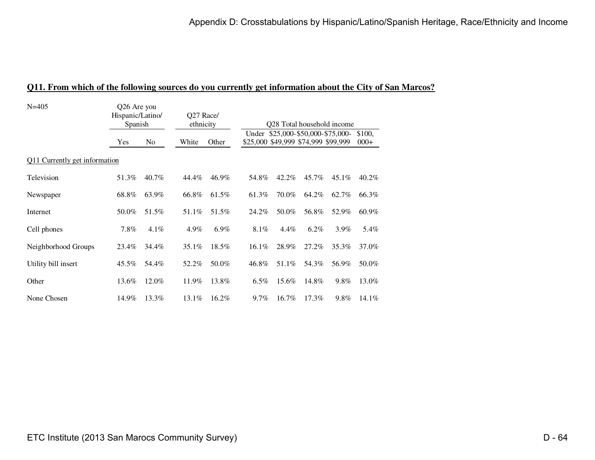| $N = 405$                     | Q26 Are you<br>Hispanic/Latino/<br>Spanish |                | Q27 Race/<br>ethnicity |         | Q28 Total household income<br>Under \$25,000-\$50,000-\$75,000- |          |                                     |          |                  |  |
|-------------------------------|--------------------------------------------|----------------|------------------------|---------|-----------------------------------------------------------------|----------|-------------------------------------|----------|------------------|--|
|                               | Yes                                        | N <sub>0</sub> | White                  | Other   |                                                                 |          | \$25,000 \$49,999 \$74,999 \$99,999 |          | \$100,<br>$000+$ |  |
| Q11 Currently get information |                                            |                |                        |         |                                                                 |          |                                     |          |                  |  |
| Television                    | 51.3%                                      | 40.7%          | 44.4%                  | 46.9%   | 54.8%                                                           | 42.2%    | 45.7%                               | $45.1\%$ | 40.2%            |  |
| Newspaper                     | 68.8%                                      | 63.9%          | 66.8%                  | 61.5%   | 61.3%                                                           | 70.0%    | 64.2%                               | 62.7%    | 66.3%            |  |
| Internet                      | 50.0%                                      | 51.5%          | 51.1%                  | 51.5%   | 24.2%                                                           | 50.0%    | 56.8%                               | 52.9%    | 60.9%            |  |
| Cell phones                   | $7.8\%$                                    | $4.1\%$        | 4.9%                   | $6.9\%$ | 8.1%                                                            | $4.4\%$  | $6.2\%$                             | $3.9\%$  | 5.4%             |  |
| Neighborhood Groups           | 23.4%                                      | 34.4%          | $35.1\%$               | 18.5%   | $16.1\%$                                                        | 28.9%    | 27.2%                               | 35.3%    | 37.0%            |  |
| Utility bill insert           | $45.5\%$                                   | 54.4%          | 52.2%                  | 50.0%   | 46.8%                                                           | 51.1%    | 54.3%                               | 56.9%    | 50.0%            |  |
| Other                         | 13.6%                                      | 12.0%          | 11.9%                  | 13.8%   | $6.5\%$                                                         | 15.6%    | 14.8%                               | 9.8%     | 13.0%            |  |
| None Chosen                   | 14.9%                                      | 13.3%          | 13.1%                  | 16.2%   | $9.7\%$                                                         | $16.7\%$ | $17.3\%$                            | 9.8%     | 14.1%            |  |

#### **Q11. From which of the following sources do you currently get information about the City of San Marcos?**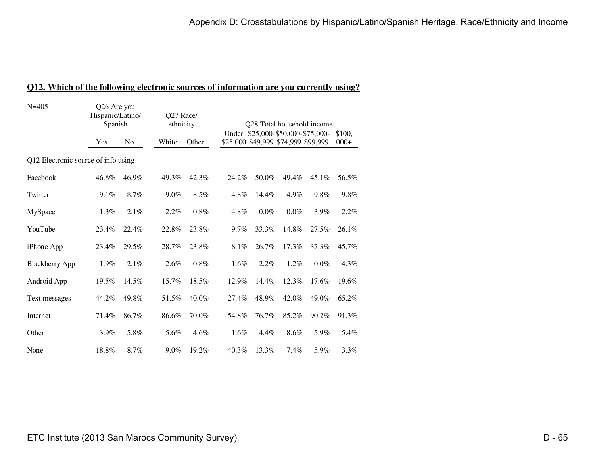| $N = 405$                           | Q26 Are you<br>Hispanic/Latino/<br>Spanish |                | Q27 Race/<br>ethnicity |         | Q28 Total household income<br>Under \$25,000-\$50,000-\$75,000- |         |         |         |                  |  |
|-------------------------------------|--------------------------------------------|----------------|------------------------|---------|-----------------------------------------------------------------|---------|---------|---------|------------------|--|
|                                     | Yes                                        | N <sub>0</sub> | White                  | Other   | \$25,000 \$49,999 \$74,999 \$99,999                             |         |         |         | \$100,<br>$000+$ |  |
| Q12 Electronic source of info using |                                            |                |                        |         |                                                                 |         |         |         |                  |  |
| Facebook                            | 46.8%                                      | 46.9%          | 49.3%                  | 42.3%   | 24.2%                                                           | 50.0%   | 49.4%   | 45.1%   | 56.5%            |  |
| Twitter                             | 9.1%                                       | 8.7%           | $9.0\%$                | 8.5%    | 4.8%                                                            | 14.4%   | 4.9%    | 9.8%    | 9.8%             |  |
| MySpace                             | 1.3%                                       | 2.1%           | 2.2%                   | $0.8\%$ | 4.8%                                                            | $0.0\%$ | $0.0\%$ | 3.9%    | 2.2%             |  |
| YouTube                             | 23.4%                                      | 22.4%          | 22.8%                  | 23.8%   | 9.7%                                                            | 33.3%   | 14.8%   | 27.5%   | 26.1%            |  |
| <i>iPhone App</i>                   | 23.4%                                      | 29.5%          | 28.7%                  | 23.8%   | 8.1%                                                            | 26.7%   | 17.3%   | 37.3%   | 45.7%            |  |
| <b>Blackberry App</b>               | 1.9%                                       | 2.1%           | 2.6%                   | 0.8%    | $1.6\%$                                                         | 2.2%    | $1.2\%$ | $0.0\%$ | 4.3%             |  |
| Android App                         | 19.5%                                      | 14.5%          | 15.7%                  | 18.5%   | 12.9%                                                           | 14.4%   | 12.3%   | 17.6%   | 19.6%            |  |
| Text messages                       | 44.2%                                      | 49.8%          | 51.5%                  | 40.0%   | 27.4%                                                           | 48.9%   | 42.0%   | 49.0%   | 65.2%            |  |
| Internet                            | 71.4%                                      | 86.7%          | 86.6%                  | 70.0%   | 54.8%                                                           | 76.7%   | 85.2%   | 90.2%   | 91.3%            |  |
| Other                               | 3.9%                                       | 5.8%           | 5.6%                   | 4.6%    | 1.6%                                                            | 4.4%    | 8.6%    | 5.9%    | 5.4%             |  |
| None                                | 18.8%                                      | 8.7%           | 9.0%                   | 19.2%   | 40.3%                                                           | 13.3%   | 7.4%    | 5.9%    | 3.3%             |  |

#### **Q12. Which of the following electronic sources of information are you currently using?**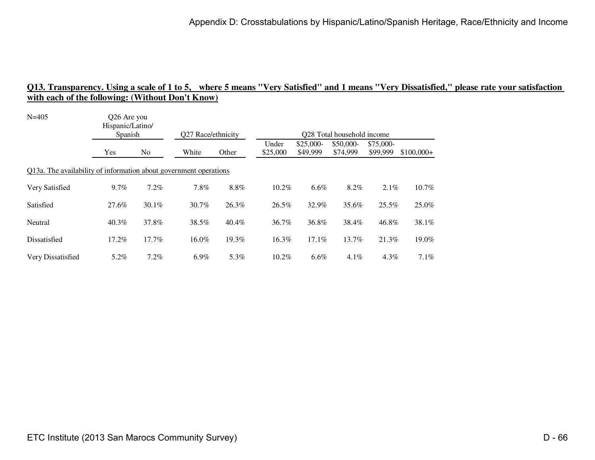| $N = 405$                                                         | Q26 Are you<br>Hispanic/Latino/<br>Spanish |          |                    |         | Q28 Total household income |                        |                       |                       |             |  |  |
|-------------------------------------------------------------------|--------------------------------------------|----------|--------------------|---------|----------------------------|------------------------|-----------------------|-----------------------|-------------|--|--|
|                                                                   |                                            |          | Q27 Race/ethnicity |         |                            |                        |                       |                       |             |  |  |
|                                                                   | Yes                                        | No       | White              | Other   | Under<br>\$25,000          | $$25,000-$<br>\$49,999 | \$50,000-<br>\$74,999 | \$75,000-<br>\$99,999 | $$100,000+$ |  |  |
| Q13a. The availability of information about government operations |                                            |          |                    |         |                            |                        |                       |                       |             |  |  |
| Very Satisfied                                                    | 9.7%                                       | 7.2%     | 7.8%               | $8.8\%$ | 10.2%                      | $6.6\%$                | 8.2%                  | 2.1%                  | 10.7%       |  |  |
| Satisfied                                                         | 27.6%                                      | $30.1\%$ | 30.7%              | 26.3%   | 26.5%                      | 32.9%                  | 35.6%                 | 25.5%                 | 25.0%       |  |  |
| Neutral                                                           | $40.3\%$                                   | 37.8%    | 38.5%              | 40.4%   | 36.7%                      | 36.8%                  | 38.4%                 | 46.8%                 | 38.1%       |  |  |
| Dissatisfied                                                      | 17.2%                                      | 17.7%    | 16.0%              | 19.3%   | 16.3%                      | 17.1%                  | 13.7%                 | 21.3%                 | 19.0%       |  |  |
| Very Dissatisfied                                                 | 5.2%                                       | 7.2%     | $6.9\%$            | 5.3%    | 10.2%                      | $6.6\%$                | 4.1%                  | 4.3%                  | $7.1\%$     |  |  |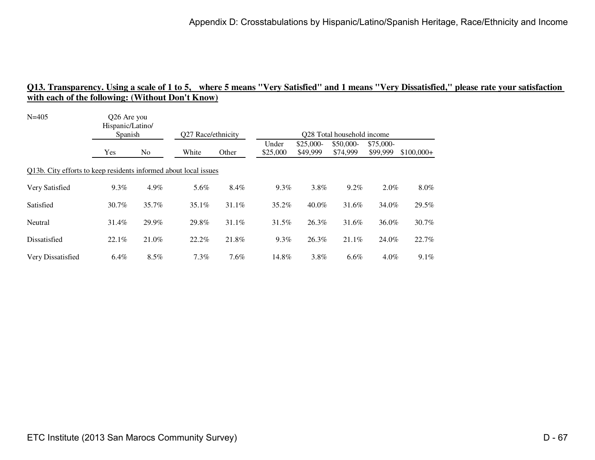| $N = 405$                                                        | Q26 Are you<br>Hispanic/Latino/ |                |                    |       |                   |                       |                            |                       |             |
|------------------------------------------------------------------|---------------------------------|----------------|--------------------|-------|-------------------|-----------------------|----------------------------|-----------------------|-------------|
|                                                                  | Spanish                         |                | Q27 Race/ethnicity |       |                   |                       | Q28 Total household income |                       |             |
|                                                                  | Yes                             | N <sub>o</sub> | White              | Other | Under<br>\$25,000 | \$25,000-<br>\$49,999 | \$50,000-<br>\$74,999      | \$75,000-<br>\$99,999 | $$100,000+$ |
| Q13b. City efforts to keep residents informed about local issues |                                 |                |                    |       |                   |                       |                            |                       |             |
| Very Satisfied                                                   | $9.3\%$                         | 4.9%           | 5.6%               | 8.4%  | $9.3\%$           | 3.8%                  | 9.2%                       | $2.0\%$               | $8.0\%$     |
| Satisfied                                                        | 30.7%                           | 35.7%          | $35.1\%$           | 31.1% | 35.2%             | $40.0\%$              | 31.6%                      | 34.0%                 | 29.5%       |
| Neutral                                                          | 31.4%                           | 29.9%          | 29.8%              | 31.1% | 31.5%             | 26.3%                 | 31.6%                      | 36.0%                 | 30.7%       |
| Dissatisfied                                                     | 22.1%                           | 21.0%          | 22.2%              | 21.8% | $9.3\%$           | 26.3%                 | 21.1%                      | 24.0%                 | 22.7%       |
| Very Dissatisfied                                                | 6.4%                            | 8.5%           | 7.3%               | 7.6%  | 14.8%             | 3.8%                  | 6.6%                       | 4.0%                  | $9.1\%$     |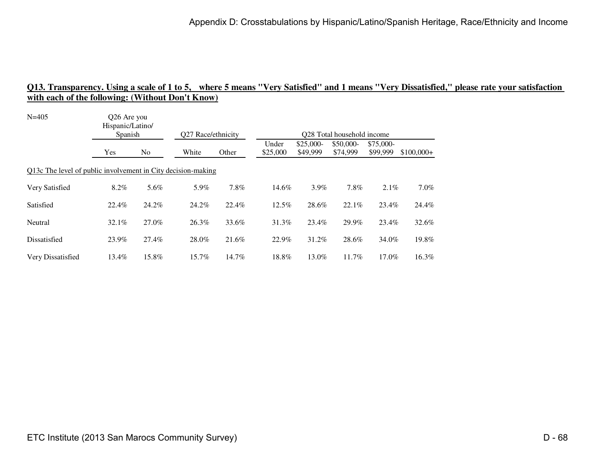| $N = 405$                                                    | Q26 Are you<br>Hispanic/Latino/ |                |                    |       |          |            |                                         |           |             |
|--------------------------------------------------------------|---------------------------------|----------------|--------------------|-------|----------|------------|-----------------------------------------|-----------|-------------|
|                                                              | Spanish                         |                | Q27 Race/ethnicity |       | Under    | $$25,000-$ | Q28 Total household income<br>\$50,000- | \$75,000- |             |
|                                                              | Yes                             | N <sub>o</sub> | White              | Other | \$25,000 | \$49,999   | \$74,999                                | \$99,999  | $$100,000+$ |
| Q13c The level of public involvement in City decision-making |                                 |                |                    |       |          |            |                                         |           |             |
| Very Satisfied                                               | 8.2%                            | 5.6%           | 5.9%               | 7.8%  | 14.6%    | $3.9\%$    | 7.8%                                    | $2.1\%$   | $7.0\%$     |
| Satisfied                                                    | 22.4%                           | 24.2%          | 24.2%              | 22.4% | $12.5\%$ | 28.6%      | 22.1%                                   | 23.4%     | 24.4%       |
| Neutral                                                      | $32.1\%$                        | 27.0%          | 26.3%              | 33.6% | 31.3%    | 23.4%      | 29.9%                                   | 23.4%     | 32.6%       |
| Dissatisfied                                                 | 23.9%                           | 27.4%          | 28.0%              | 21.6% | 22.9%    | 31.2%      | 28.6%                                   | 34.0%     | 19.8%       |
| Very Dissatisfied                                            | 13.4%                           | 15.8%          | 15.7%              | 14.7% | 18.8%    | 13.0%      | 11.7%                                   | 17.0%     | 16.3%       |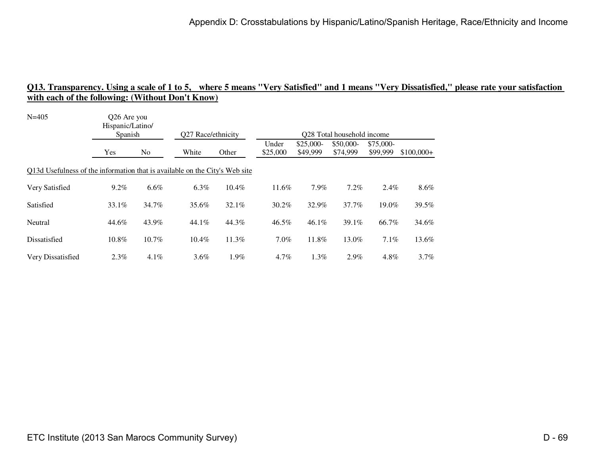| $N = 405$<br>Q26 Are you<br>Hispanic/Latino/<br>Spanish                     |         |                | Q27 Race/ethnicity |       |                   |                       | Q28 Total household income |                       |             |
|-----------------------------------------------------------------------------|---------|----------------|--------------------|-------|-------------------|-----------------------|----------------------------|-----------------------|-------------|
|                                                                             | Yes     | N <sub>o</sub> | White              | Other | Under<br>\$25,000 | \$25,000-<br>\$49,999 | \$50,000-<br>\$74,999      | \$75,000-<br>\$99,999 | $$100,000+$ |
| Q13d Usefulness of the information that is available on the City's Web site |         |                |                    |       |                   |                       |                            |                       |             |
| Very Satisfied                                                              | $9.2\%$ | 6.6%           | 6.3%               | 10.4% | 11.6%             | 7.9%                  | 7.2%                       | $2.4\%$               | $8.6\%$     |
| Satisfied                                                                   | 33.1%   | 34.7%          | 35.6%              | 32.1% | $30.2\%$          | 32.9%                 | 37.7%                      | 19.0%                 | 39.5%       |
| Neutral                                                                     | 44.6%   | 43.9%          | 44.1%              | 44.3% | 46.5%             | $46.1\%$              | 39.1%                      | 66.7%                 | 34.6%       |
| Dissatisfied                                                                | 10.8%   | 10.7%          | 10.4%              | 11.3% | $7.0\%$           | 11.8%                 | 13.0%                      | 7.1%                  | 13.6%       |
| Very Dissatisfied                                                           | 2.3%    | 4.1%           | 3.6%               | 1.9%  | 4.7%              | 1.3%                  | 2.9%                       | 4.8%                  | 3.7%        |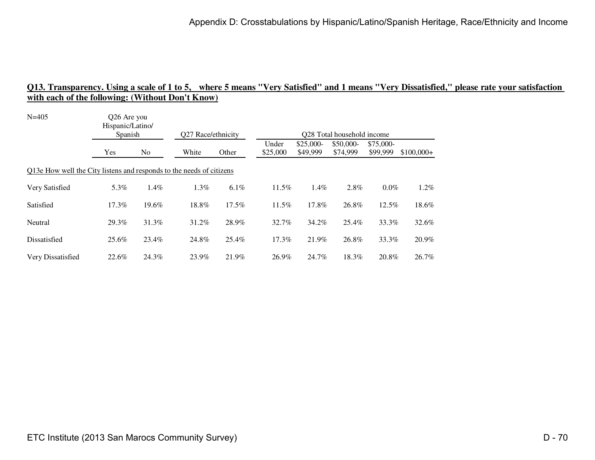| $N = 405$                                                            | Q26 Are you<br>Hispanic/Latino/<br>Spanish |       | Q27 Race/ethnicity |         | O <sub>28</sub> Total household income |                        |                       |                       |             |  |
|----------------------------------------------------------------------|--------------------------------------------|-------|--------------------|---------|----------------------------------------|------------------------|-----------------------|-----------------------|-------------|--|
|                                                                      | Yes                                        | No    | White              | Other   | Under<br>\$25,000                      | $$25,000-$<br>\$49,999 | \$50,000-<br>\$74,999 | \$75,000-<br>\$99,999 | $$100,000+$ |  |
| Q13e How well the City listens and responds to the needs of citizens |                                            |       |                    |         |                                        |                        |                       |                       |             |  |
| Very Satisfied                                                       | 5.3%                                       | 1.4%  | 1.3%               | $6.1\%$ | 11.5%                                  | 1.4%                   | 2.8%                  | $0.0\%$               | $1.2\%$     |  |
| Satisfied                                                            | $17.3\%$                                   | 19.6% | 18.8%              | 17.5%   | $11.5\%$                               | 17.8%                  | 26.8%                 | 12.5%                 | 18.6%       |  |
| Neutral                                                              | 29.3%                                      | 31.3% | 31.2%              | 28.9%   | 32.7%                                  | 34.2%                  | 25.4%                 | 33.3%                 | 32.6%       |  |
| Dissatisfied                                                         | 25.6%                                      | 23.4% | 24.8%              | 25.4%   | 17.3%                                  | 21.9%                  | 26.8%                 | 33.3%                 | 20.9%       |  |
| Very Dissatisfied                                                    | 22.6%                                      | 24.3% | 23.9%              | 21.9%   | 26.9%                                  | 24.7%                  | 18.3%                 | 20.8%                 | 26.7%       |  |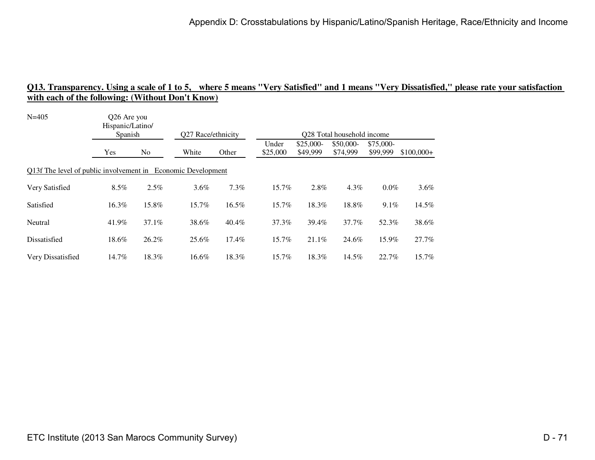| $N = 405$                                                    | Q26 Are you<br>Hispanic/Latino/ |                |                    |       |          |           |                                                     |           |             |
|--------------------------------------------------------------|---------------------------------|----------------|--------------------|-------|----------|-----------|-----------------------------------------------------|-----------|-------------|
|                                                              | Spanish                         |                | Q27 Race/ethnicity |       | Under    | \$25,000- | O <sub>28</sub> Total household income<br>\$50,000- | \$75,000- |             |
|                                                              | Yes                             | N <sub>o</sub> | White              | Other | \$25,000 | \$49,999  | \$74,999                                            | \$99,999  | $$100,000+$ |
| Q13f The level of public involvement in Economic Development |                                 |                |                    |       |          |           |                                                     |           |             |
| Very Satisfied                                               | $8.5\%$                         | 2.5%           | $3.6\%$            | 7.3%  | 15.7%    | 2.8%      | 4.3%                                                | $0.0\%$   | $3.6\%$     |
| Satisfied                                                    | 16.3%                           | 15.8%          | 15.7%              | 16.5% | 15.7%    | 18.3%     | 18.8%                                               | $9.1\%$   | 14.5%       |
| Neutral                                                      | 41.9%                           | 37.1%          | 38.6%              | 40.4% | 37.3%    | 39.4%     | 37.7%                                               | 52.3%     | 38.6%       |
| Dissatisfied                                                 | 18.6%                           | 26.2%          | 25.6%              | 17.4% | 15.7%    | 21.1%     | 24.6%                                               | 15.9%     | 27.7%       |
| Very Dissatisfied                                            | 14.7%                           | 18.3%          | 16.6%              | 18.3% | 15.7%    | 18.3%     | 14.5%                                               | 22.7%     | 15.7%       |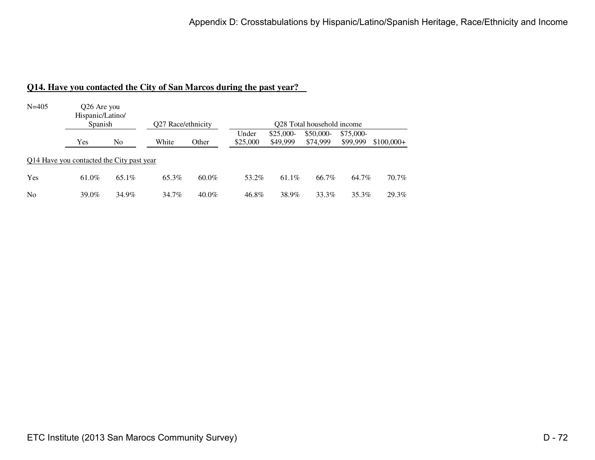#### **Q14. Have you contacted the City of San Marcos during the past year?**

| $N = 405$      | Q26 Are you<br>Hispanic/Latino/<br>Spanish |                | O27 Race/ethnicity |          |                   | O <sub>28</sub> Total household income |                       |                       |             |  |  |  |  |
|----------------|--------------------------------------------|----------------|--------------------|----------|-------------------|----------------------------------------|-----------------------|-----------------------|-------------|--|--|--|--|
|                | Yes                                        | N <sub>0</sub> | White              | Other    | Under<br>\$25,000 | $$25,000-$<br>\$49,999                 | \$50,000-<br>\$74,999 | \$75,000-<br>\$99,999 | $$100,000+$ |  |  |  |  |
|                | 014 Have you contacted the City past year  |                |                    |          |                   |                                        |                       |                       |             |  |  |  |  |
| Yes            | 61.0%                                      | 65.1%          | 65.3%              | $60.0\%$ | 53.2%             | $61.1\%$                               | 66.7%                 | 64.7%                 | 70.7%       |  |  |  |  |
| N <sub>0</sub> | 39.0%                                      | 34.9%          | 34.7%              | $40.0\%$ | 46.8%             | 38.9%                                  | 33.3%                 | 35.3%                 | 29.3%       |  |  |  |  |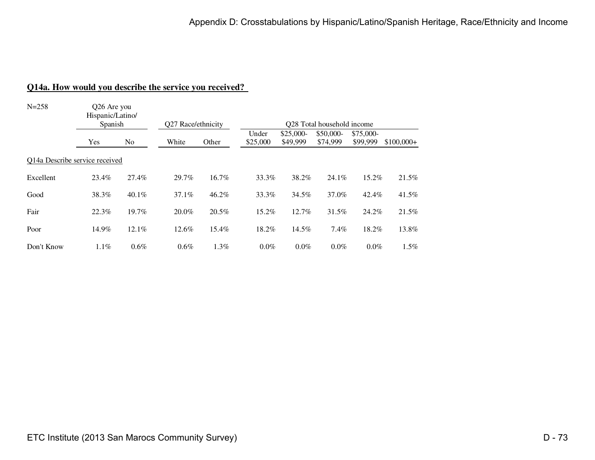#### **Q14a. How would you describe the service you received?**

| $N = 258$                      | Q26 Are you<br>Hispanic/Latino/<br>Spanish |                | Q27 Race/ethnicity |       | Q28 Total household income |                        |                       |                       |             |  |  |
|--------------------------------|--------------------------------------------|----------------|--------------------|-------|----------------------------|------------------------|-----------------------|-----------------------|-------------|--|--|
|                                | Yes                                        | N <sub>0</sub> | White              | Other | Under<br>\$25,000          | $$25,000-$<br>\$49,999 | \$50,000-<br>\$74,999 | \$75,000-<br>\$99,999 | $$100,000+$ |  |  |
| Q14a Describe service received |                                            |                |                    |       |                            |                        |                       |                       |             |  |  |
| Excellent                      | 23.4%                                      | 27.4%          | 29.7%              | 16.7% | 33.3%                      | 38.2%                  | 24.1%                 | 15.2%                 | 21.5%       |  |  |
| Good                           | 38.3%                                      | $40.1\%$       | 37.1%              | 46.2% | 33.3%                      | 34.5%                  | 37.0%                 | 42.4%                 | 41.5%       |  |  |
| Fair                           | 22.3%                                      | 19.7%          | 20.0%              | 20.5% | 15.2%                      | 12.7%                  | 31.5%                 | 24.2%                 | 21.5%       |  |  |
| Poor                           | 14.9%                                      | 12.1%          | 12.6%              | 15.4% | 18.2%                      | 14.5%                  | 7.4%                  | 18.2%                 | 13.8%       |  |  |
| Don't Know                     | 1.1%                                       | 0.6%           | $0.6\%$            | 1.3%  | $0.0\%$                    | 0.0%                   | $0.0\%$               | $0.0\%$               | 1.5%        |  |  |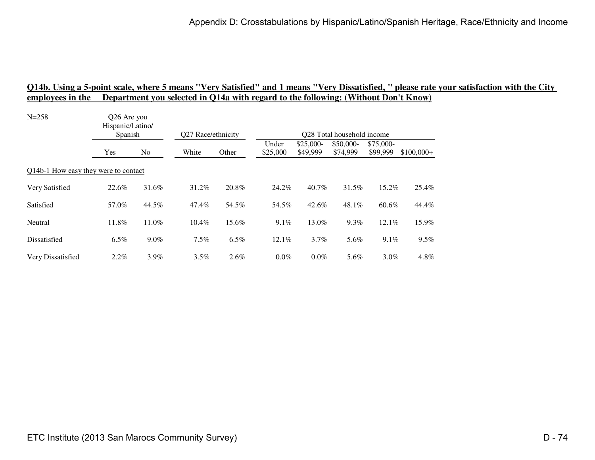| $N = 258$                            | Q26 Are you<br>Hispanic/Latino/<br>Spanish |         | Q27 Race/ethnicity |         | Q28 Total household income |                        |                       |                       |             |  |  |
|--------------------------------------|--------------------------------------------|---------|--------------------|---------|----------------------------|------------------------|-----------------------|-----------------------|-------------|--|--|
|                                      | Yes                                        | No.     | White              | Other   | Under<br>\$25,000          | $$25,000-$<br>\$49,999 | \$50,000-<br>\$74,999 | \$75,000-<br>\$99,999 | $$100,000+$ |  |  |
| Q14b-1 How easy they were to contact |                                            |         |                    |         |                            |                        |                       |                       |             |  |  |
| Very Satisfied                       | 22.6%                                      | 31.6%   | 31.2%              | 20.8%   | 24.2%                      | 40.7%                  | 31.5%                 | 15.2%                 | 25.4%       |  |  |
| Satisfied                            | 57.0%                                      | 44.5%   | 47.4%              | 54.5%   | 54.5%                      | 42.6%                  | 48.1%                 | 60.6%                 | 44.4%       |  |  |
| Neutral                              | 11.8%                                      | 11.0%   | 10.4%              | 15.6%   | $9.1\%$                    | 13.0%                  | 9.3%                  | 12.1%                 | 15.9%       |  |  |
| Dissatisfied                         | $6.5\%$                                    | $9.0\%$ | $7.5\%$            | $6.5\%$ | 12.1%                      | $3.7\%$                | 5.6%                  | $9.1\%$               | 9.5%        |  |  |
| Very Dissatisfied                    | $2.2\%$                                    | $3.9\%$ | $3.5\%$            | $2.6\%$ | $0.0\%$                    | $0.0\%$                | 5.6%                  | $3.0\%$               | 4.8%        |  |  |
|                                      |                                            |         |                    |         |                            |                        |                       |                       |             |  |  |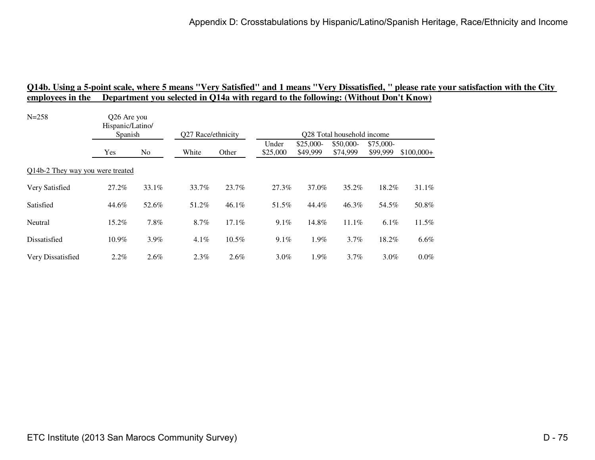| $N = 258$                        | Q26 Are you<br>Hispanic/Latino/<br>Spanish |         | Q27 Race/ethnicity |         | Q28 Total household income |                        |                       |                       |             |  |  |
|----------------------------------|--------------------------------------------|---------|--------------------|---------|----------------------------|------------------------|-----------------------|-----------------------|-------------|--|--|
|                                  | Yes                                        | No.     | White              | Other   | Under<br>\$25,000          | $$25,000-$<br>\$49,999 | \$50,000-<br>\$74,999 | \$75,000-<br>\$99,999 | $$100,000+$ |  |  |
| Q14b-2 They way you were treated |                                            |         |                    |         |                            |                        |                       |                       |             |  |  |
| Very Satisfied                   | 27.2%                                      | 33.1%   | 33.7%              | 23.7%   | 27.3%                      | 37.0%                  | 35.2%                 | 18.2%                 | 31.1%       |  |  |
| Satisfied                        | 44.6%                                      | 52.6%   | 51.2%              | 46.1%   | 51.5%                      | 44.4%                  | 46.3%                 | 54.5%                 | 50.8%       |  |  |
| Neutral                          | 15.2%                                      | 7.8%    | 8.7%               | 17.1%   | $9.1\%$                    | 14.8%                  | 11.1%                 | $6.1\%$               | 11.5%       |  |  |
| Dissatisfied                     | 10.9%                                      | $3.9\%$ | $4.1\%$            | 10.5%   | 9.1%                       | 1.9%                   | $3.7\%$               | 18.2%                 | 6.6%        |  |  |
| Very Dissatisfied                | $2.2\%$                                    | $2.6\%$ | $2.3\%$            | $2.6\%$ | $3.0\%$                    | 1.9%                   | $3.7\%$               | $3.0\%$               | $0.0\%$     |  |  |
|                                  |                                            |         |                    |         |                            |                        |                       |                       |             |  |  |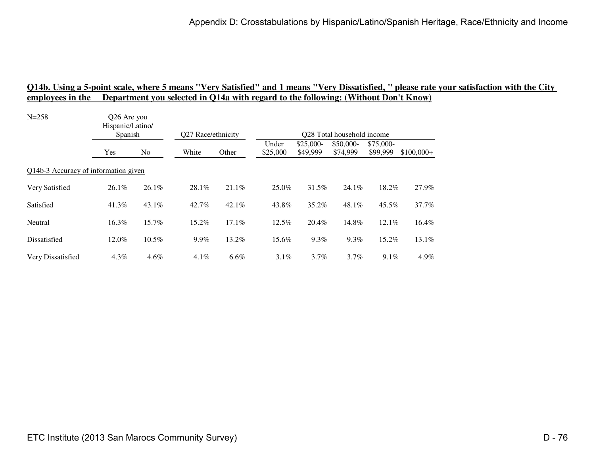| Hispanic/Latino/ |          |                                                                |          | Q28 Total household income |                        |                       |                       |                                             |  |  |
|------------------|----------|----------------------------------------------------------------|----------|----------------------------|------------------------|-----------------------|-----------------------|---------------------------------------------|--|--|
| Yes              | No.      | White                                                          | Other    | Under<br>\$25,000          | $$25,000-$<br>\$49,999 | \$50,000-<br>\$74,999 | \$75,000-<br>\$99,999 | $$100,000+$                                 |  |  |
|                  |          |                                                                |          |                            |                        |                       |                       |                                             |  |  |
| $26.1\%$         | 26.1%    | 28.1%                                                          | 21.1%    | 25.0%                      | 31.5%                  | 24.1%                 |                       | 27.9%                                       |  |  |
| 41.3%            | 43.1%    | 42.7%                                                          | $42.1\%$ | 43.8%                      | 35.2%                  | 48.1%                 |                       | 37.7%                                       |  |  |
| 16.3%            | 15.7%    | 15.2%                                                          | 17.1%    | 12.5%                      | 20.4%                  | 14.8%                 |                       | 16.4%                                       |  |  |
| 12.0%            | $10.5\%$ | 9.9%                                                           | 13.2%    | 15.6%                      | $9.3\%$                | $9.3\%$               |                       | 13.1%                                       |  |  |
| $4.3\%$          | $4.6\%$  | $4.1\%$                                                        | $6.6\%$  | $3.1\%$                    | 3.7%                   | $3.7\%$               |                       | 4.9%                                        |  |  |
|                  |          | Q26 Are you<br>Spanish<br>Q14b-3 Accuracy of information given |          | Q27 Race/ethnicity         |                        |                       |                       | 18.2%<br>45.5%<br>12.1%<br>15.2%<br>$9.1\%$ |  |  |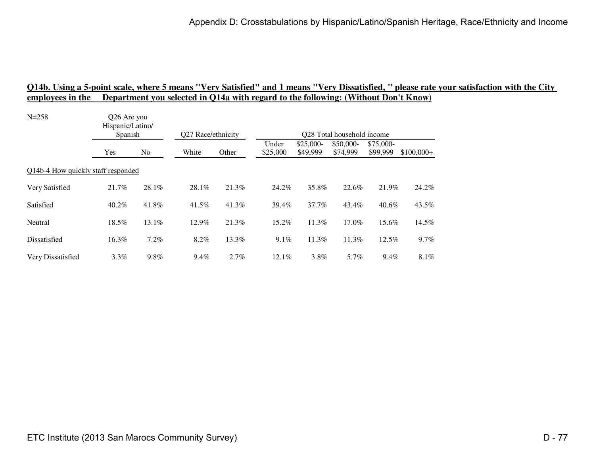| Hispanic/Latino/ |          |                                                              |       |                    |                        |                       |                       |                                                                                 |  |  |
|------------------|----------|--------------------------------------------------------------|-------|--------------------|------------------------|-----------------------|-----------------------|---------------------------------------------------------------------------------|--|--|
| Yes              | No       | White                                                        | Other | Under<br>\$25,000  | $$25,000-$<br>\$49,999 | \$50,000-<br>\$74,999 | \$75,000-<br>\$99,999 | $$100,000+$                                                                     |  |  |
|                  |          |                                                              |       |                    |                        |                       |                       |                                                                                 |  |  |
| 21.7%            | 28.1%    | 28.1%                                                        | 21.3% | 24.2%              | 35.8%                  | 22.6%                 |                       | 24.2%                                                                           |  |  |
| $40.2\%$         | 41.8%    | 41.5%                                                        | 41.3% | 39.4%              | $37.7\%$               | 43.4%                 |                       | 43.5%                                                                           |  |  |
| 18.5%            | $13.1\%$ | 12.9%                                                        | 21.3% | 15.2%              | 11.3%                  | 17.0%                 |                       | 14.5%                                                                           |  |  |
| 16.3%            | 7.2%     | 8.2%                                                         | 13.3% | 9.1%               | 11.3%                  | 11.3%                 |                       | 9.7%                                                                            |  |  |
| $3.3\%$          | 9.8%     | $9.4\%$                                                      | 2.7%  | 12.1%              | 3.8%                   | 5.7%                  |                       | 8.1%                                                                            |  |  |
|                  |          | Q26 Are you<br>Spanish<br>Q14b-4 How quickly staff responded |       | Q27 Race/ethnicity |                        |                       |                       | Q28 Total household income<br>21.9%<br>$40.6\%$<br>15.6%<br>$12.5\%$<br>$9.4\%$ |  |  |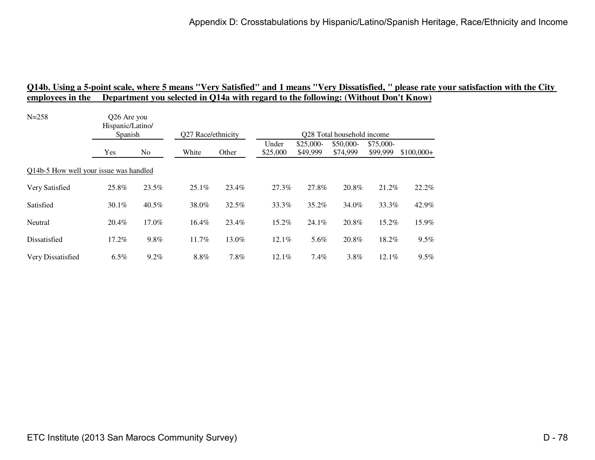| $N = 258$                              | Q26 Are you<br>Hispanic/Latino/<br>Spanish |         | Q27 Race/ethnicity |       | Q28 Total household income |                        |                       |                       |             |  |  |
|----------------------------------------|--------------------------------------------|---------|--------------------|-------|----------------------------|------------------------|-----------------------|-----------------------|-------------|--|--|
|                                        | Yes                                        | No.     | White              | Other | Under<br>\$25,000          | $$25,000-$<br>\$49,999 | \$50,000-<br>\$74,999 | \$75,000-<br>\$99,999 | $$100,000+$ |  |  |
| Q14b-5 How well your issue was handled |                                            |         |                    |       |                            |                        |                       |                       |             |  |  |
| Very Satisfied                         | 25.8%                                      | 23.5%   | $25.1\%$           | 23.4% | 27.3%                      | 27.8%                  | 20.8%                 | 21.2%                 | 22.2%       |  |  |
| Satisfied                              | $30.1\%$                                   | 40.5%   | 38.0%              | 32.5% | 33.3%                      | 35.2%                  | 34.0%                 | 33.3%                 | 42.9%       |  |  |
| Neutral                                | 20.4%                                      | 17.0%   | 16.4%              | 23.4% | 15.2%                      | 24.1%                  | 20.8%                 | 15.2%                 | 15.9%       |  |  |
| Dissatisfied                           | 17.2%                                      | 9.8%    | 11.7%              | 13.0% | 12.1%                      | 5.6%                   | 20.8%                 | 18.2%                 | 9.5%        |  |  |
| Very Dissatisfied                      | $6.5\%$                                    | $9.2\%$ | 8.8%               | 7.8%  | 12.1%                      | $7.4\%$                | 3.8%                  | $12.1\%$              | 9.5%        |  |  |
|                                        |                                            |         |                    |       |                            |                        |                       |                       |             |  |  |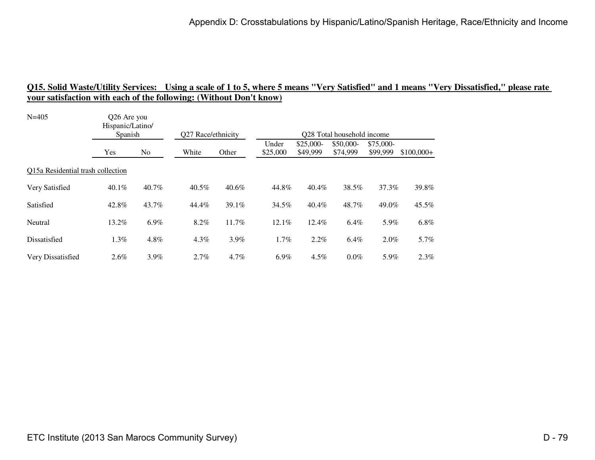| $N = 405$                         | Q26 Are you<br>Hispanic/Latino/<br>Spanish |         |                             |          | Q28 Total household income |                        |                       |                       |             |  |  |
|-----------------------------------|--------------------------------------------|---------|-----------------------------|----------|----------------------------|------------------------|-----------------------|-----------------------|-------------|--|--|
|                                   | Yes                                        | No      | Q27 Race/ethnicity<br>White | Other    | Under<br>\$25,000          | $$25,000-$<br>\$49,999 | \$50,000-<br>\$74,999 | \$75,000-<br>\$99,999 | $$100,000+$ |  |  |
| Q15a Residential trash collection |                                            |         |                             |          |                            |                        |                       |                       |             |  |  |
| Very Satisfied                    | $40.1\%$                                   | 40.7%   | 40.5%                       | $40.6\%$ | 44.8%                      | 40.4%                  | 38.5%                 | 37.3%                 | 39.8%       |  |  |
| Satisfied                         | 42.8%                                      | 43.7%   | 44.4%                       | 39.1%    | 34.5%                      | $40.4\%$               | 48.7%                 | 49.0%                 | 45.5%       |  |  |
| Neutral                           | 13.2%                                      | $6.9\%$ | 8.2%                        | 11.7%    | $12.1\%$                   | 12.4%                  | 6.4%                  | 5.9%                  | 6.8%        |  |  |
| Dissatisfied                      | 1.3%                                       | 4.8%    | 4.3%                        | 3.9%     | 1.7%                       | 2.2%                   | 6.4%                  | $2.0\%$               | 5.7%        |  |  |
| Very Dissatisfied                 | $2.6\%$                                    | $3.9\%$ | 2.7%                        | $4.7\%$  | $6.9\%$                    | $4.5\%$                | $0.0\%$               | 5.9%                  | 2.3%        |  |  |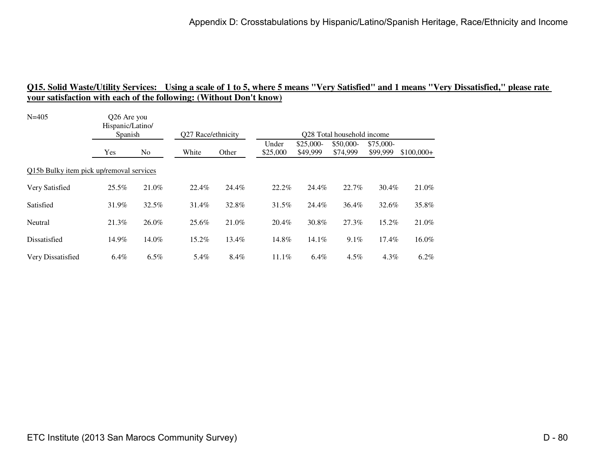| Hispanic/Latino/<br>Spanish |         | Q27 Race/ethnicity                                      |       | Q28 Total household income |                        |                       |                       |                                                |  |  |
|-----------------------------|---------|---------------------------------------------------------|-------|----------------------------|------------------------|-----------------------|-----------------------|------------------------------------------------|--|--|
| Yes                         | No.     | White                                                   | Other | Under<br>\$25,000          | $$25,000-$<br>\$49,999 | \$50,000-<br>\$74,999 | \$75,000-<br>\$99,999 | $$100,000+$                                    |  |  |
|                             |         |                                                         |       |                            |                        |                       |                       |                                                |  |  |
| 25.5%                       | 21.0%   | 22.4%                                                   | 24.4% | 22.2%                      | 24.4%                  | 22.7%                 |                       | 21.0%                                          |  |  |
| 31.9%                       | 32.5%   | 31.4%                                                   | 32.8% | 31.5%                      | 24.4%                  | 36.4%                 |                       | 35.8%                                          |  |  |
| 21.3%                       | 26.0%   | 25.6%                                                   | 21.0% | 20.4%                      | 30.8%                  | 27.3%                 |                       | 21.0%                                          |  |  |
| 14.9%                       | 14.0%   | 15.2%                                                   | 13.4% | 14.8%                      | 14.1%                  | $9.1\%$               |                       | 16.0%                                          |  |  |
| $6.4\%$                     | $6.5\%$ | 5.4%                                                    | 8.4%  | 11.1%                      | $6.4\%$                | $4.5\%$               |                       | $6.2\%$                                        |  |  |
|                             |         | Q26 Are you<br>Q15b Bulky item pick up/removal services |       |                            |                        |                       |                       | 30.4%<br>32.6%<br>15.2%<br>$17.4\%$<br>$4.3\%$ |  |  |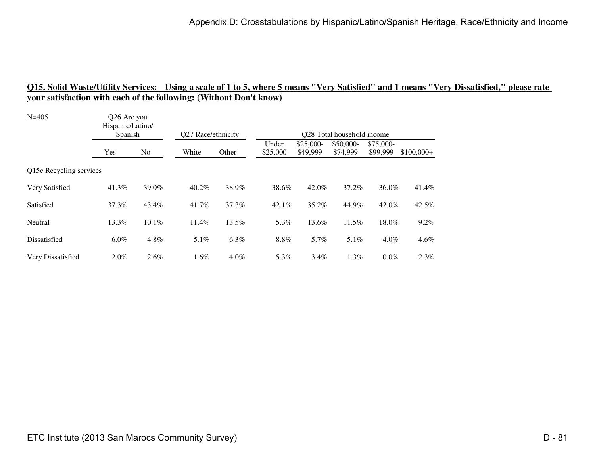| $N = 405$               | Q26 Are you<br>Hispanic/Latino/ |       | Q27 Race/ethnicity<br>Q28 Total household income |         |                   |                        |                       |                       |             |  |
|-------------------------|---------------------------------|-------|--------------------------------------------------|---------|-------------------|------------------------|-----------------------|-----------------------|-------------|--|
|                         | Spanish                         |       |                                                  |         |                   |                        |                       |                       |             |  |
|                         | Yes                             | No    | White                                            | Other   | Under<br>\$25,000 | $$25,000-$<br>\$49,999 | \$50,000-<br>\$74,999 | \$75,000-<br>\$99,999 | $$100,000+$ |  |
| Q15c Recycling services |                                 |       |                                                  |         |                   |                        |                       |                       |             |  |
| Very Satisfied          | 41.3%                           | 39.0% | 40.2%                                            | 38.9%   | 38.6%             | 42.0%                  | 37.2%                 | 36.0%                 | 41.4%       |  |
| Satisfied               | 37.3%                           | 43.4% | 41.7%                                            | 37.3%   | $42.1\%$          | 35.2%                  | 44.9%                 | 42.0%                 | 42.5%       |  |
| Neutral                 | 13.3%                           | 10.1% | 11.4%                                            | 13.5%   | 5.3%              | 13.6%                  | 11.5%                 | 18.0%                 | 9.2%        |  |
| Dissatisfied            | $6.0\%$                         | 4.8%  | 5.1%                                             | 6.3%    | 8.8%              | 5.7%                   | 5.1%                  | $4.0\%$               | 4.6%        |  |
| Very Dissatisfied       | $2.0\%$                         | 2.6%  | $1.6\%$                                          | $4.0\%$ | 5.3%              | $3.4\%$                | $1.3\%$               | $0.0\%$               | 2.3%        |  |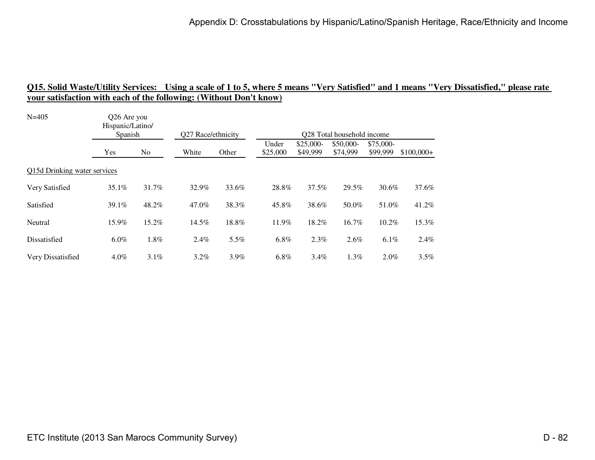| Hispanic/Latino/             |         |                        |         |                    |                        |                       |                       |                                                                             |  |  |
|------------------------------|---------|------------------------|---------|--------------------|------------------------|-----------------------|-----------------------|-----------------------------------------------------------------------------|--|--|
| Yes                          | No      | White                  | Other   | Under<br>\$25,000  | $$25,000-$<br>\$49,999 | \$50,000-<br>\$74,999 | \$75,000-<br>\$99,999 | $$100,000+$                                                                 |  |  |
| Q15d Drinking water services |         |                        |         |                    |                        |                       |                       |                                                                             |  |  |
| $35.1\%$                     | 31.7%   | 32.9%                  | 33.6%   | 28.8%              | 37.5%                  | 29.5%                 |                       | 37.6%                                                                       |  |  |
| 39.1%                        | 48.2%   | 47.0%                  | 38.3%   | 45.8%              | 38.6%                  | 50.0%                 |                       | 41.2%                                                                       |  |  |
| 15.9%                        | 15.2%   | 14.5%                  | 18.8%   | 11.9%              | 18.2%                  | 16.7%                 |                       | 15.3%                                                                       |  |  |
| $6.0\%$                      | 1.8%    | $2.4\%$                | 5.5%    | $6.8\%$            | 2.3%                   | $2.6\%$               |                       | 2.4%                                                                        |  |  |
| $4.0\%$                      | $3.1\%$ | $3.2\%$                | $3.9\%$ | $6.8\%$            | $3.4\%$                | 1.3%                  |                       | 3.5%                                                                        |  |  |
|                              |         | Q26 Are you<br>Spanish |         | Q27 Race/ethnicity |                        |                       |                       | Q28 Total household income<br>30.6%<br>51.0%<br>10.2%<br>$6.1\%$<br>$2.0\%$ |  |  |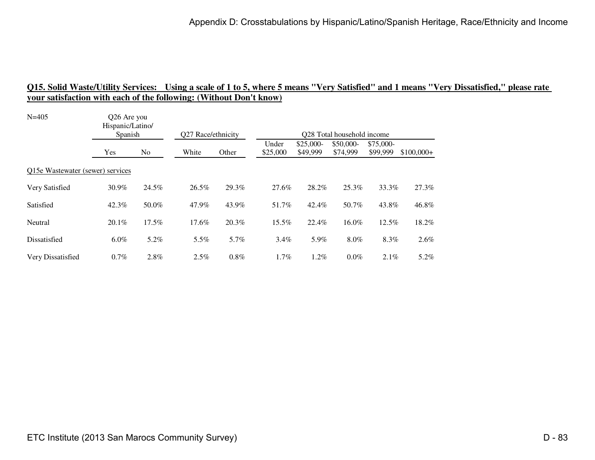| $N = 405$                        | O <sub>26</sub> Are you<br>Hispanic/Latino/ |       |                    |       |                            |                        |                       |                       |             |  |  |
|----------------------------------|---------------------------------------------|-------|--------------------|-------|----------------------------|------------------------|-----------------------|-----------------------|-------------|--|--|
|                                  | Spanish                                     |       | Q27 Race/ethnicity |       | Q28 Total household income |                        |                       |                       |             |  |  |
|                                  | <b>Yes</b>                                  | No.   | White              | Other | Under<br>\$25,000          | $$25,000-$<br>\$49,999 | \$50,000-<br>\$74,999 | \$75,000-<br>\$99,999 | $$100,000+$ |  |  |
| Q15e Wastewater (sewer) services |                                             |       |                    |       |                            |                        |                       |                       |             |  |  |
| Very Satisfied                   | 30.9%                                       | 24.5% | 26.5%              | 29.3% | 27.6%                      | 28.2%                  | 25.3%                 | 33.3%                 | 27.3%       |  |  |
| Satisfied                        | 42.3%                                       | 50.0% | 47.9%              | 43.9% | 51.7%                      | 42.4%                  | 50.7%                 | 43.8%                 | 46.8%       |  |  |
| Neutral                          | 20.1%                                       | 17.5% | 17.6%              | 20.3% | 15.5%                      | 22.4%                  | 16.0%                 | 12.5%                 | 18.2%       |  |  |
| Dissatisfied                     | $6.0\%$                                     | 5.2%  | $5.5\%$            | 5.7%  | $3.4\%$                    | 5.9%                   | 8.0%                  | 8.3%                  | $2.6\%$     |  |  |
| Very Dissatisfied                | $0.7\%$                                     | 2.8%  | 2.5%               | 0.8%  | 1.7%                       | $1.2\%$                | $0.0\%$               | $2.1\%$               | 5.2%        |  |  |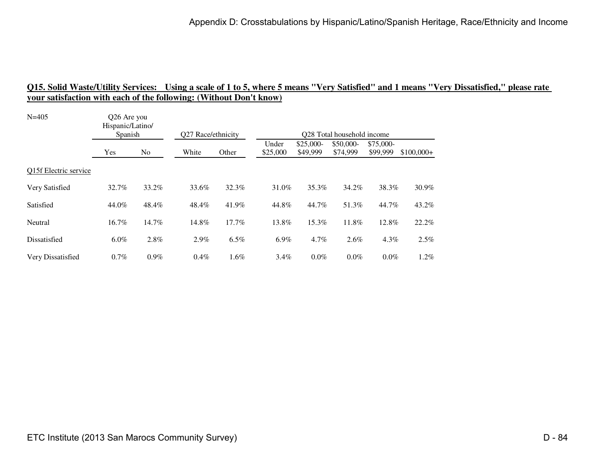| $N = 405$             | Q26 Are you<br>Hispanic/Latino/<br>Spanish |         |         | Q27 Race/ethnicity<br>Q28 Total household income |                   |                        |                       |                       |             |  |  |
|-----------------------|--------------------------------------------|---------|---------|--------------------------------------------------|-------------------|------------------------|-----------------------|-----------------------|-------------|--|--|
|                       |                                            |         |         |                                                  |                   |                        |                       |                       |             |  |  |
|                       | Yes                                        | No.     | White   | Other                                            | Under<br>\$25,000 | $$25,000-$<br>\$49,999 | \$50,000-<br>\$74,999 | \$75,000-<br>\$99,999 | $$100,000+$ |  |  |
| Q15f Electric service |                                            |         |         |                                                  |                   |                        |                       |                       |             |  |  |
| Very Satisfied        | 32.7%                                      | 33.2%   | 33.6%   | 32.3%                                            | 31.0%             | 35.3%                  | 34.2%                 | 38.3%                 | 30.9%       |  |  |
| Satisfied             | 44.0%                                      | 48.4%   | 48.4%   | 41.9%                                            | 44.8%             | 44.7%                  | 51.3%                 | 44.7%                 | 43.2%       |  |  |
| Neutral               | 16.7%                                      | 14.7%   | 14.8%   | 17.7%                                            | 13.8%             | 15.3%                  | 11.8%                 | 12.8%                 | 22.2%       |  |  |
| Dissatisfied          | $6.0\%$                                    | 2.8%    | $2.9\%$ | 6.5%                                             | $6.9\%$           | $4.7\%$                | $2.6\%$               | $4.3\%$               | 2.5%        |  |  |
| Very Dissatisfied     | 0.7%                                       | $0.9\%$ | 0.4%    | 1.6%                                             | $3.4\%$           | $0.0\%$                | $0.0\%$               | $0.0\%$               | $1.2\%$     |  |  |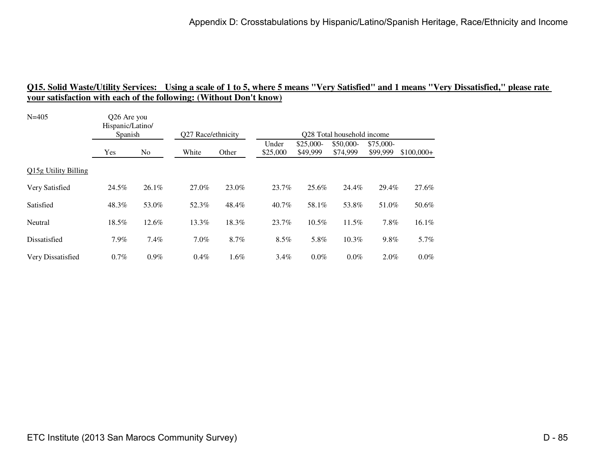| $N = 405$            | Q26 Are you<br>Hispanic/Latino/<br>Spanish |         | Q27 Race/ethnicity |       | Q28 Total household income |                        |                       |                       |             |  |
|----------------------|--------------------------------------------|---------|--------------------|-------|----------------------------|------------------------|-----------------------|-----------------------|-------------|--|
|                      |                                            |         |                    |       |                            |                        |                       |                       |             |  |
|                      | Yes                                        | No      | White              | Other | Under<br>\$25,000          | $$25,000-$<br>\$49,999 | \$50,000-<br>\$74,999 | \$75,000-<br>\$99,999 | $$100,000+$ |  |
| Q15g Utility Billing |                                            |         |                    |       |                            |                        |                       |                       |             |  |
| Very Satisfied       | 24.5%                                      | 26.1%   | 27.0%              | 23.0% | 23.7%                      | 25.6%                  | 24.4%                 | 29.4%                 | 27.6%       |  |
| Satisfied            | 48.3%                                      | 53.0%   | 52.3%              | 48.4% | 40.7%                      | 58.1%                  | 53.8%                 | 51.0%                 | 50.6%       |  |
| Neutral              | 18.5%                                      | 12.6%   | 13.3%              | 18.3% | 23.7%                      | 10.5%                  | 11.5%                 | 7.8%                  | 16.1%       |  |
| Dissatisfied         | 7.9%                                       | 7.4%    | $7.0\%$            | 8.7%  | 8.5%                       | 5.8%                   | 10.3%                 | 9.8%                  | 5.7%        |  |
| Very Dissatisfied    | $0.7\%$                                    | $0.9\%$ | 0.4%               | 1.6%  | $3.4\%$                    | $0.0\%$                | $0.0\%$               | $2.0\%$               | $0.0\%$     |  |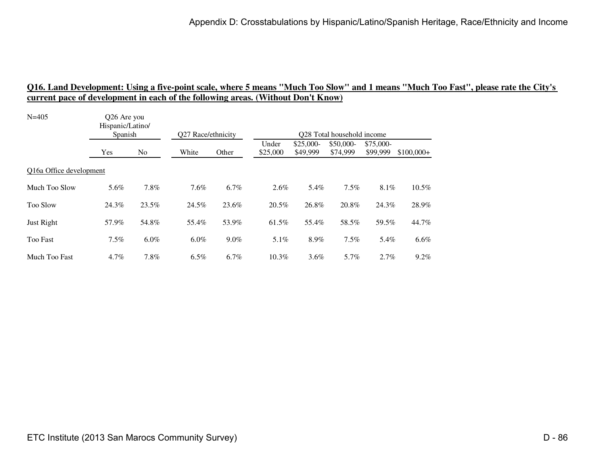| Hispanic/Latino/<br>Spanish |         | Q27 Race/ethnicity |         | Q28 Total household income |                        |                       |                       |                                        |
|-----------------------------|---------|--------------------|---------|----------------------------|------------------------|-----------------------|-----------------------|----------------------------------------|
| Yes                         | No.     | White              | Other   | Under<br>\$25,000          | $$25,000-$<br>\$49,999 | \$50,000-<br>\$74,999 | \$75,000-<br>\$99,999 | $$100,000+$                            |
| Q16a Office development     |         |                    |         |                            |                        |                       |                       |                                        |
| 5.6%                        | 7.8%    | 7.6%               | 6.7%    | 2.6%                       | 5.4%                   | 7.5%                  |                       | 10.5%                                  |
| 24.3%                       | 23.5%   | 24.5%              | 23.6%   | 20.5%                      | 26.8%                  | 20.8%                 |                       | 28.9%                                  |
| 57.9%                       | 54.8%   | 55.4%              | 53.9%   | 61.5%                      | 55.4%                  | 58.5%                 |                       | 44.7%                                  |
| $7.5\%$                     | $6.0\%$ | $6.0\%$            | $9.0\%$ | 5.1%                       | 8.9%                   | $7.5\%$               |                       | 6.6%                                   |
| $4.7\%$                     | 7.8%    | $6.5\%$            | 6.7%    | $10.3\%$                   | $3.6\%$                | 5.7%                  |                       | 9.2%                                   |
|                             |         | Q26 Are you        |         |                            |                        |                       |                       | 8.1%<br>24.3%<br>59.5%<br>5.4%<br>2.7% |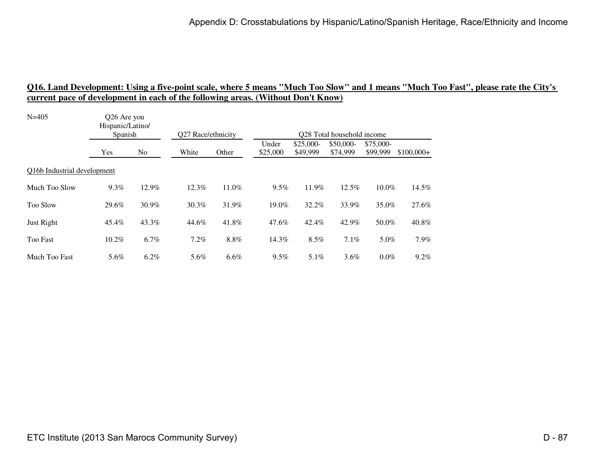| Hispanic/Latino/<br>Spanish |         | Q27 Race/ethnicity |       | Q28 Total household income |                        |                       |                        |             |
|-----------------------------|---------|--------------------|-------|----------------------------|------------------------|-----------------------|------------------------|-------------|
| Yes                         | No.     | White              | Other | Under<br>\$25,000          | $$25,000-$<br>\$49,999 | \$50,000-<br>\$74,999 | $$75,000-$<br>\$99,999 | $$100,000+$ |
| Q16b Industrial development |         |                    |       |                            |                        |                       |                        |             |
| 9.3%                        | 12.9%   | 12.3%              | 11.0% | 9.5%                       | 11.9%                  | 12.5%                 | 10.0%                  | 14.5%       |
| 29.6%                       | 30.9%   | 30.3%              | 31.9% | 19.0%                      | 32.2%                  | 33.9%                 | 35.0%                  | 27.6%       |
| 45.4%                       | 43.3%   | 44.6%              | 41.8% | 47.6%                      | 42.4%                  | 42.9%                 | 50.0%                  | 40.8%       |
| $10.2\%$                    | $6.7\%$ | $7.2\%$            | 8.8%  | 14.3%                      | $8.5\%$                | 7.1%                  | 5.0%                   | 7.9%        |
| 5.6%                        | $6.2\%$ | 5.6%               | 6.6%  | 9.5%                       | $5.1\%$                | $3.6\%$               | $0.0\%$                | 9.2%        |
|                             |         | Q26 Are you        |       |                            |                        |                       |                        |             |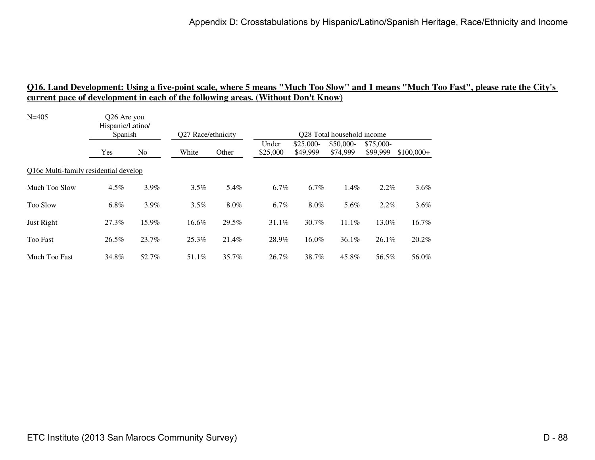| $N = 405$                             | Q26 Are you<br>Hispanic/Latino/<br>Spanish |       | Q27 Race/ethnicity |       | Q28 Total household income |                        |                       |                       |             |
|---------------------------------------|--------------------------------------------|-------|--------------------|-------|----------------------------|------------------------|-----------------------|-----------------------|-------------|
|                                       | Yes                                        | No.   | White              | Other | Under<br>\$25,000          | $$25,000-$<br>\$49,999 | \$50,000-<br>\$74,999 | \$75,000-<br>\$99,999 | $$100,000+$ |
| Q16c Multi-family residential develop |                                            |       |                    |       |                            |                        |                       |                       |             |
| Much Too Slow                         | $4.5\%$                                    | 3.9%  | 3.5%               | 5.4%  | 6.7%                       | 6.7%                   | 1.4%                  | $2.2\%$               | 3.6%        |
| <b>Too Slow</b>                       | $6.8\%$                                    | 3.9%  | 3.5%               | 8.0%  | 6.7%                       | 8.0%                   | 5.6%                  | 2.2%                  | 3.6%        |
| Just Right                            | 27.3%                                      | 15.9% | 16.6%              | 29.5% | 31.1%                      | 30.7%                  | $11.1\%$              | 13.0%                 | 16.7%       |
| <b>Too Fast</b>                       | 26.5%                                      | 23.7% | 25.3%              | 21.4% | 28.9%                      | 16.0%                  | $36.1\%$              | $26.1\%$              | 20.2%       |
| Much Too Fast                         | 34.8%                                      | 52.7% | 51.1%              | 35.7% | 26.7%                      | 38.7%                  | 45.8%                 | 56.5%                 | 56.0%       |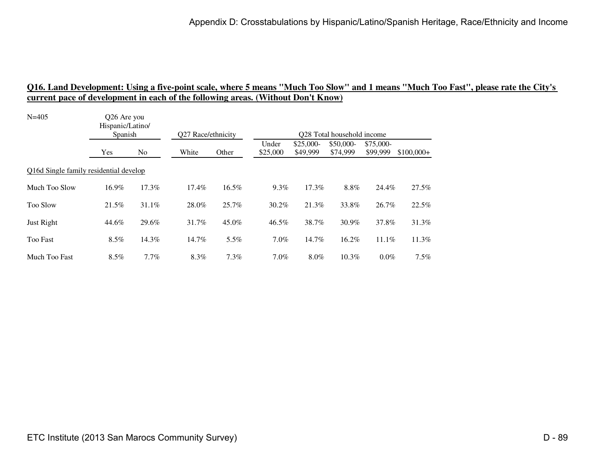| Hispanic/Latino/<br>Spanish |         | Q27 Race/ethnicity                                                |       | Q28 Total household income |                        |                       |                       |                                                |
|-----------------------------|---------|-------------------------------------------------------------------|-------|----------------------------|------------------------|-----------------------|-----------------------|------------------------------------------------|
| Yes                         | No.     | White                                                             | Other | Under<br>\$25,000          | $$25,000-$<br>\$49,999 | \$50,000-<br>\$74,999 | \$75,000-<br>\$99,999 | $$100,000+$                                    |
|                             |         |                                                                   |       |                            |                        |                       |                       |                                                |
| 16.9%                       | 17.3%   | 17.4%                                                             | 16.5% | 9.3%                       | 17.3%                  | 8.8%                  |                       | 27.5%                                          |
| 21.5%                       | 31.1%   | 28.0%                                                             | 25.7% | $30.2\%$                   | 21.3%                  | 33.8%                 |                       | 22.5%                                          |
| 44.6%                       | 29.6%   | 31.7%                                                             | 45.0% | 46.5%                      | 38.7%                  | 30.9%                 |                       | 31.3%                                          |
| $8.5\%$                     | 14.3%   | 14.7%                                                             | 5.5%  | $7.0\%$                    | 14.7%                  | $16.2\%$              |                       | 11.3%                                          |
| $8.5\%$                     | $7.7\%$ | 8.3%                                                              | 7.3%  | $7.0\%$                    | 8.0%                   | 10.3%                 |                       | 7.5%                                           |
|                             |         | O <sub>26</sub> Are you<br>Q16d Single family residential develop |       |                            |                        |                       |                       | 24.4%<br>26.7%<br>37.8%<br>$11.1\%$<br>$0.0\%$ |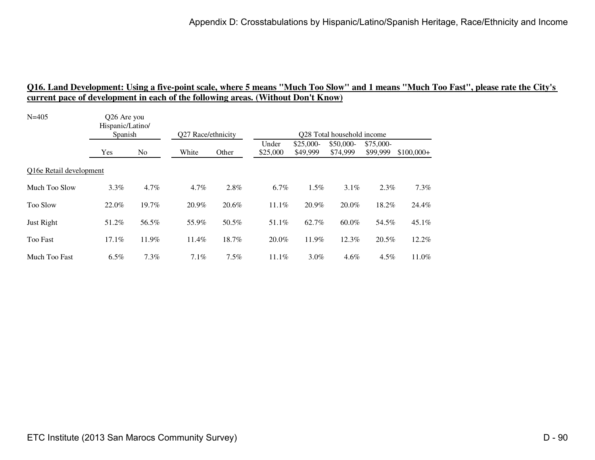| Hispanic/Latino/<br>Spanish |                | Q27 Race/ethnicity |         | Q28 Total household income |                        |                       |                        |                                            |
|-----------------------------|----------------|--------------------|---------|----------------------------|------------------------|-----------------------|------------------------|--------------------------------------------|
| Yes                         | N <sub>0</sub> | White              | Other   | Under<br>\$25,000          | $$25,000-$<br>\$49,999 | \$50,000-<br>\$74,999 | $$75,000-$<br>\$99,999 | $$100,000+$                                |
| Q16e Retail development     |                |                    |         |                            |                        |                       |                        |                                            |
| 3.3%                        | 4.7%           | $4.7\%$            | 2.8%    | 6.7%                       | 1.5%                   | $3.1\%$               |                        | 7.3%                                       |
| 22.0%                       | 19.7%          | 20.9%              | 20.6%   | 11.1%                      | 20.9%                  | 20.0%                 |                        | 24.4%                                      |
| 51.2%                       | 56.5%          | 55.9%              | 50.5%   | 51.1%                      | 62.7%                  | 60.0%                 |                        | 45.1%                                      |
| 17.1%                       | 11.9%          | 11.4%              | 18.7%   | 20.0%                      | 11.9%                  | $12.3\%$              |                        | 12.2%                                      |
| $6.5\%$                     | $7.3\%$        | $7.1\%$            | $7.5\%$ | 11.1%                      | $3.0\%$                | $4.6\%$               |                        | 11.0%                                      |
|                             |                | Q26 Are you        |         |                            |                        |                       |                        | 2.3%<br>18.2%<br>54.5%<br>20.5%<br>$4.5\%$ |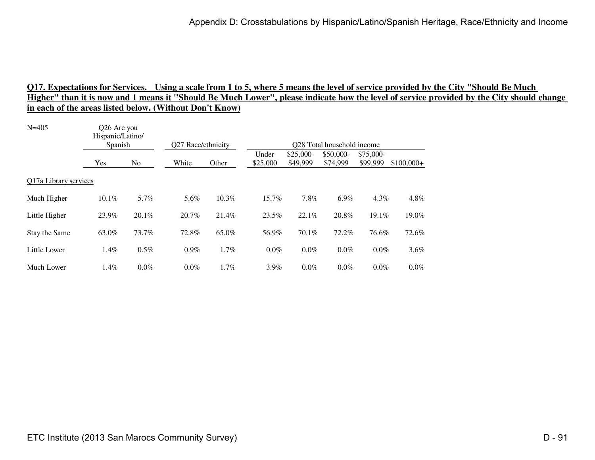| $N = 405$             | Q26 Are you<br>Hispanic/Latino/<br>Spanish |          | Q27 Race/ethnicity |       | Q28 Total household income |                        |                       |                       |             |  |
|-----------------------|--------------------------------------------|----------|--------------------|-------|----------------------------|------------------------|-----------------------|-----------------------|-------------|--|
|                       | Yes                                        | No       | White              | Other | Under<br>\$25,000          | $$25,000-$<br>\$49,999 | \$50,000-<br>\$74,999 | \$75,000-<br>\$99,999 | $$100,000+$ |  |
| Q17a Library services |                                            |          |                    |       |                            |                        |                       |                       |             |  |
| Much Higher           | 10.1%                                      | 5.7%     | 5.6%               | 10.3% | 15.7%                      | 7.8%                   | $6.9\%$               | $4.3\%$               | 4.8%        |  |
| Little Higher         | 23.9%                                      | $20.1\%$ | 20.7%              | 21.4% | 23.5%                      | 22.1%                  | 20.8%                 | $19.1\%$              | 19.0%       |  |
| Stay the Same         | 63.0%                                      | 73.7%    | 72.8%              | 65.0% | 56.9%                      | 70.1%                  | 72.2%                 | 76.6%                 | 72.6%       |  |
| Little Lower          | 1.4%                                       | 0.5%     | $0.9\%$            | 1.7%  | 0.0%                       | $0.0\%$                | $0.0\%$               | $0.0\%$               | 3.6%        |  |
| Much Lower            | $1.4\%$                                    | $0.0\%$  | $0.0\%$            | 1.7%  | 3.9%                       | $0.0\%$                | $0.0\%$               | $0.0\%$               | 0.0%        |  |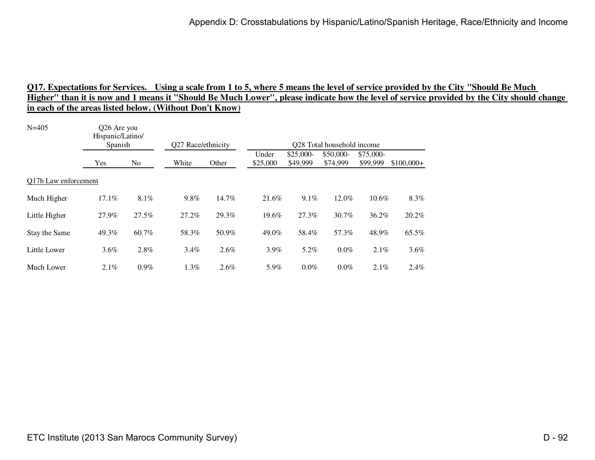| $N = 405$            |          | Q26 Are you<br>Hispanic/Latino/<br>Spanish |         | Q27 Race/ethnicity |                   | Q28 Total household income |                       |                       |             |  |  |
|----------------------|----------|--------------------------------------------|---------|--------------------|-------------------|----------------------------|-----------------------|-----------------------|-------------|--|--|
|                      | Yes      | No                                         | White   | Other              | Under<br>\$25,000 | \$25,000-<br>\$49,999      | \$50,000-<br>\$74,999 | \$75,000-<br>\$99,999 | $$100,000+$ |  |  |
| Q17b Law enforcement |          |                                            |         |                    |                   |                            |                       |                       |             |  |  |
| Much Higher          | $17.1\%$ | $8.1\%$                                    | 9.8%    | 14.7%              | 21.6%             | $9.1\%$                    | 12.0%                 | $10.6\%$              | 8.3%        |  |  |
| Little Higher        | 27.9%    | 27.5%                                      | 27.2%   | 29.3%              | 19.6%             | 27.3%                      | $30.7\%$              | 36.2%                 | 20.2%       |  |  |
| Stay the Same        | 49.3%    | 60.7%                                      | 58.3%   | 50.9%              | 49.0%             | 58.4%                      | 57.3%                 | 48.9%                 | 65.5%       |  |  |
| Little Lower         | 3.6%     | 2.8%                                       | $3.4\%$ | 2.6%               | $3.9\%$           | 5.2%                       | $0.0\%$               | $2.1\%$               | 3.6%        |  |  |
| Much Lower           | 2.1%     | 0.9%                                       | 1.3%    | 2.6%               | 5.9%              | $0.0\%$                    | $0.0\%$               | 2.1%                  | 2.4%        |  |  |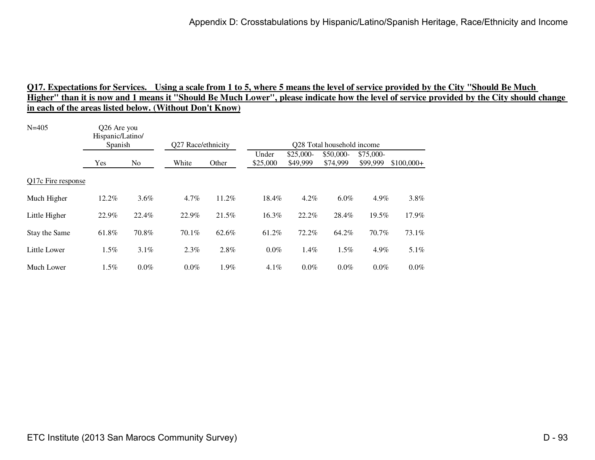| $N = 405$          | Q26 Are you<br>Hispanic/Latino/<br>Spanish |       | Q27 Race/ethnicity |       | Q28 Total household income |                       |                       |                       |             |  |
|--------------------|--------------------------------------------|-------|--------------------|-------|----------------------------|-----------------------|-----------------------|-----------------------|-------------|--|
|                    | Yes                                        | No    | White              | Other | Under<br>\$25,000          | \$25,000-<br>\$49,999 | \$50,000-<br>\$74,999 | \$75,000-<br>\$99,999 | $$100,000+$ |  |
| Q17c Fire response |                                            |       |                    |       |                            |                       |                       |                       |             |  |
| Much Higher        | 12.2%                                      | 3.6%  | $4.7\%$            | 11.2% | 18.4%                      | $4.2\%$               | $6.0\%$               | 4.9%                  | 3.8%        |  |
| Little Higher      | 22.9%                                      | 22.4% | 22.9%              | 21.5% | 16.3%                      | 22.2%                 | 28.4%                 | $19.5\%$              | 17.9%       |  |
| Stay the Same      | 61.8%                                      | 70.8% | 70.1%              | 62.6% | 61.2%                      | 72.2%                 | 64.2%                 | 70.7%                 | 73.1%       |  |
| Little Lower       | 1.5%                                       | 3.1%  | 2.3%               | 2.8%  | 0.0%                       | 1.4%                  | 1.5%                  | 4.9%                  | 5.1%        |  |
| Much Lower         | 1.5%                                       | 0.0%  | $0.0\%$            | 1.9%  | $4.1\%$                    | $0.0\%$               | $0.0\%$               | $0.0\%$               | 0.0%        |  |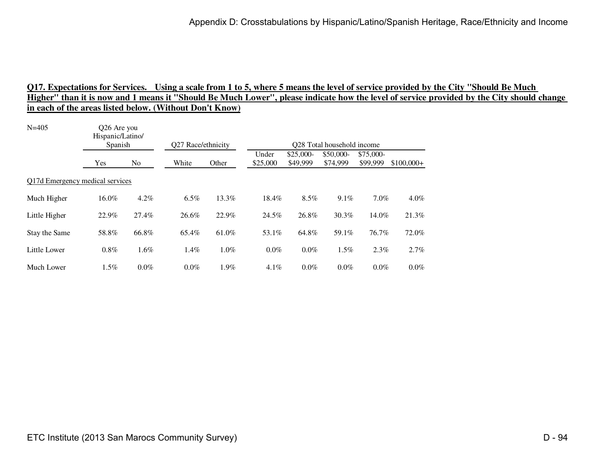| $N = 405$                       | Q26 Are you<br>Hispanic/Latino/<br>Spanish |                | Q27 Race/ethnicity |       | Q28 Total household income |                        |                       |                        |             |  |
|---------------------------------|--------------------------------------------|----------------|--------------------|-------|----------------------------|------------------------|-----------------------|------------------------|-------------|--|
|                                 | Yes                                        | N <sub>0</sub> | White              | Other | Under<br>\$25,000          | $$25,000-$<br>\$49,999 | \$50,000-<br>\$74,999 | $$75,000-$<br>\$99,999 | $$100,000+$ |  |
| Q17d Emergency medical services |                                            |                |                    |       |                            |                        |                       |                        |             |  |
| Much Higher                     | 16.0%                                      | 4.2%           | $6.5\%$            | 13.3% | 18.4%                      | 8.5%                   | 9.1%                  | $7.0\%$                | 4.0%        |  |
| Little Higher                   | 22.9%                                      | 27.4%          | 26.6%              | 22.9% | 24.5%                      | 26.8%                  | 30.3%                 | 14.0%                  | 21.3%       |  |
| Stay the Same                   | 58.8%                                      | 66.8%          | 65.4%              | 61.0% | 53.1%                      | 64.8%                  | 59.1%                 | 76.7%                  | 72.0%       |  |
| Little Lower                    | $0.8\%$                                    | 1.6%           | $1.4\%$            | 1.0%  | $0.0\%$                    | $0.0\%$                | $1.5\%$               | $2.3\%$                | 2.7%        |  |
| Much Lower                      | 1.5%                                       | $0.0\%$        | $0.0\%$            | 1.9%  | $4.1\%$                    | $0.0\%$                | $0.0\%$               | $0.0\%$                | 0.0%        |  |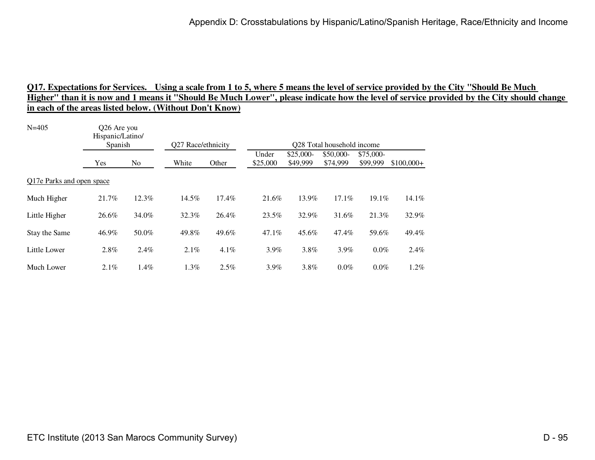| $N = 405$                 | Q26 Are you<br>Hispanic/Latino/<br>Spanish |                | Q27 Race/ethnicity |         | Q28 Total household income |                        |                       |                        |             |  |
|---------------------------|--------------------------------------------|----------------|--------------------|---------|----------------------------|------------------------|-----------------------|------------------------|-------------|--|
|                           | Yes                                        | N <sub>0</sub> | White              | Other   | Under<br>\$25,000          | $$25,000-$<br>\$49,999 | \$50,000-<br>\$74,999 | $$75,000-$<br>\$99,999 | $$100,000+$ |  |
| Q17e Parks and open space |                                            |                |                    |         |                            |                        |                       |                        |             |  |
| Much Higher               | 21.7%                                      | 12.3%          | 14.5%              | 17.4%   | 21.6%                      | 13.9%                  | 17.1%                 | 19.1%                  | 14.1%       |  |
| Little Higher             | 26.6%                                      | 34.0%          | 32.3%              | 26.4%   | 23.5%                      | 32.9%                  | 31.6%                 | 21.3%                  | 32.9%       |  |
| Stay the Same             | 46.9%                                      | 50.0%          | 49.8%              | 49.6%   | 47.1%                      | 45.6%                  | 47.4%                 | 59.6%                  | 49.4%       |  |
| Little Lower              | 2.8%                                       | 2.4%           | $2.1\%$            | $4.1\%$ | $3.9\%$                    | 3.8%                   | 3.9%                  | $0.0\%$                | 2.4%        |  |
| Much Lower                | $2.1\%$                                    | 1.4%           | $1.3\%$            | $2.5\%$ | $3.9\%$                    | 3.8%                   | $0.0\%$               | $0.0\%$                | 1.2%        |  |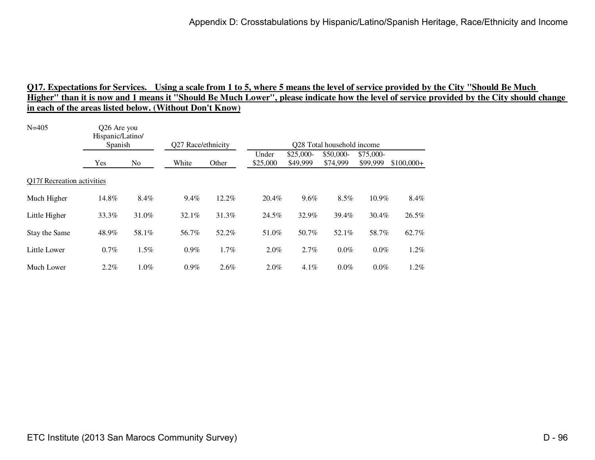| $N = 405$                         | Q26 Are you<br>Hispanic/Latino/<br>Spanish |         | Q27 Race/ethnicity |       | Q28 Total household income |                        |                       |                       |             |  |  |
|-----------------------------------|--------------------------------------------|---------|--------------------|-------|----------------------------|------------------------|-----------------------|-----------------------|-------------|--|--|
|                                   | Yes                                        | No      | White              | Other | Under<br>\$25,000          | $$25,000-$<br>\$49,999 | \$50,000-<br>\$74,999 | \$75,000-<br>\$99,999 | $$100,000+$ |  |  |
| <b>Q17f Recreation activities</b> |                                            |         |                    |       |                            |                        |                       |                       |             |  |  |
| Much Higher                       | 14.8%                                      | 8.4%    | 9.4%               | 12.2% | 20.4%                      | 9.6%                   | 8.5%                  | 10.9%                 | 8.4%        |  |  |
| Little Higher                     | 33.3%                                      | 31.0%   | 32.1%              | 31.3% | 24.5%                      | 32.9%                  | 39.4%                 | $30.4\%$              | 26.5%       |  |  |
| Stay the Same                     | 48.9%                                      | 58.1%   | 56.7%              | 52.2% | 51.0%                      | 50.7%                  | 52.1%                 | 58.7%                 | 62.7%       |  |  |
| Little Lower                      | $0.7\%$                                    | 1.5%    | $0.9\%$            | 1.7%  | 2.0%                       | 2.7%                   | $0.0\%$               | $0.0\%$               | 1.2%        |  |  |
| Much Lower                        | $2.2\%$                                    | $1.0\%$ | $0.9\%$            | 2.6%  | 2.0%                       | 4.1%                   | $0.0\%$               | $0.0\%$               | 1.2%        |  |  |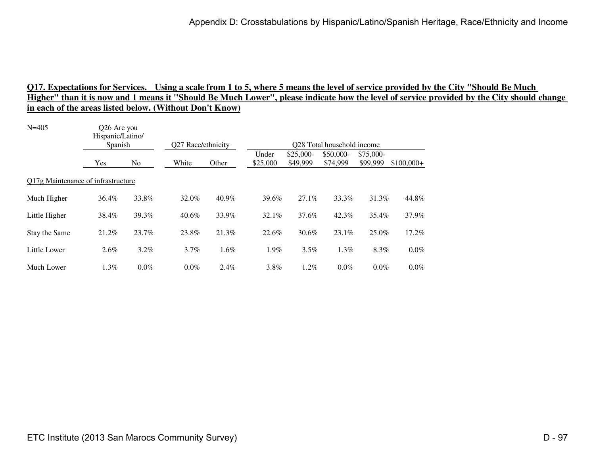### Q17. Expectations for Services. Using a scale from 1 to 5, where 5 means the level of service provided by the City ''Should Be Much<br>Higher'' than it is now and 1 means it ''Should Be Much Lower'', please indicate how the l **in each of the areas listed below. (Without Don't Know)**

| $N = 405$                          | Q26 Are you<br>Hispanic/Latino/<br>Spanish |         | Q27 Race/ethnicity |       | Q28 Total household income |                        |                       |                       |             |  |  |
|------------------------------------|--------------------------------------------|---------|--------------------|-------|----------------------------|------------------------|-----------------------|-----------------------|-------------|--|--|
|                                    | Yes                                        | No      | White              | Other | Under<br>\$25,000          | $$25,000-$<br>\$49,999 | \$50,000-<br>\$74,999 | \$75,000-<br>\$99,999 | $$100,000+$ |  |  |
| O17g Maintenance of infrastructure |                                            |         |                    |       |                            |                        |                       |                       |             |  |  |
| Much Higher                        | 36.4%                                      | 33.8%   | 32.0%              | 40.9% | 39.6%                      | 27.1%                  | 33.3%                 | 31.3%                 | 44.8%       |  |  |
| Little Higher                      | 38.4%                                      | 39.3%   | $40.6\%$           | 33.9% | 32.1%                      | 37.6%                  | $42.3\%$              | 35.4%                 | 37.9%       |  |  |
| Stay the Same                      | 21.2%                                      | 23.7%   | 23.8%              | 21.3% | 22.6%                      | $30.6\%$               | $23.1\%$              | 25.0%                 | 17.2%       |  |  |
| Little Lower                       | $2.6\%$                                    | 3.2%    | 3.7%               | 1.6%  | 1.9%                       | 3.5%                   | 1.3%                  | 8.3%                  | 0.0%        |  |  |
| Much Lower                         | $1.3\%$                                    | $0.0\%$ | $0.0\%$            | 2.4%  | 3.8%                       | $1.2\%$                | $0.0\%$               | $0.0\%$               | 0.0%        |  |  |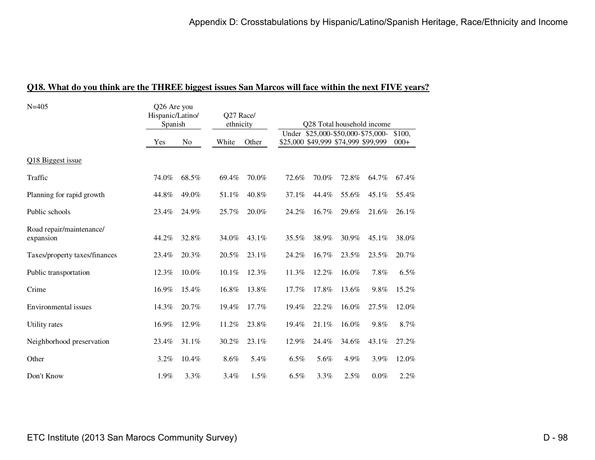|  |  |  |  |  |  | <b>Q18.</b> What do you think are the THREE biggest issues San Marcos will face within the next FIVE years? |  |  |
|--|--|--|--|--|--|-------------------------------------------------------------------------------------------------------------|--|--|
|  |  |  |  |  |  |                                                                                                             |  |  |

| $N = 405$                             | Q26 Are you<br>Hispanic/Latino/<br>Spanish |       | Q27 Race/<br>ethnicity |          | Q28 Total household income<br>Under \$25,000-\$50,000-\$75,000- |       |                                     |       |                  |
|---------------------------------------|--------------------------------------------|-------|------------------------|----------|-----------------------------------------------------------------|-------|-------------------------------------|-------|------------------|
|                                       | Yes                                        | No    | White                  | Other    |                                                                 |       | \$25,000 \$49,999 \$74,999 \$99,999 |       | \$100.<br>$000+$ |
| Q18 Biggest issue                     |                                            |       |                        |          |                                                                 |       |                                     |       |                  |
| Traffic                               | 74.0%                                      | 68.5% | 69.4%                  | 70.0%    | 72.6%                                                           | 70.0% | 72.8%                               | 64.7% | 67.4%            |
| Planning for rapid growth             | 44.8%                                      | 49.0% | 51.1%                  | 40.8%    | 37.1%                                                           | 44.4% | 55.6%                               | 45.1% | 55.4%            |
| Public schools                        | 23.4%                                      | 24.9% | 25.7%                  | 20.0%    | 24.2%                                                           | 16.7% | 29.6%                               | 21.6% | 26.1%            |
| Road repair/maintenance/<br>expansion | 44.2%                                      | 32.8% | 34.0%                  | $43.1\%$ | 35.5%                                                           | 38.9% | 30.9%                               | 45.1% | 38.0%            |
| Taxes/property taxes/finances         | 23.4%                                      | 20.3% | 20.5%                  | 23.1%    | 24.2%                                                           | 16.7% | 23.5%                               | 23.5% | 20.7%            |
| Public transportation                 | 12.3%                                      | 10.0% | 10.1%                  | 12.3%    | 11.3%                                                           | 12.2% | 16.0%                               | 7.8%  | 6.5%             |
| Crime                                 | 16.9%                                      | 15.4% | 16.8%                  | 13.8%    | 17.7%                                                           | 17.8% | 13.6%                               | 9.8%  | 15.2%            |
| Environmental issues                  | 14.3%                                      | 20.7% | 19.4%                  | 17.7%    | 19.4%                                                           | 22.2% | 16.0%                               | 27.5% | 12.0%            |
| Utility rates                         | 16.9%                                      | 12.9% | 11.2%                  | 23.8%    | 19.4%                                                           | 21.1% | 16.0%                               | 9.8%  | 8.7%             |
| Neighborhood preservation             | 23.4%                                      | 31.1% | 30.2%                  | 23.1%    | 12.9%                                                           | 24.4% | 34.6%                               | 43.1% | 27.2%            |
| Other                                 | 3.2%                                       | 10.4% | 8.6%                   | 5.4%     | 6.5%                                                            | 5.6%  | 4.9%                                | 3.9%  | 12.0%            |
| Don't Know                            | 1.9%                                       | 3.3%  | 3.4%                   | 1.5%     | 6.5%                                                            | 3.3%  | 2.5%                                | 0.0%  | 2.2%             |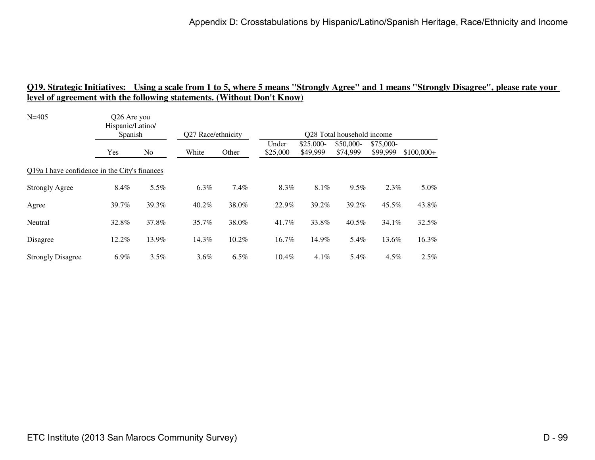| $N = 405$                                     | Q26 Are you<br>Hispanic/Latino/ |       |                    |       |                   |                        |                                        |                        |             |
|-----------------------------------------------|---------------------------------|-------|--------------------|-------|-------------------|------------------------|----------------------------------------|------------------------|-------------|
|                                               | Spanish                         |       | Q27 Race/ethnicity |       |                   |                        | O <sub>28</sub> Total household income |                        |             |
|                                               | Yes                             | No    | White              | Other | Under<br>\$25,000 | $$25,000-$<br>\$49,999 | \$50,000-<br>\$74,999                  | $$75,000-$<br>\$99,999 | $$100,000+$ |
| Q19a I have confidence in the City's finances |                                 |       |                    |       |                   |                        |                                        |                        |             |
| <b>Strongly Agree</b>                         | 8.4%                            | 5.5%  | 6.3%               | 7.4%  | 8.3%              | 8.1%                   | 9.5%                                   | 2.3%                   | 5.0%        |
| Agree                                         | 39.7%                           | 39.3% | $40.2\%$           | 38.0% | 22.9%             | 39.2%                  | 39.2%                                  | 45.5%                  | 43.8%       |
| Neutral                                       | 32.8%                           | 37.8% | 35.7%              | 38.0% | 41.7%             | 33.8%                  | 40.5%                                  | $34.1\%$               | 32.5%       |
| Disagree                                      | 12.2%                           | 13.9% | 14.3%              | 10.2% | 16.7%             | 14.9%                  | 5.4%                                   | 13.6%                  | 16.3%       |
| <b>Strongly Disagree</b>                      | $6.9\%$                         | 3.5%  | $3.6\%$            | 6.5%  | $10.4\%$          | $4.1\%$                | 5.4%                                   | $4.5\%$                | $2.5\%$     |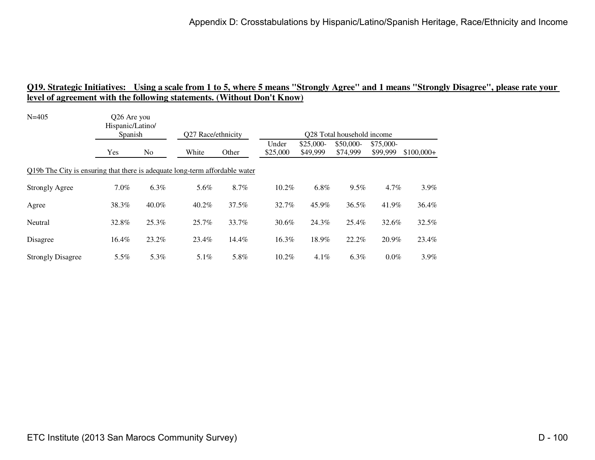| $N = 405$                                                                   | Q26 Are you<br>Hispanic/Latino/ |                |                    |       |                   |                        |                                        |                        |             |
|-----------------------------------------------------------------------------|---------------------------------|----------------|--------------------|-------|-------------------|------------------------|----------------------------------------|------------------------|-------------|
|                                                                             | Spanish                         |                | Q27 Race/ethnicity |       |                   |                        | O <sub>28</sub> Total household income |                        |             |
|                                                                             | Yes                             | N <sub>0</sub> | White              | Other | Under<br>\$25,000 | $$25,000-$<br>\$49,999 | \$50,000-<br>\$74,999                  | $$75,000-$<br>\$99,999 | $$100,000+$ |
| Q19b The City is ensuring that there is adequate long-term affordable water |                                 |                |                    |       |                   |                        |                                        |                        |             |
| <b>Strongly Agree</b>                                                       | $7.0\%$                         | $6.3\%$        | 5.6%               | 8.7%  | 10.2%             | 6.8%                   | 9.5%                                   | $4.7\%$                | $3.9\%$     |
| Agree                                                                       | 38.3%                           | 40.0%          | 40.2%              | 37.5% | 32.7%             | 45.9%                  | 36.5%                                  | 41.9%                  | 36.4%       |
| Neutral                                                                     | 32.8%                           | 25.3%          | 25.7%              | 33.7% | 30.6%             | 24.3%                  | 25.4%                                  | 32.6%                  | 32.5%       |
| Disagree                                                                    | 16.4%                           | 23.2%          | 23.4%              | 14.4% | 16.3%             | 18.9%                  | 22.2%                                  | 20.9%                  | 23.4%       |
| <b>Strongly Disagree</b>                                                    | $5.5\%$                         | 5.3%           | $5.1\%$            | 5.8%  | 10.2%             | 4.1%                   | 6.3%                                   | $0.0\%$                | $3.9\%$     |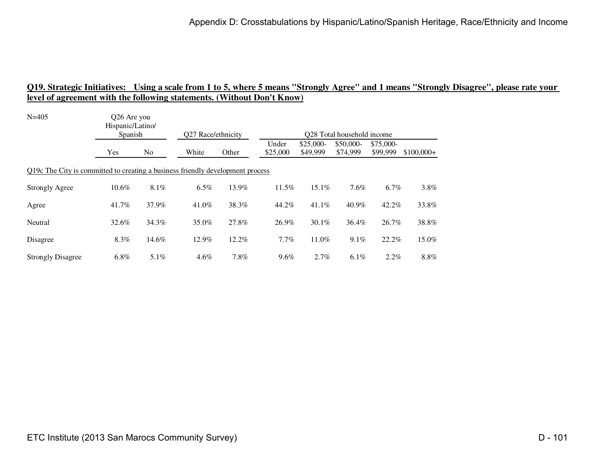| $N = 405$                                                                      | Q26 Are you<br>Hispanic/Latino/ |         | Q27 Race/ethnicity<br>Q28 Total household income |       |          |            |           |           |             |  |  |
|--------------------------------------------------------------------------------|---------------------------------|---------|--------------------------------------------------|-------|----------|------------|-----------|-----------|-------------|--|--|
|                                                                                | Spanish                         |         |                                                  |       | Under    | $$25,000-$ | \$50,000- | \$75,000- |             |  |  |
|                                                                                | Yes                             | No      | White                                            | Other | \$25,000 | \$49,999   | \$74,999  | \$99,999  | $$100,000+$ |  |  |
| Q19c The City is committed to creating a business friendly development process |                                 |         |                                                  |       |          |            |           |           |             |  |  |
| <b>Strongly Agree</b>                                                          | $10.6\%$                        | $8.1\%$ | $6.5\%$                                          | 13.9% | $11.5\%$ | $15.1\%$   | 7.6%      | $6.7\%$   | $3.8\%$     |  |  |
| Agree                                                                          | 41.7%                           | 37.9%   | 41.0%                                            | 38.3% | 44.2%    | $41.1\%$   | 40.9%     | 42.2%     | 33.8%       |  |  |
| Neutral                                                                        | 32.6%                           | 34.3%   | 35.0%                                            | 27.8% | 26.9%    | $30.1\%$   | 36.4%     | 26.7%     | 38.8%       |  |  |
| Disagree                                                                       | 8.3%                            | 14.6%   | 12.9%                                            | 12.2% | $7.7\%$  | 11.0%      | $9.1\%$   | 22.2%     | 15.0%       |  |  |
| <b>Strongly Disagree</b>                                                       | 6.8%                            | 5.1%    | 4.6%                                             | 7.8%  | $9.6\%$  | 2.7%       | 6.1%      | $2.2\%$   | 8.8%        |  |  |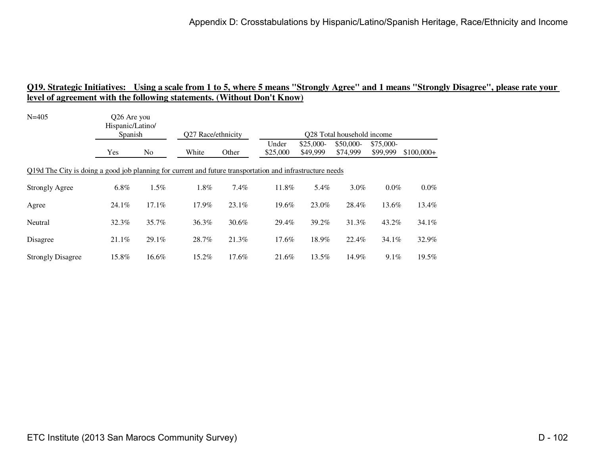| $N = 405$                                                                                                 | Q26 Are you<br>Hispanic/Latino/<br>Spanish |          | Q27 Race/ethnicity |          |                   |                        | Q28 Total household income |                        |             |
|-----------------------------------------------------------------------------------------------------------|--------------------------------------------|----------|--------------------|----------|-------------------|------------------------|----------------------------|------------------------|-------------|
|                                                                                                           | Yes                                        | No       | White              | Other    | Under<br>\$25,000 | $$25,000-$<br>\$49,999 | \$50,000-<br>\$74,999      | $$75,000-$<br>\$99,999 | $$100,000+$ |
| Q19d The City is doing a good job planning for current and future transportation and infrastructure needs |                                            |          |                    |          |                   |                        |                            |                        |             |
| <b>Strongly Agree</b>                                                                                     | 6.8%                                       | 1.5%     | 1.8%               | 7.4%     | 11.8%             | 5.4%                   | 3.0%                       | $0.0\%$                | $0.0\%$     |
| Agree                                                                                                     | 24.1%                                      | 17.1%    | 17.9%              | 23.1%    | 19.6%             | 23.0%                  | 28.4%                      | 13.6%                  | 13.4%       |
| Neutral                                                                                                   | 32.3%                                      | 35.7%    | 36.3%              | $30.6\%$ | 29.4%             | 39.2%                  | 31.3%                      | 43.2%                  | 34.1%       |
| Disagree                                                                                                  | 21.1%                                      | $29.1\%$ | 28.7%              | 21.3%    | 17.6%             | 18.9%                  | 22.4%                      | 34.1%                  | 32.9%       |
| <b>Strongly Disagree</b>                                                                                  | 15.8%                                      | 16.6%    | 15.2%              | 17.6%    | 21.6%             | 13.5%                  | 14.9%                      | $9.1\%$                | 19.5%       |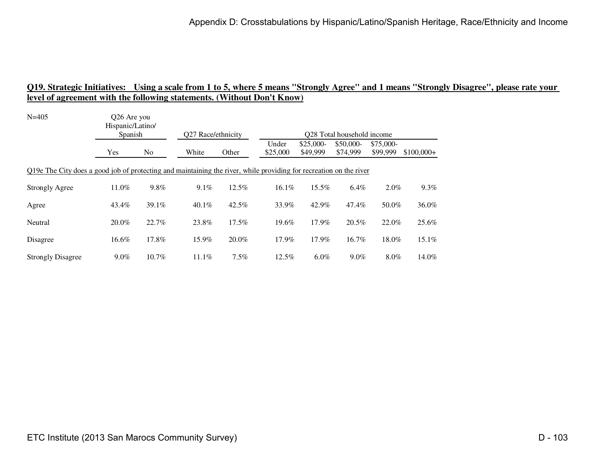| $N = 405$                                                                                                          | Q26 Are you<br>Hispanic/Latino/<br>Spanish |       | Q27 Race/ethnicity |          |                   |                        | Q28 Total household income |                        |             |
|--------------------------------------------------------------------------------------------------------------------|--------------------------------------------|-------|--------------------|----------|-------------------|------------------------|----------------------------|------------------------|-------------|
|                                                                                                                    | Yes                                        | No    | White              | Other    | Under<br>\$25,000 | $$25,000-$<br>\$49,999 | \$50,000-<br>\$74,999      | $$75,000-$<br>\$99,999 | $$100,000+$ |
| Q19e The City does a good job of protecting and maintaining the river, while providing for recreation on the river |                                            |       |                    |          |                   |                        |                            |                        |             |
| <b>Strongly Agree</b>                                                                                              | 11.0%                                      | 9.8%  | $9.1\%$            | 12.5%    | 16.1%             | 15.5%                  | 6.4%                       | $2.0\%$                | $9.3\%$     |
| Agree                                                                                                              | 43.4%                                      | 39.1% | $40.1\%$           | $42.5\%$ | 33.9%             | 42.9%                  | 47.4%                      | 50.0%                  | 36.0%       |
| Neutral                                                                                                            | 20.0%                                      | 22.7% | 23.8%              | $17.5\%$ | 19.6%             | 17.9%                  | 20.5%                      | 22.0%                  | 25.6%       |
| Disagree                                                                                                           | 16.6%                                      | 17.8% | 15.9%              | 20.0%    | 17.9%             | 17.9%                  | 16.7%                      | 18.0%                  | 15.1%       |
| <b>Strongly Disagree</b>                                                                                           | $9.0\%$                                    | 10.7% | $11.1\%$           | 7.5%     | $12.5\%$          | $6.0\%$                | $9.0\%$                    | 8.0%                   | 14.0%       |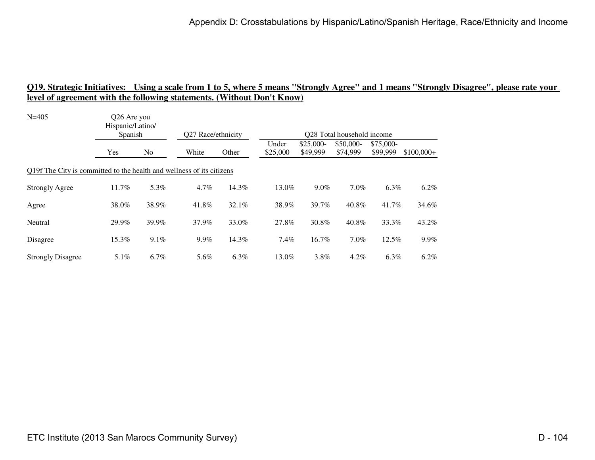| $N = 405$                                                             | Q26 Are you<br>Hispanic/Latino/ |         |                    |       |                   |                        |                            |                        |             |
|-----------------------------------------------------------------------|---------------------------------|---------|--------------------|-------|-------------------|------------------------|----------------------------|------------------------|-------------|
|                                                                       | Spanish                         |         | Q27 Race/ethnicity |       |                   |                        | Q28 Total household income |                        |             |
|                                                                       | Yes                             | No      | White              | Other | Under<br>\$25,000 | $$25,000-$<br>\$49,999 | \$50,000-<br>\$74,999      | $$75,000-$<br>\$99,999 | $$100,000+$ |
| Q19f The City is committed to the health and wellness of its citizens |                                 |         |                    |       |                   |                        |                            |                        |             |
| <b>Strongly Agree</b>                                                 | 11.7%                           | 5.3%    | 4.7%               | 14.3% | 13.0%             | $9.0\%$                | 7.0%                       | 6.3%                   | 6.2%        |
| Agree                                                                 | 38.0%                           | 38.9%   | 41.8%              | 32.1% | 38.9%             | 39.7%                  | 40.8%                      | 41.7%                  | 34.6%       |
| Neutral                                                               | 29.9%                           | 39.9%   | 37.9%              | 33.0% | 27.8%             | 30.8%                  | 40.8%                      | 33.3%                  | 43.2%       |
| Disagree                                                              | 15.3%                           | 9.1%    | 9.9%               | 14.3% | $7.4\%$           | 16.7%                  | 7.0%                       | $12.5\%$               | $9.9\%$     |
| <b>Strongly Disagree</b>                                              | 5.1%                            | $6.7\%$ | 5.6%               | 6.3%  | 13.0%             | 3.8%                   | 4.2%                       | 6.3%                   | 6.2%        |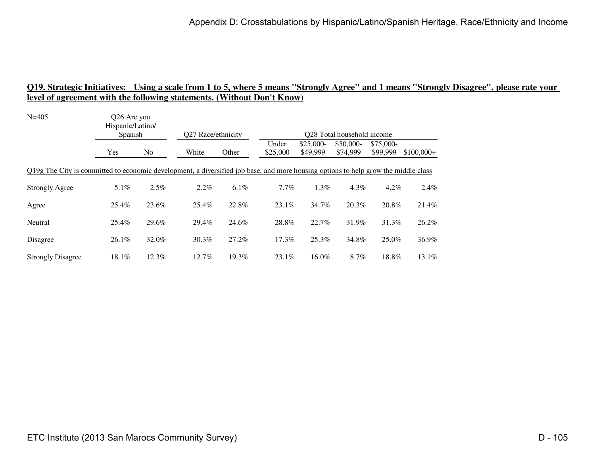| $N = 405$                                                                                                                          | Q26 Are you<br>Hispanic/Latino/<br>Spanish |                | Q27 Race/ethnicity |       |                   |                        | O <sub>28</sub> Total household income |                       |             |
|------------------------------------------------------------------------------------------------------------------------------------|--------------------------------------------|----------------|--------------------|-------|-------------------|------------------------|----------------------------------------|-----------------------|-------------|
|                                                                                                                                    | Yes                                        | N <sub>o</sub> | White              | Other | Under<br>\$25,000 | $$25,000-$<br>\$49,999 | \$50,000-<br>\$74,999                  | \$75,000-<br>\$99,999 | $$100,000+$ |
| Q19g The City is committed to economic development, a diversified job base, and more housing options to help grow the middle class |                                            |                |                    |       |                   |                        |                                        |                       |             |
| <b>Strongly Agree</b>                                                                                                              | 5.1%                                       | 2.5%           | 2.2%               | 6.1%  | 7.7%              | 1.3%                   | $4.3\%$                                | 4.2%                  | 2.4%        |
| Agree                                                                                                                              | 25.4%                                      | 23.6%          | 25.4%              | 22.8% | 23.1%             | 34.7%                  | 20.3%                                  | 20.8%                 | 21.4%       |
| Neutral                                                                                                                            | 25.4%                                      | 29.6%          | 29.4%              | 24.6% | 28.8%             | 22.7%                  | 31.9%                                  | 31.3%                 | 26.2%       |
| Disagree                                                                                                                           | $26.1\%$                                   | 32.0%          | 30.3%              | 27.2% | 17.3%             | $25.3\%$               | 34.8%                                  | 25.0%                 | 36.9%       |
| <b>Strongly Disagree</b>                                                                                                           | 18.1%                                      | 12.3%          | 12.7%              | 19.3% | 23.1%             | 16.0%                  | 8.7%                                   | 18.8%                 | 13.1%       |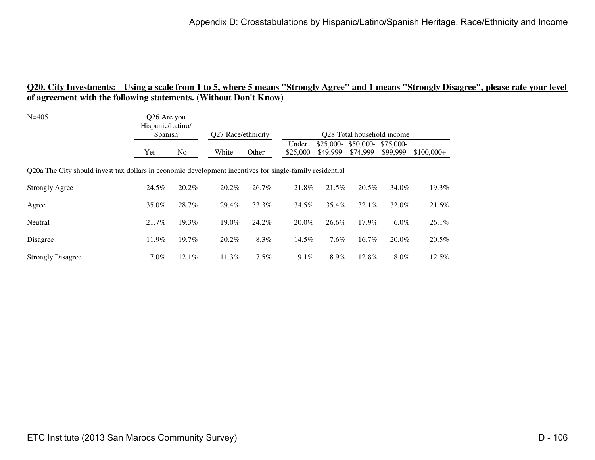| $N = 405$                                                                                                | Q26 Are you<br>Hispanic/Latino/<br>Spanish |       | O <sub>27</sub> Race/ethnicity |       | O <sub>28</sub> Total household income |                        |                       |                       |             |  |
|----------------------------------------------------------------------------------------------------------|--------------------------------------------|-------|--------------------------------|-------|----------------------------------------|------------------------|-----------------------|-----------------------|-------------|--|
|                                                                                                          | Yes                                        | No    | White                          | Other | Under<br>\$25,000                      | $$25,000-$<br>\$49,999 | \$50,000-<br>\$74,999 | \$75,000-<br>\$99,999 | $$100,000+$ |  |
| Q20a The City should invest tax dollars in economic development incentives for single-family residential |                                            |       |                                |       |                                        |                        |                       |                       |             |  |
| <b>Strongly Agree</b>                                                                                    | 24.5%                                      | 20.2% | 20.2%                          | 26.7% | 21.8%                                  | 21.5%                  | $20.5\%$              | 34.0%                 | 19.3%       |  |
| Agree                                                                                                    | 35.0%                                      | 28.7% | 29.4%                          | 33.3% | 34.5%                                  | 35.4%                  | 32.1%                 | 32.0%                 | 21.6%       |  |
| Neutral                                                                                                  | 21.7%                                      | 19.3% | 19.0%                          | 24.2% | 20.0%                                  | 26.6%                  | 17.9%                 | $6.0\%$               | 26.1%       |  |
| Disagree                                                                                                 | 11.9%                                      | 19.7% | 20.2%                          | 8.3%  | 14.5%                                  | 7.6%                   | 16.7%                 | 20.0%                 | 20.5%       |  |
| <b>Strongly Disagree</b>                                                                                 | $7.0\%$                                    | 12.1% | 11.3%                          | 7.5%  | 9.1%                                   | 8.9%                   | 12.8%                 | 8.0%                  | 12.5%       |  |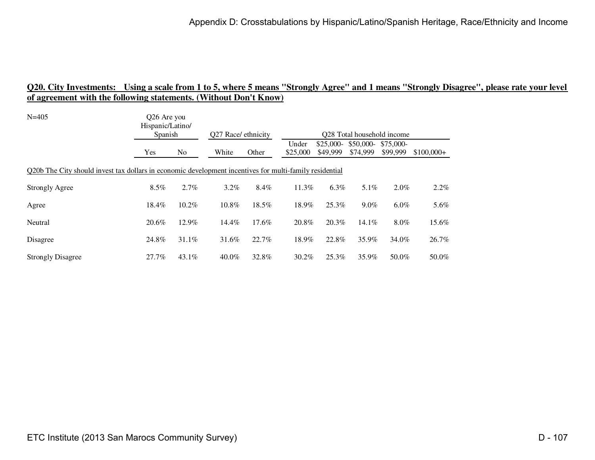| $N = 405$                                                                                               | Q26 Are you<br>Hispanic/Latino/<br>Spanish |       | O <sub>27</sub> Race/ ethnicity |       | Q28 Total household income |                        |                                  |          |             |
|---------------------------------------------------------------------------------------------------------|--------------------------------------------|-------|---------------------------------|-------|----------------------------|------------------------|----------------------------------|----------|-------------|
|                                                                                                         | Yes                                        | No    | White                           | Other | Under<br>\$25,000          | $$25,000-$<br>\$49,999 | $$50,000-$ \$75,000-<br>\$74,999 | \$99,999 | $$100,000+$ |
| Q20b The City should invest tax dollars in economic development incentives for multi-family residential |                                            |       |                                 |       |                            |                        |                                  |          |             |
| <b>Strongly Agree</b>                                                                                   | $8.5\%$                                    | 2.7%  | 3.2%                            | 8.4%  | 11.3%                      | $6.3\%$                | $5.1\%$                          | 2.0%     | $2.2\%$     |
| Agree                                                                                                   | 18.4%                                      | 10.2% | 10.8%                           | 18.5% | 18.9%                      | 25.3%                  | $9.0\%$                          | $6.0\%$  | 5.6%        |
| Neutral                                                                                                 | 20.6%                                      | 12.9% | 14.4%                           | 17.6% | 20.8%                      | 20.3%                  | $14.1\%$                         | $8.0\%$  | 15.6%       |
| Disagree                                                                                                | 24.8%                                      | 31.1% | 31.6%                           | 22.7% | 18.9%                      | 22.8%                  | 35.9%                            | 34.0%    | 26.7%       |
| <b>Strongly Disagree</b>                                                                                | 27.7%                                      | 43.1% | 40.0%                           | 32.8% | $30.2\%$                   | 25.3%                  | 35.9%                            | 50.0%    | 50.0%       |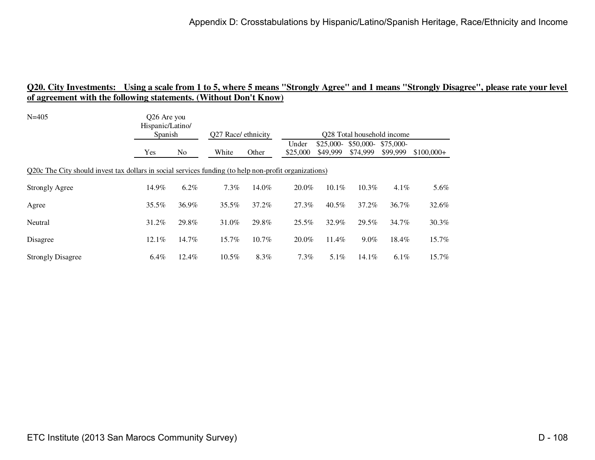| $N = 405$                                                                                             | Q26 Are you<br>Hispanic/Latino/<br>Spanish |         | Q27 Race/ ethnicity |       |                   | Q28 Total household income |                       |                       |             |  |  |
|-------------------------------------------------------------------------------------------------------|--------------------------------------------|---------|---------------------|-------|-------------------|----------------------------|-----------------------|-----------------------|-------------|--|--|
|                                                                                                       | Yes                                        | No      | White               | Other | Under<br>\$25,000 | $$25,000-$<br>\$49,999     | \$50,000-<br>\$74,999 | \$75,000-<br>\$99,999 | $$100,000+$ |  |  |
| Q20c The City should invest tax dollars in social services funding (to help non-profit organizations) |                                            |         |                     |       |                   |                            |                       |                       |             |  |  |
| <b>Strongly Agree</b>                                                                                 | 14.9%                                      | $6.2\%$ | 7.3%                | 14.0% | 20.0%             | 10.1%                      | 10.3%                 | 4.1%                  | 5.6%        |  |  |
| Agree                                                                                                 | $35.5\%$                                   | 36.9%   | 35.5%               | 37.2% | 27.3%             | $40.5\%$                   | 37.2%                 | 36.7%                 | 32.6%       |  |  |
| Neutral                                                                                               | 31.2%                                      | 29.8%   | 31.0%               | 29.8% | 25.5%             | 32.9%                      | 29.5%                 | 34.7%                 | $30.3\%$    |  |  |
| Disagree                                                                                              | $12.1\%$                                   | 14.7%   | 15.7%               | 10.7% | 20.0%             | 11.4%                      | $9.0\%$               | 18.4%                 | 15.7%       |  |  |
| <b>Strongly Disagree</b>                                                                              | $6.4\%$                                    | 12.4%   | 10.5%               | 8.3%  | $7.3\%$           | $5.1\%$                    | 14.1%                 | $6.1\%$               | 15.7%       |  |  |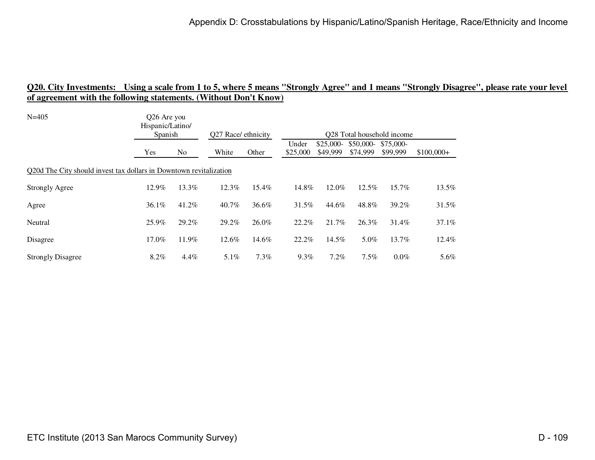| $N = 405$                                                          | Q26 Are you<br>Hispanic/Latino/ |         |         |                     |                   |                            |                        |                       |             |  |  |
|--------------------------------------------------------------------|---------------------------------|---------|---------|---------------------|-------------------|----------------------------|------------------------|-----------------------|-------------|--|--|
|                                                                    |                                 | Spanish |         | Q27 Race/ ethnicity |                   | Q28 Total household income |                        |                       |             |  |  |
|                                                                    | Yes                             | No      | White   | Other               | Under<br>\$25,000 | $$25,000-$<br>\$49,999     | $$50,000-$<br>\$74,999 | \$75,000-<br>\$99,999 | $$100,000+$ |  |  |
| Q20d The City should invest tax dollars in Downtown revitalization |                                 |         |         |                     |                   |                            |                        |                       |             |  |  |
| <b>Strongly Agree</b>                                              | 12.9%                           | 13.3%   | 12.3%   | 15.4%               | 14.8%             | 12.0%                      | $12.5\%$               | 15.7%                 | 13.5%       |  |  |
| Agree                                                              | $36.1\%$                        | 41.2%   | 40.7%   | 36.6%               | 31.5%             | 44.6%                      | 48.8%                  | 39.2%                 | 31.5%       |  |  |
| Neutral                                                            | 25.9%                           | 29.2%   | 29.2%   | 26.0%               | 22.2%             | 21.7%                      | 26.3%                  | 31.4%                 | $37.1\%$    |  |  |
| Disagree                                                           | 17.0%                           | 11.9%   | 12.6%   | 14.6%               | 22.2%             | 14.5%                      | 5.0%                   | 13.7%                 | $12.4\%$    |  |  |
| <b>Strongly Disagree</b>                                           | 8.2%                            | 4.4%    | $5.1\%$ | 7.3%                | $9.3\%$           | 7.2%                       | 7.5%                   | $0.0\%$               | 5.6%        |  |  |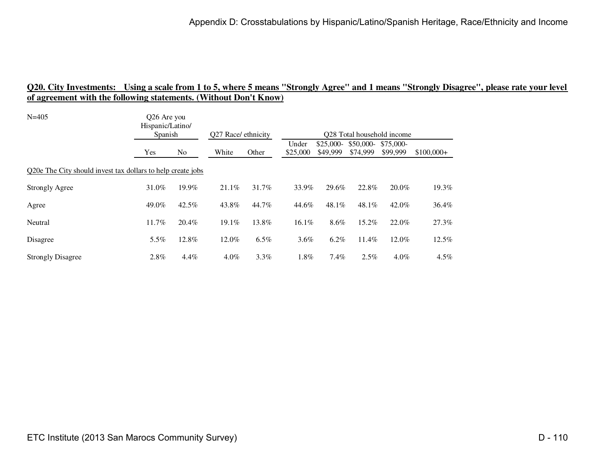| $N = 405$                                                   | Q26 Are you<br>Hispanic/Latino/ |       |          |                     |                   |                            |                        |                       |             |  |  |  |
|-------------------------------------------------------------|---------------------------------|-------|----------|---------------------|-------------------|----------------------------|------------------------|-----------------------|-------------|--|--|--|
|                                                             | Spanish                         |       |          | Q27 Race/ ethnicity |                   | Q28 Total household income |                        |                       |             |  |  |  |
|                                                             | Yes                             | No    | White    | Other               | Under<br>\$25,000 | $$25,000-$<br>\$49,999     | $$50,000-$<br>\$74,999 | \$75,000-<br>\$99,999 | $$100,000+$ |  |  |  |
| Q20e The City should invest tax dollars to help create jobs |                                 |       |          |                     |                   |                            |                        |                       |             |  |  |  |
| <b>Strongly Agree</b>                                       | 31.0%                           | 19.9% | 21.1%    | 31.7%               | 33.9%             | 29.6%                      | 22.8%                  | 20.0%                 | 19.3%       |  |  |  |
| Agree                                                       | 49.0%                           | 42.5% | 43.8%    | 44.7%               | 44.6%             | 48.1%                      | 48.1%                  | 42.0%                 | 36.4%       |  |  |  |
| Neutral                                                     | 11.7%                           | 20.4% | $19.1\%$ | 13.8%               | $16.1\%$          | 8.6%                       | 15.2%                  | 22.0%                 | 27.3%       |  |  |  |
| Disagree                                                    | 5.5%                            | 12.8% | 12.0%    | 6.5%                | 3.6%              | 6.2%                       | 11.4%                  | 12.0%                 | 12.5%       |  |  |  |
| <b>Strongly Disagree</b>                                    | 2.8%                            | 4.4%  | $4.0\%$  | $3.3\%$             | 1.8%              | $7.4\%$                    | 2.5%                   | $4.0\%$               | $4.5\%$     |  |  |  |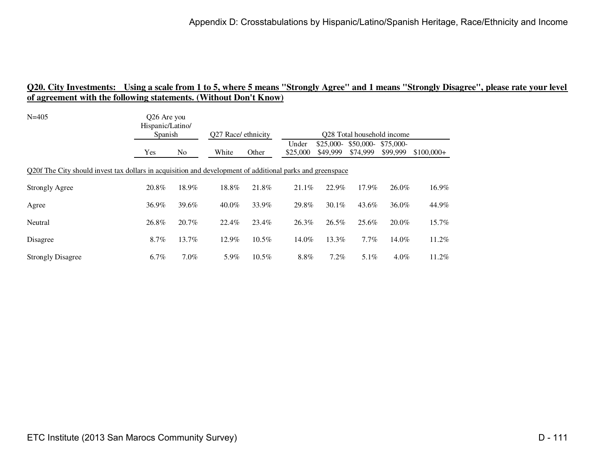| $N = 405$                                                                                                 | Q26 Are you<br>Hispanic/Latino/<br>Spanish |                | Q27 Race/ ethnicity |          | Q28 Total household income |                        |                       |                       |             |  |
|-----------------------------------------------------------------------------------------------------------|--------------------------------------------|----------------|---------------------|----------|----------------------------|------------------------|-----------------------|-----------------------|-------------|--|
|                                                                                                           | Yes                                        | N <sub>0</sub> | White               | Other    | Under<br>\$25,000          | $$25,000-$<br>\$49,999 | \$50,000-<br>\$74,999 | \$75,000-<br>\$99,999 | $$100.000+$ |  |
| Q20f The City should invest tax dollars in acquisition and development of additional parks and greenspace |                                            |                |                     |          |                            |                        |                       |                       |             |  |
| <b>Strongly Agree</b>                                                                                     | 20.8%                                      | 18.9%          | 18.8%               | 21.8%    | 21.1%                      | 22.9%                  | 17.9%                 | 26.0%                 | 16.9%       |  |
| Agree                                                                                                     | 36.9%                                      | 39.6%          | $40.0\%$            | 33.9%    | 29.8%                      | 30.1%                  | 43.6%                 | 36.0%                 | 44.9%       |  |
| Neutral                                                                                                   | 26.8%                                      | 20.7%          | 22.4%               | 23.4%    | 26.3%                      | 26.5%                  | 25.6%                 | 20.0%                 | 15.7%       |  |
| Disagree                                                                                                  | 8.7%                                       | 13.7%          | 12.9%               | $10.5\%$ | 14.0%                      | 13.3%                  | $7.7\%$               | 14.0%                 | 11.2%       |  |
| <b>Strongly Disagree</b>                                                                                  | $6.7\%$                                    | $7.0\%$        | 5.9%                | $10.5\%$ | 8.8%                       | 7.2%                   | 5.1%                  | $4.0\%$               | 11.2%       |  |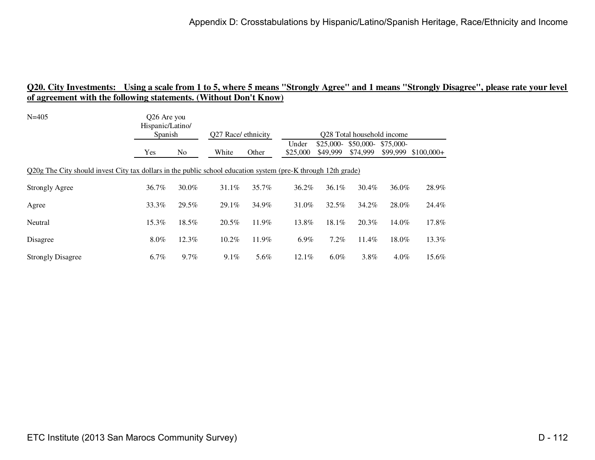| $N = 405$                                                                                                     | Q26 Are you<br>Hispanic/Latino/<br><b>Spanish</b> |                | Q27 Race/ ethnicity |       | O <sub>28</sub> Total household income |                        |                                  |          |             |  |
|---------------------------------------------------------------------------------------------------------------|---------------------------------------------------|----------------|---------------------|-------|----------------------------------------|------------------------|----------------------------------|----------|-------------|--|
|                                                                                                               | <b>Yes</b>                                        | N <sub>o</sub> | White               | Other | Under<br>\$25,000                      | $$25,000-$<br>\$49,999 | $$50,000-$ \$75,000-<br>\$74.999 | \$99,999 | $$100,000+$ |  |
| Q20g The City should invest City tax dollars in the public school education system (pre-K through 12th grade) |                                                   |                |                     |       |                                        |                        |                                  |          |             |  |
| <b>Strongly Agree</b>                                                                                         | 36.7%                                             | 30.0%          | $31.1\%$            | 35.7% | 36.2%                                  | $36.1\%$               | 30.4%                            | 36.0%    | 28.9%       |  |
| Agree                                                                                                         | 33.3%                                             | 29.5%          | 29.1%               | 34.9% | 31.0%                                  | 32.5%                  | 34.2%                            | 28.0%    | 24.4%       |  |
| Neutral                                                                                                       | 15.3%                                             | 18.5%          | 20.5%               | 11.9% | 13.8%                                  | 18.1%                  | 20.3%                            | 14.0%    | 17.8%       |  |
| Disagree                                                                                                      | $8.0\%$                                           | 12.3%          | 10.2%               | 11.9% | $6.9\%$                                | 7.2%                   | 11.4%                            | 18.0%    | 13.3%       |  |
| <b>Strongly Disagree</b>                                                                                      | 6.7%                                              | 9.7%           | $9.1\%$             | 5.6%  | 12.1%                                  | $6.0\%$                | 3.8%                             | $4.0\%$  | 15.6%       |  |